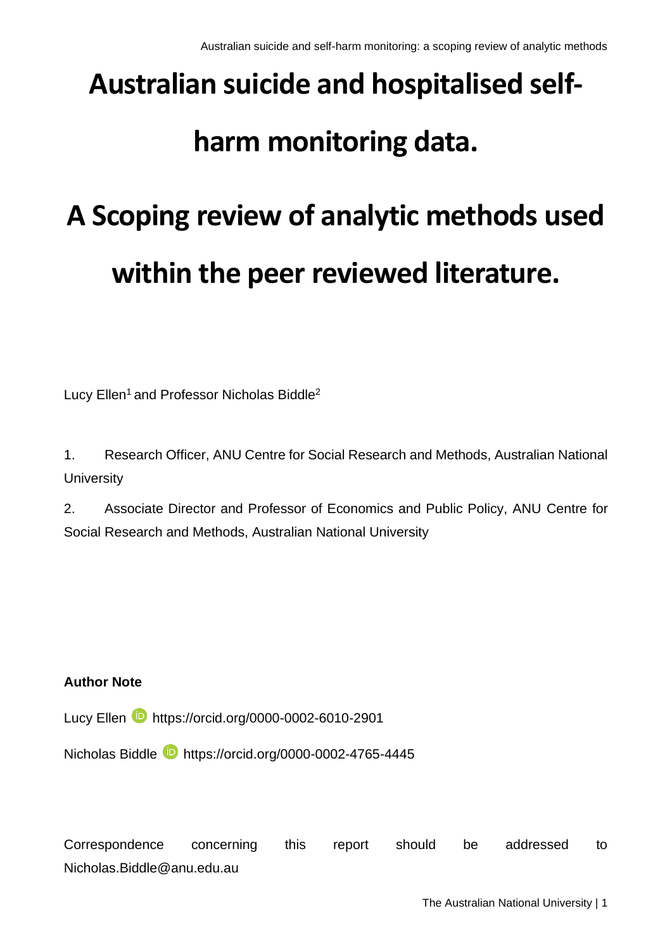# **Australian suicide and hospitalised self-**

# **harm monitoring data.**

# **A Scoping review of analytic methods used within the peer reviewed literature.**

Lucy Ellen<sup>1</sup> and Professor Nicholas Biddle<sup>2</sup>

1. Research Officer, ANU Centre for Social Research and Methods, Australian National **University** 

2. Associate Director and Professor of Economics and Public Policy, ANU Centre for Social Research and Methods, Australian National University

#### **Author Note**

Lucy Ellen **b** https://orcid.org/0000-0002-6010-2901

Nicholas Biddle https://orcid.org/0000-0002-4765-4445

Correspondence concerning this report should be addressed to Nicholas.Biddle@anu.edu.au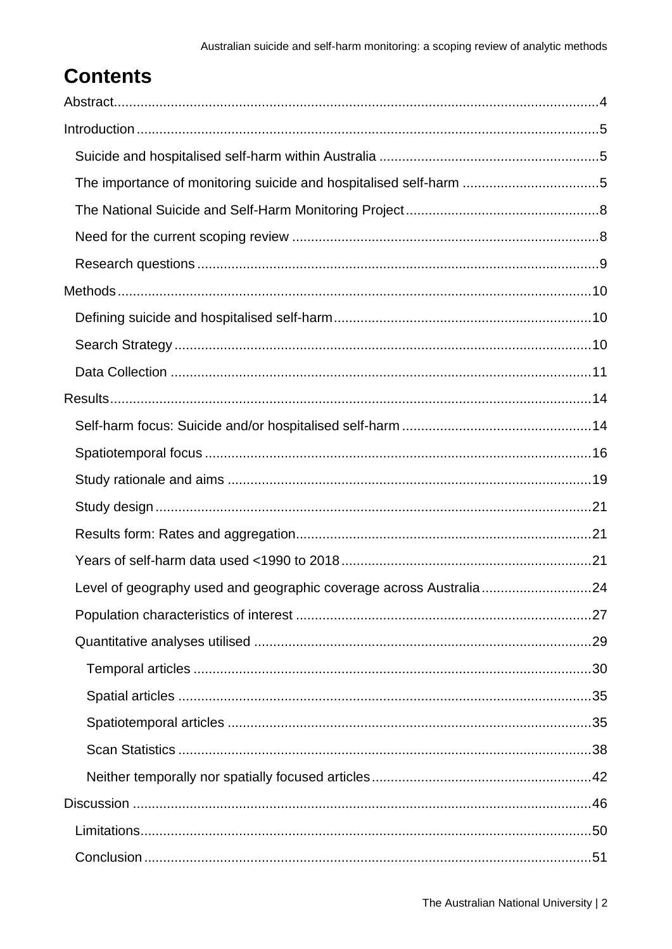# **Contents**

| The importance of monitoring suicide and hospitalised self-harm 5  |  |
|--------------------------------------------------------------------|--|
|                                                                    |  |
|                                                                    |  |
|                                                                    |  |
|                                                                    |  |
|                                                                    |  |
|                                                                    |  |
|                                                                    |  |
|                                                                    |  |
|                                                                    |  |
|                                                                    |  |
|                                                                    |  |
|                                                                    |  |
|                                                                    |  |
|                                                                    |  |
| Level of geography used and geographic coverage across Australia24 |  |
|                                                                    |  |
|                                                                    |  |
|                                                                    |  |
|                                                                    |  |
|                                                                    |  |
|                                                                    |  |
|                                                                    |  |
|                                                                    |  |
|                                                                    |  |
|                                                                    |  |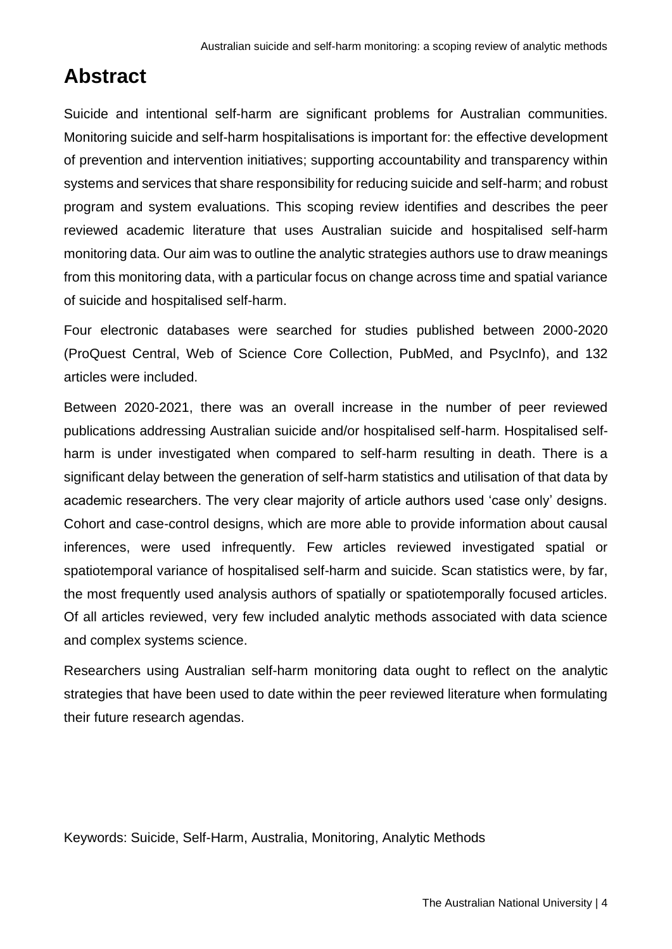# <span id="page-3-0"></span>**Abstract**

Suicide and intentional self-harm are significant problems for Australian communities. Monitoring suicide and self-harm hospitalisations is important for: the effective development of prevention and intervention initiatives; supporting accountability and transparency within systems and services that share responsibility for reducing suicide and self-harm; and robust program and system evaluations. This scoping review identifies and describes the peer reviewed academic literature that uses Australian suicide and hospitalised self-harm monitoring data. Our aim was to outline the analytic strategies authors use to draw meanings from this monitoring data, with a particular focus on change across time and spatial variance of suicide and hospitalised self-harm.

Four electronic databases were searched for studies published between 2000-2020 (ProQuest Central, Web of Science Core Collection, PubMed, and PsycInfo), and 132 articles were included.

Between 2020-2021, there was an overall increase in the number of peer reviewed publications addressing Australian suicide and/or hospitalised self-harm. Hospitalised selfharm is under investigated when compared to self-harm resulting in death. There is a significant delay between the generation of self-harm statistics and utilisation of that data by academic researchers. The very clear majority of article authors used 'case only' designs. Cohort and case-control designs, which are more able to provide information about causal inferences, were used infrequently. Few articles reviewed investigated spatial or spatiotemporal variance of hospitalised self-harm and suicide. Scan statistics were, by far, the most frequently used analysis authors of spatially or spatiotemporally focused articles. Of all articles reviewed, very few included analytic methods associated with data science and complex systems science.

Researchers using Australian self-harm monitoring data ought to reflect on the analytic strategies that have been used to date within the peer reviewed literature when formulating their future research agendas.

Keywords: Suicide, Self-Harm, Australia, Monitoring, Analytic Methods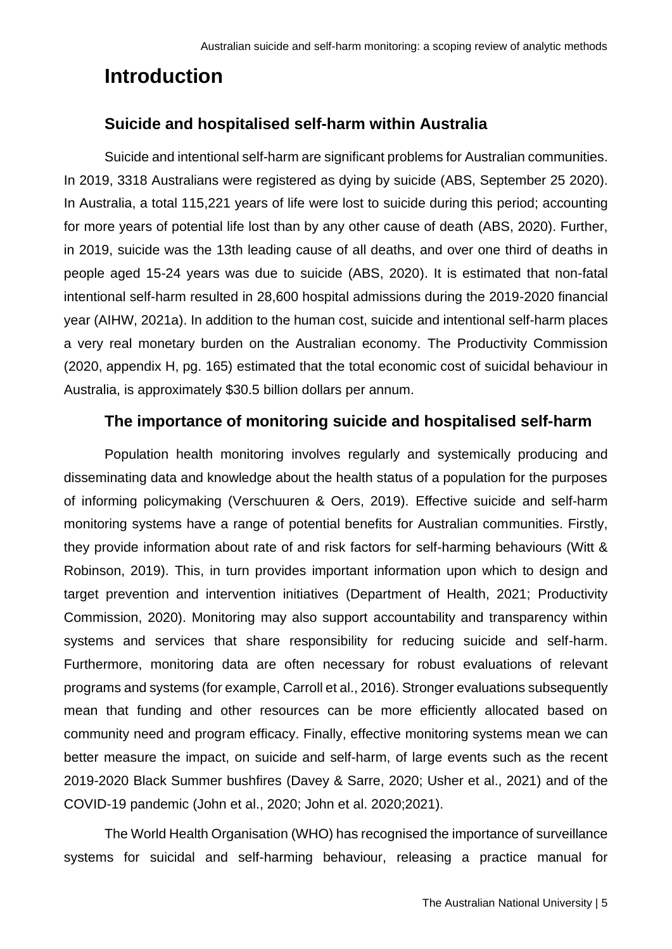# <span id="page-4-0"></span>**Introduction**

# <span id="page-4-1"></span>**Suicide and hospitalised self-harm within Australia**

Suicide and intentional self-harm are significant problems for Australian communities. In 2019, 3318 Australians were registered as dying by suicide (ABS, September 25 2020). In Australia, a total 115,221 years of life were lost to suicide during this period; accounting for more years of potential life lost than by any other cause of death (ABS, 2020). Further, in 2019, suicide was the 13th leading cause of all deaths, and over one third of deaths in people aged 15-24 years was due to suicide (ABS, 2020). It is estimated that non-fatal intentional self-harm resulted in 28,600 hospital admissions during the 2019-2020 financial year (AIHW, 2021a). In addition to the human cost, suicide and intentional self-harm places a very real monetary burden on the Australian economy. The Productivity Commission (2020, appendix H, pg. 165) estimated that the total economic cost of suicidal behaviour in Australia, is approximately \$30.5 billion dollars per annum.

## **The importance of monitoring suicide and hospitalised self-harm**

<span id="page-4-2"></span>Population health monitoring involves regularly and systemically producing and disseminating data and knowledge about the health status of a population for the purposes of informing policymaking (Verschuuren & Oers, 2019). Effective suicide and self-harm monitoring systems have a range of potential benefits for Australian communities. Firstly, they provide information about rate of and risk factors for self-harming behaviours (Witt & Robinson, 2019). This, in turn provides important information upon which to design and target prevention and intervention initiatives (Department of Health, 2021; Productivity Commission, 2020). Monitoring may also support accountability and transparency within systems and services that share responsibility for reducing suicide and self-harm. Furthermore, monitoring data are often necessary for robust evaluations of relevant programs and systems (for example, Carroll et al., 2016). Stronger evaluations subsequently mean that funding and other resources can be more efficiently allocated based on community need and program efficacy. Finally, effective monitoring systems mean we can better measure the impact, on suicide and self-harm, of large events such as the recent 2019-2020 Black Summer bushfires (Davey & Sarre, 2020; Usher et al., 2021) and of the COVID-19 pandemic (John et al., 2020; John et al. 2020;2021).

The World Health Organisation (WHO) has recognised the importance of surveillance systems for suicidal and self-harming behaviour, releasing a practice manual for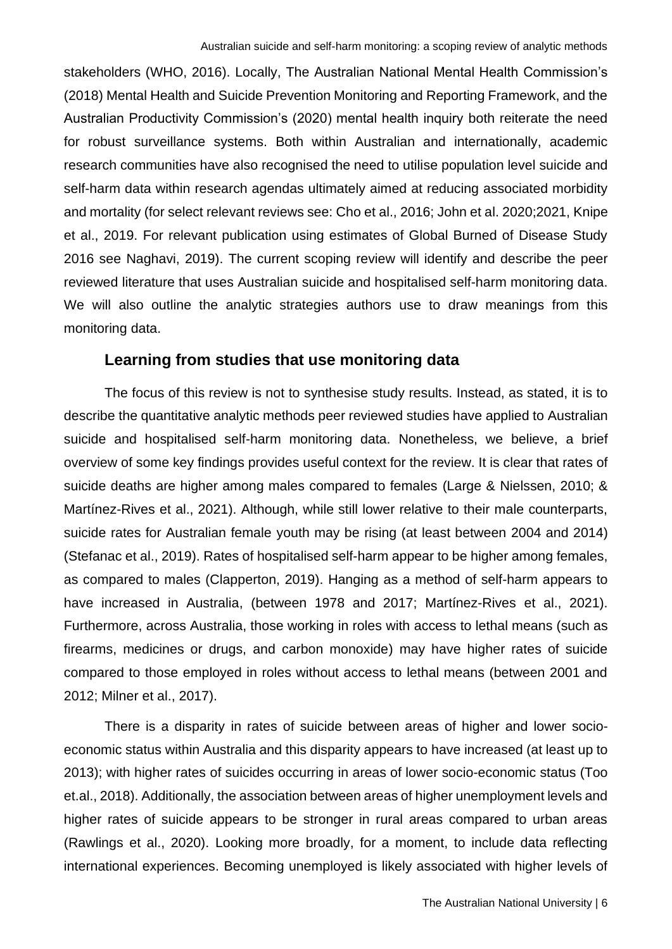stakeholders (WHO, 2016). Locally, The Australian National Mental Health Commission's (2018) Mental Health and Suicide Prevention Monitoring and Reporting Framework, and the Australian Productivity Commission's (2020) mental health inquiry both reiterate the need for robust surveillance systems. Both within Australian and internationally, academic research communities have also recognised the need to utilise population level suicide and self-harm data within research agendas ultimately aimed at reducing associated morbidity and mortality (for select relevant reviews see: Cho et al., 2016; John et al. 2020;2021, Knipe et al., 2019. For relevant publication using estimates of Global Burned of Disease Study 2016 see Naghavi, 2019). The current scoping review will identify and describe the peer reviewed literature that uses Australian suicide and hospitalised self-harm monitoring data. We will also outline the analytic strategies authors use to draw meanings from this monitoring data.

#### **Learning from studies that use monitoring data**

The focus of this review is not to synthesise study results. Instead, as stated, it is to describe the quantitative analytic methods peer reviewed studies have applied to Australian suicide and hospitalised self-harm monitoring data. Nonetheless, we believe, a brief overview of some key findings provides useful context for the review. It is clear that rates of suicide deaths are higher among males compared to females (Large & Nielssen, 2010; & Martínez-Rives et al., 2021). Although, while still lower relative to their male counterparts, suicide rates for Australian female youth may be rising (at least between 2004 and 2014) (Stefanac et al., 2019). Rates of hospitalised self-harm appear to be higher among females, as compared to males (Clapperton, 2019). Hanging as a method of self-harm appears to have increased in Australia, (between 1978 and 2017; Martínez-Rives et al., 2021). Furthermore, across Australia, those working in roles with access to lethal means (such as firearms, medicines or drugs, and carbon monoxide) may have higher rates of suicide compared to those employed in roles without access to lethal means (between 2001 and 2012; Milner et al., 2017).

There is a disparity in rates of suicide between areas of higher and lower socioeconomic status within Australia and this disparity appears to have increased (at least up to 2013); with higher rates of suicides occurring in areas of lower socio-economic status (Too et.al., 2018). Additionally, the association between areas of higher unemployment levels and higher rates of suicide appears to be stronger in rural areas compared to urban areas (Rawlings et al., 2020). Looking more broadly, for a moment, to include data reflecting international experiences. Becoming unemployed is likely associated with higher levels of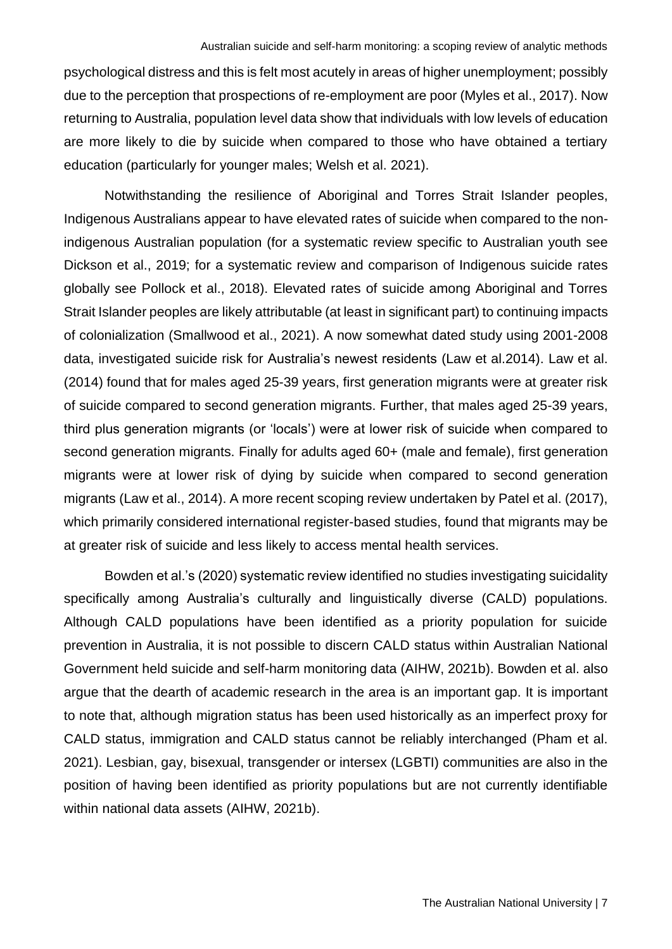psychological distress and this is felt most acutely in areas of higher unemployment; possibly due to the perception that prospections of re-employment are poor (Myles et al., 2017). Now returning to Australia, population level data show that individuals with low levels of education are more likely to die by suicide when compared to those who have obtained a tertiary education (particularly for younger males; Welsh et al. 2021).

Notwithstanding the resilience of Aboriginal and Torres Strait Islander peoples, Indigenous Australians appear to have elevated rates of suicide when compared to the nonindigenous Australian population (for a systematic review specific to Australian youth see Dickson et al., 2019; for a systematic review and comparison of Indigenous suicide rates globally see Pollock et al., 2018). Elevated rates of suicide among Aboriginal and Torres Strait Islander peoples are likely attributable (at least in significant part) to continuing impacts of colonialization (Smallwood et al., 2021). A now somewhat dated study using 2001-2008 data, investigated suicide risk for Australia's newest residents (Law et al.2014). Law et al. (2014) found that for males aged 25-39 years, first generation migrants were at greater risk of suicide compared to second generation migrants. Further, that males aged 25-39 years, third plus generation migrants (or 'locals') were at lower risk of suicide when compared to second generation migrants. Finally for adults aged 60+ (male and female), first generation migrants were at lower risk of dying by suicide when compared to second generation migrants (Law et al., 2014). A more recent scoping review undertaken by Patel et al. (2017), which primarily considered international register-based studies, found that migrants may be at greater risk of suicide and less likely to access mental health services.

Bowden et al.'s (2020) systematic review identified no studies investigating suicidality specifically among Australia's culturally and linguistically diverse (CALD) populations. Although CALD populations have been identified as a priority population for suicide prevention in Australia, it is not possible to discern CALD status within Australian National Government held suicide and self-harm monitoring data (AIHW, 2021b). Bowden et al. also argue that the dearth of academic research in the area is an important gap. It is important to note that, although migration status has been used historically as an imperfect proxy for CALD status, immigration and CALD status cannot be reliably interchanged (Pham et al. 2021). Lesbian, gay, bisexual, transgender or intersex (LGBTI) communities are also in the position of having been identified as priority populations but are not currently identifiable within national data assets (AIHW, 2021b).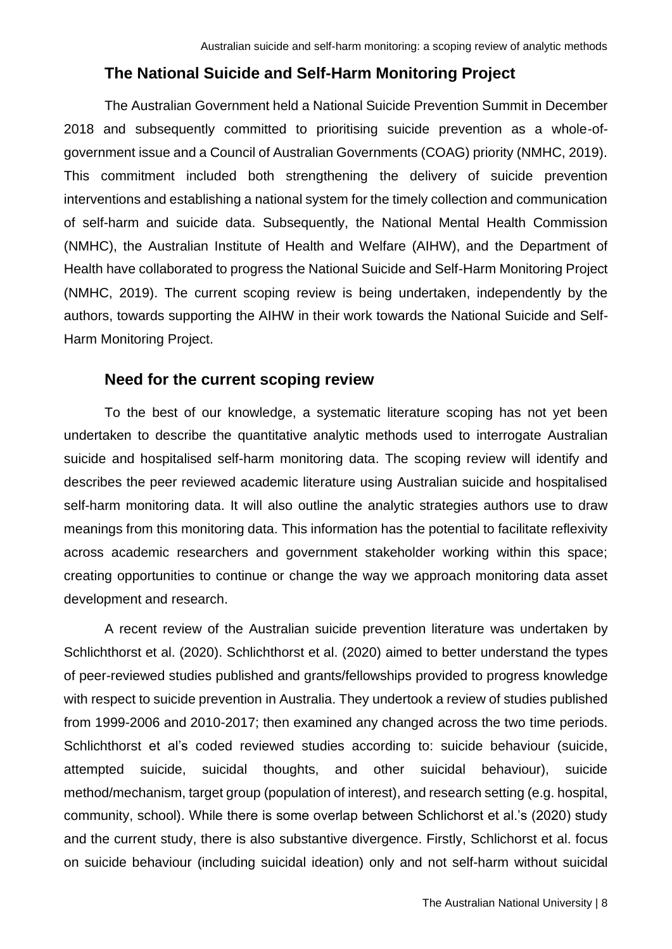## **The National Suicide and Self-Harm Monitoring Project**

<span id="page-7-0"></span>The Australian Government held a National Suicide Prevention Summit in December 2018 and subsequently committed to prioritising suicide prevention as a whole-ofgovernment issue and a Council of Australian Governments (COAG) priority (NMHC, 2019). This commitment included both strengthening the delivery of suicide prevention interventions and establishing a national system for the timely collection and communication of self-harm and suicide data. Subsequently, the National Mental Health Commission (NMHC), the Australian Institute of Health and Welfare (AIHW), and the Department of Health have collaborated to progress the National Suicide and Self-Harm Monitoring Project (NMHC, 2019). The current scoping review is being undertaken, independently by the authors, towards supporting the AIHW in their work towards the National Suicide and Self-Harm Monitoring Project.

#### <span id="page-7-1"></span>**Need for the current scoping review**

To the best of our knowledge, a systematic literature scoping has not yet been undertaken to describe the quantitative analytic methods used to interrogate Australian suicide and hospitalised self-harm monitoring data. The scoping review will identify and describes the peer reviewed academic literature using Australian suicide and hospitalised self-harm monitoring data. It will also outline the analytic strategies authors use to draw meanings from this monitoring data. This information has the potential to facilitate reflexivity across academic researchers and government stakeholder working within this space; creating opportunities to continue or change the way we approach monitoring data asset development and research.

A recent review of the Australian suicide prevention literature was undertaken by Schlichthorst et al. (2020). Schlichthorst et al. (2020) aimed to better understand the types of peer-reviewed studies published and grants/fellowships provided to progress knowledge with respect to suicide prevention in Australia. They undertook a review of studies published from 1999-2006 and 2010-2017; then examined any changed across the two time periods. Schlichthorst et al's coded reviewed studies according to: suicide behaviour (suicide, attempted suicide, suicidal thoughts, and other suicidal behaviour), suicide method/mechanism, target group (population of interest), and research setting (e.g. hospital, community, school). While there is some overlap between Schlichorst et al.'s (2020) study and the current study, there is also substantive divergence. Firstly, Schlichorst et al. focus on suicide behaviour (including suicidal ideation) only and not self-harm without suicidal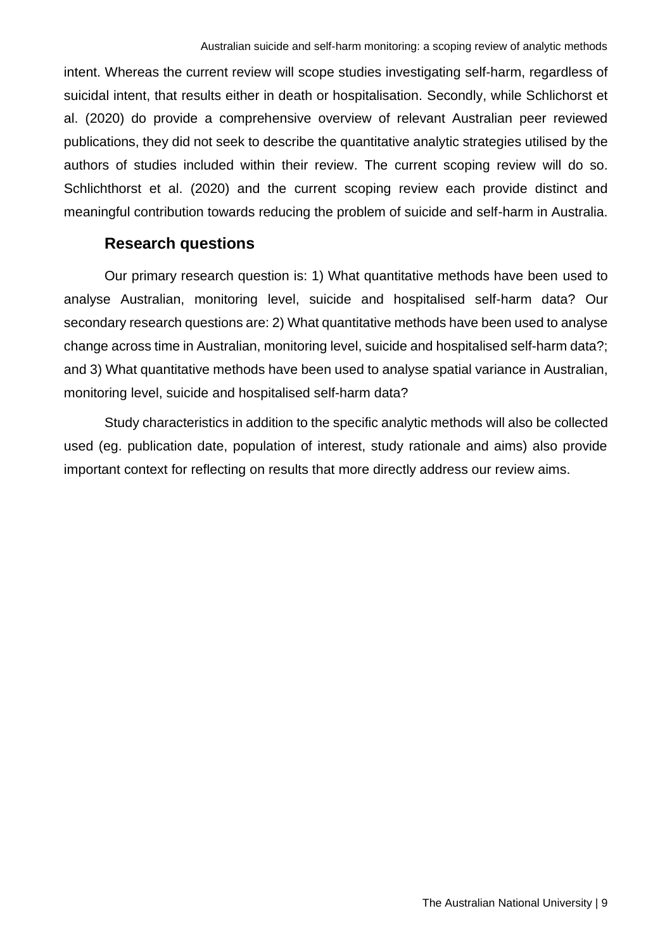intent. Whereas the current review will scope studies investigating self-harm, regardless of suicidal intent, that results either in death or hospitalisation. Secondly, while Schlichorst et al. (2020) do provide a comprehensive overview of relevant Australian peer reviewed publications, they did not seek to describe the quantitative analytic strategies utilised by the authors of studies included within their review. The current scoping review will do so. Schlichthorst et al. (2020) and the current scoping review each provide distinct and meaningful contribution towards reducing the problem of suicide and self-harm in Australia.

## **Research questions**

<span id="page-8-0"></span>Our primary research question is: 1) What quantitative methods have been used to analyse Australian, monitoring level, suicide and hospitalised self-harm data? Our secondary research questions are: 2) What quantitative methods have been used to analyse change across time in Australian, monitoring level, suicide and hospitalised self-harm data?; and 3) What quantitative methods have been used to analyse spatial variance in Australian, monitoring level, suicide and hospitalised self-harm data?

Study characteristics in addition to the specific analytic methods will also be collected used (eg. publication date, population of interest, study rationale and aims) also provide important context for reflecting on results that more directly address our review aims.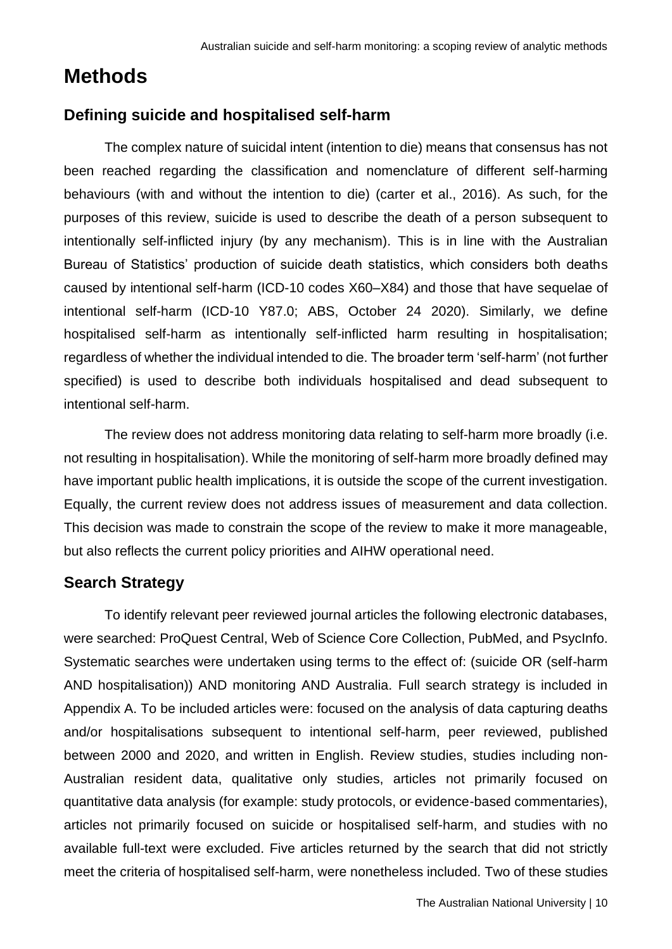# <span id="page-9-0"></span>**Methods**

# <span id="page-9-1"></span>**Defining suicide and hospitalised self-harm**

The complex nature of suicidal intent (intention to die) means that consensus has not been reached regarding the classification and nomenclature of different self-harming behaviours (with and without the intention to die) (carter et al., 2016). As such, for the purposes of this review, suicide is used to describe the death of a person subsequent to intentionally self-inflicted injury (by any mechanism). This is in line with the Australian Bureau of Statistics' production of suicide death statistics, which considers both deaths caused by intentional self-harm (ICD-10 codes X60–X84) and those that have sequelae of intentional self-harm (ICD-10 Y87.0; ABS, October 24 2020). Similarly, we define hospitalised self-harm as intentionally self-inflicted harm resulting in hospitalisation; regardless of whether the individual intended to die. The broader term 'self-harm' (not further specified) is used to describe both individuals hospitalised and dead subsequent to intentional self-harm.

The review does not address monitoring data relating to self-harm more broadly (i.e. not resulting in hospitalisation). While the monitoring of self-harm more broadly defined may have important public health implications, it is outside the scope of the current investigation. Equally, the current review does not address issues of measurement and data collection. This decision was made to constrain the scope of the review to make it more manageable, but also reflects the current policy priorities and AIHW operational need.

## <span id="page-9-2"></span>**Search Strategy**

To identify relevant peer reviewed journal articles the following electronic databases, were searched: ProQuest Central, Web of Science Core Collection, PubMed, and PsycInfo. Systematic searches were undertaken using terms to the effect of: (suicide OR (self-harm AND hospitalisation)) AND monitoring AND Australia. Full search strategy is included in Appendix A. To be included articles were: focused on the analysis of data capturing deaths and/or hospitalisations subsequent to intentional self-harm, peer reviewed, published between 2000 and 2020, and written in English. Review studies, studies including non-Australian resident data, qualitative only studies, articles not primarily focused on quantitative data analysis (for example: study protocols, or evidence-based commentaries), articles not primarily focused on suicide or hospitalised self-harm, and studies with no available full-text were excluded. Five articles returned by the search that did not strictly meet the criteria of hospitalised self-harm, were nonetheless included. Two of these studies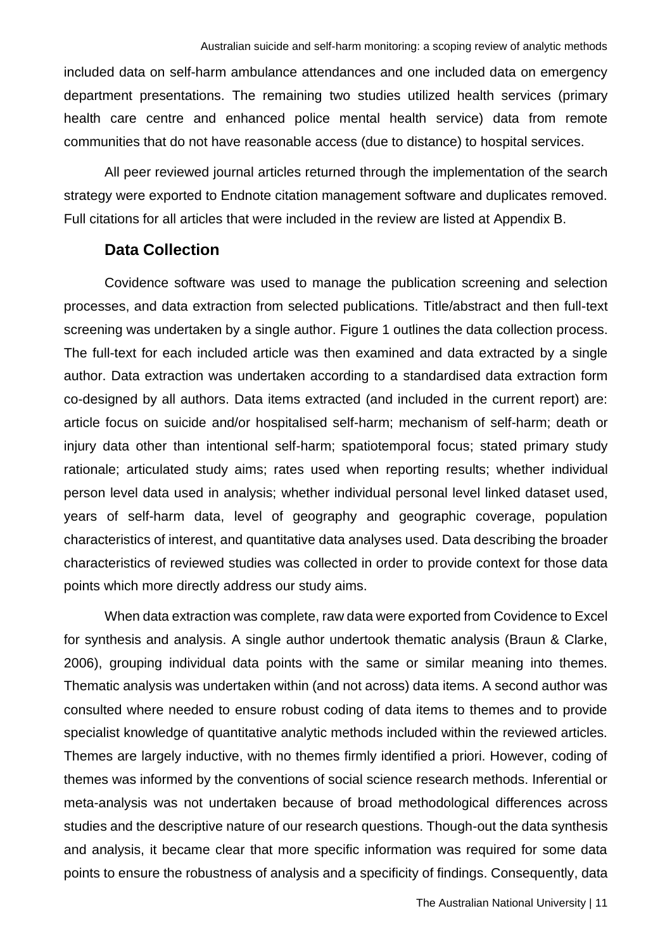included data on self-harm ambulance attendances and one included data on emergency department presentations. The remaining two studies utilized health services (primary health care centre and enhanced police mental health service) data from remote communities that do not have reasonable access (due to distance) to hospital services.

All peer reviewed journal articles returned through the implementation of the search strategy were exported to Endnote citation management software and duplicates removed. Full citations for all articles that were included in the review are listed at Appendix B.

#### **Data Collection**

<span id="page-10-0"></span>Covidence software was used to manage the publication screening and selection processes, and data extraction from selected publications. Title/abstract and then full-text screening was undertaken by a single author. Figure 1 outlines the data collection process. The full-text for each included article was then examined and data extracted by a single author. Data extraction was undertaken according to a standardised data extraction form co-designed by all authors. Data items extracted (and included in the current report) are: article focus on suicide and/or hospitalised self-harm; mechanism of self-harm; death or injury data other than intentional self-harm; spatiotemporal focus; stated primary study rationale; articulated study aims; rates used when reporting results; whether individual person level data used in analysis; whether individual personal level linked dataset used, years of self-harm data, level of geography and geographic coverage, population characteristics of interest, and quantitative data analyses used. Data describing the broader characteristics of reviewed studies was collected in order to provide context for those data points which more directly address our study aims.

When data extraction was complete, raw data were exported from Covidence to Excel for synthesis and analysis. A single author undertook thematic analysis (Braun & Clarke, 2006), grouping individual data points with the same or similar meaning into themes. Thematic analysis was undertaken within (and not across) data items. A second author was consulted where needed to ensure robust coding of data items to themes and to provide specialist knowledge of quantitative analytic methods included within the reviewed articles. Themes are largely inductive, with no themes firmly identified a priori. However, coding of themes was informed by the conventions of social science research methods. Inferential or meta-analysis was not undertaken because of broad methodological differences across studies and the descriptive nature of our research questions. Though-out the data synthesis and analysis, it became clear that more specific information was required for some data points to ensure the robustness of analysis and a specificity of findings. Consequently, data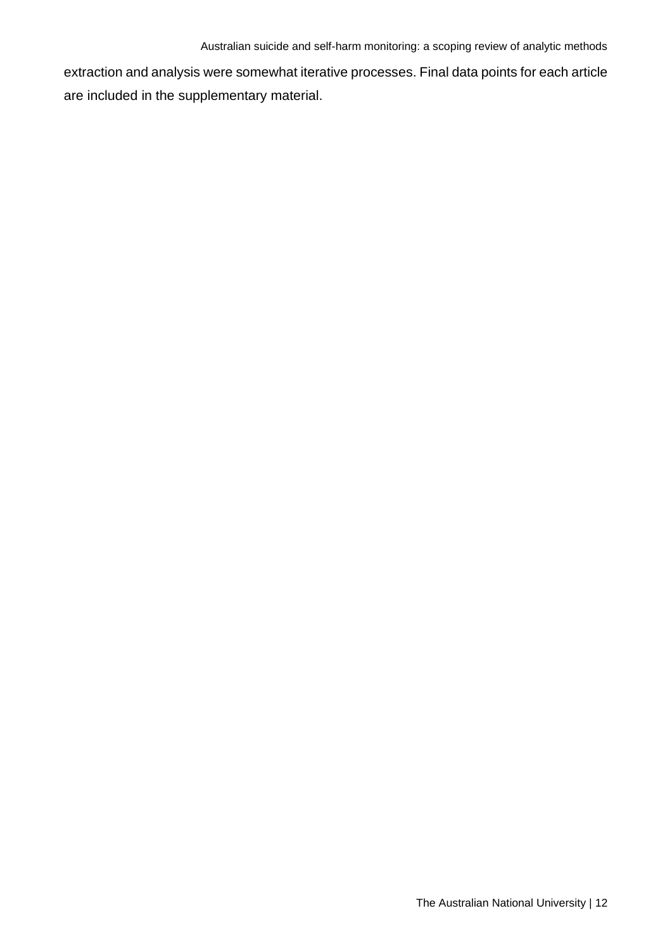extraction and analysis were somewhat iterative processes. Final data points for each article are included in the supplementary material.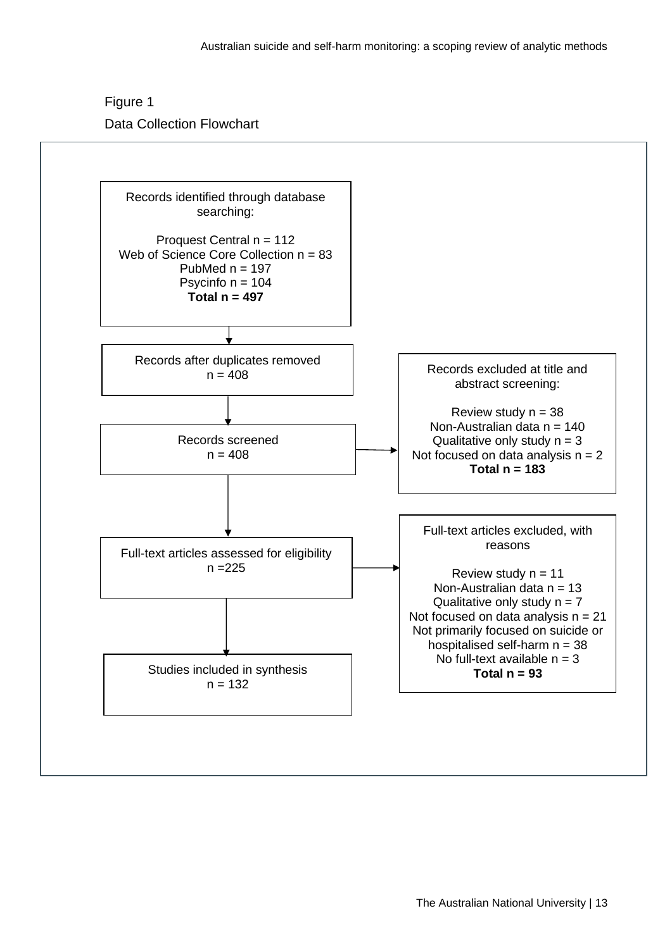Figure 1 Data Collection Flowchart

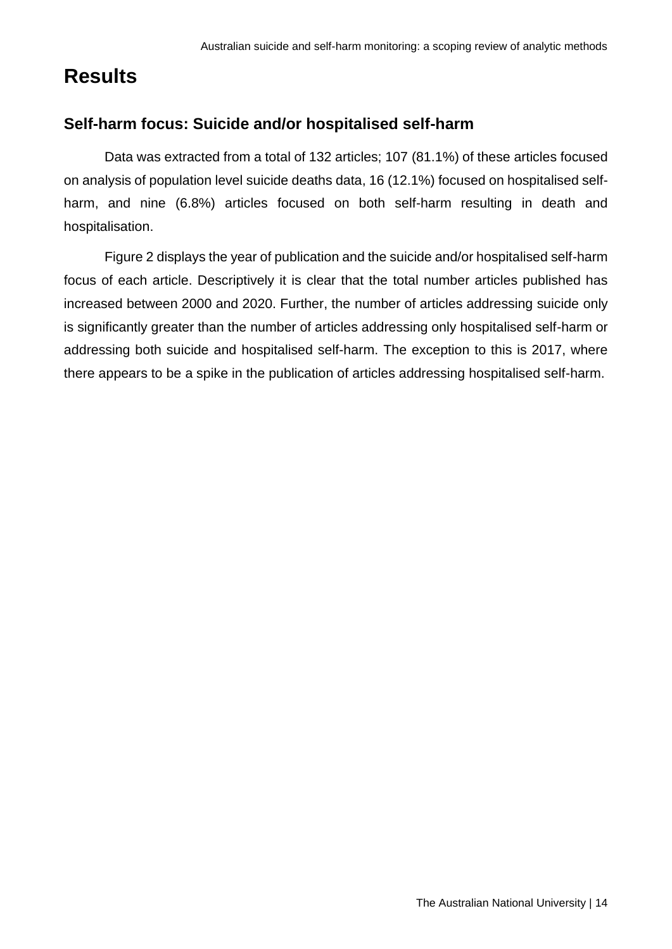# <span id="page-13-0"></span>**Results**

# <span id="page-13-1"></span>**Self-harm focus: Suicide and/or hospitalised self-harm**

Data was extracted from a total of 132 articles; 107 (81.1%) of these articles focused on analysis of population level suicide deaths data, 16 (12.1%) focused on hospitalised selfharm, and nine (6.8%) articles focused on both self-harm resulting in death and hospitalisation.

Figure 2 displays the year of publication and the suicide and/or hospitalised self-harm focus of each article. Descriptively it is clear that the total number articles published has increased between 2000 and 2020. Further, the number of articles addressing suicide only is significantly greater than the number of articles addressing only hospitalised self-harm or addressing both suicide and hospitalised self-harm. The exception to this is 2017, where there appears to be a spike in the publication of articles addressing hospitalised self-harm.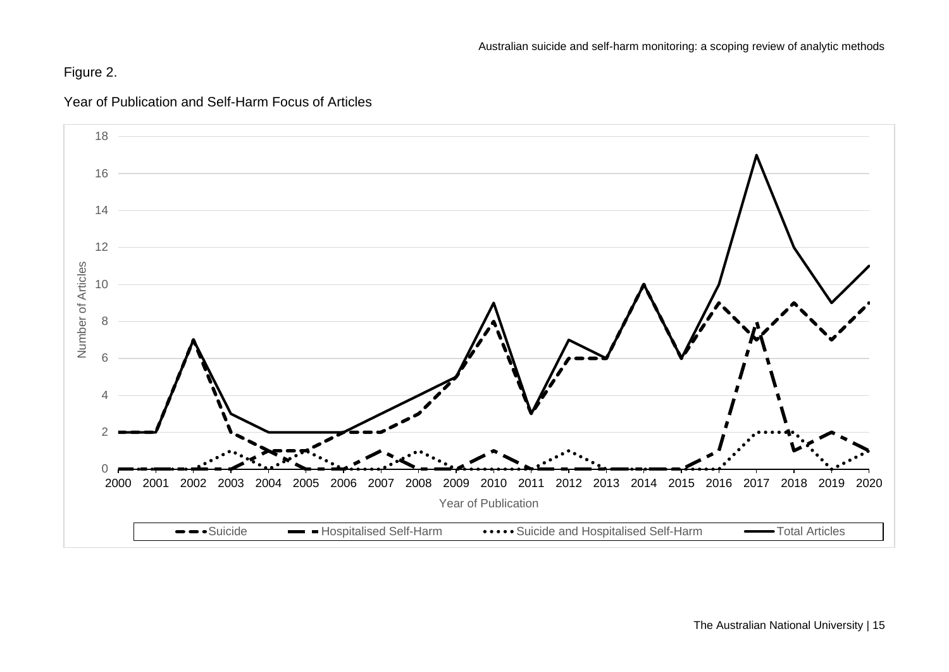# Figure 2.



### Year of Publication and Self-Harm Focus of Articles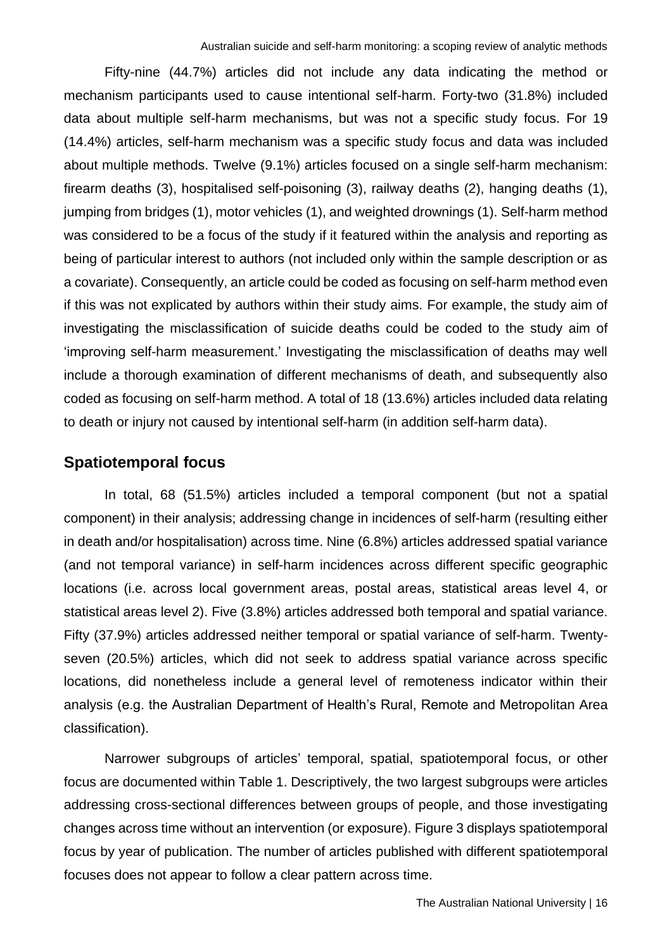Fifty-nine (44.7%) articles did not include any data indicating the method or mechanism participants used to cause intentional self-harm. Forty-two (31.8%) included data about multiple self-harm mechanisms, but was not a specific study focus. For 19 (14.4%) articles, self-harm mechanism was a specific study focus and data was included about multiple methods. Twelve (9.1%) articles focused on a single self-harm mechanism: firearm deaths (3), hospitalised self-poisoning (3), railway deaths (2), hanging deaths (1), jumping from bridges (1), motor vehicles (1), and weighted drownings (1). Self-harm method was considered to be a focus of the study if it featured within the analysis and reporting as being of particular interest to authors (not included only within the sample description or as a covariate). Consequently, an article could be coded as focusing on self-harm method even if this was not explicated by authors within their study aims. For example, the study aim of investigating the misclassification of suicide deaths could be coded to the study aim of 'improving self-harm measurement.' Investigating the misclassification of deaths may well include a thorough examination of different mechanisms of death, and subsequently also coded as focusing on self-harm method. A total of 18 (13.6%) articles included data relating to death or injury not caused by intentional self-harm (in addition self-harm data).

#### <span id="page-15-0"></span>**Spatiotemporal focus**

In total, 68 (51.5%) articles included a temporal component (but not a spatial component) in their analysis; addressing change in incidences of self-harm (resulting either in death and/or hospitalisation) across time. Nine (6.8%) articles addressed spatial variance (and not temporal variance) in self-harm incidences across different specific geographic locations (i.e. across local government areas, postal areas, statistical areas level 4, or statistical areas level 2). Five (3.8%) articles addressed both temporal and spatial variance. Fifty (37.9%) articles addressed neither temporal or spatial variance of self-harm. Twentyseven (20.5%) articles, which did not seek to address spatial variance across specific locations, did nonetheless include a general level of remoteness indicator within their analysis (e.g. the Australian Department of Health's Rural, Remote and Metropolitan Area classification).

Narrower subgroups of articles' temporal, spatial, spatiotemporal focus, or other focus are documented within Table 1. Descriptively, the two largest subgroups were articles addressing cross-sectional differences between groups of people, and those investigating changes across time without an intervention (or exposure). Figure 3 displays spatiotemporal focus by year of publication. The number of articles published with different spatiotemporal focuses does not appear to follow a clear pattern across time.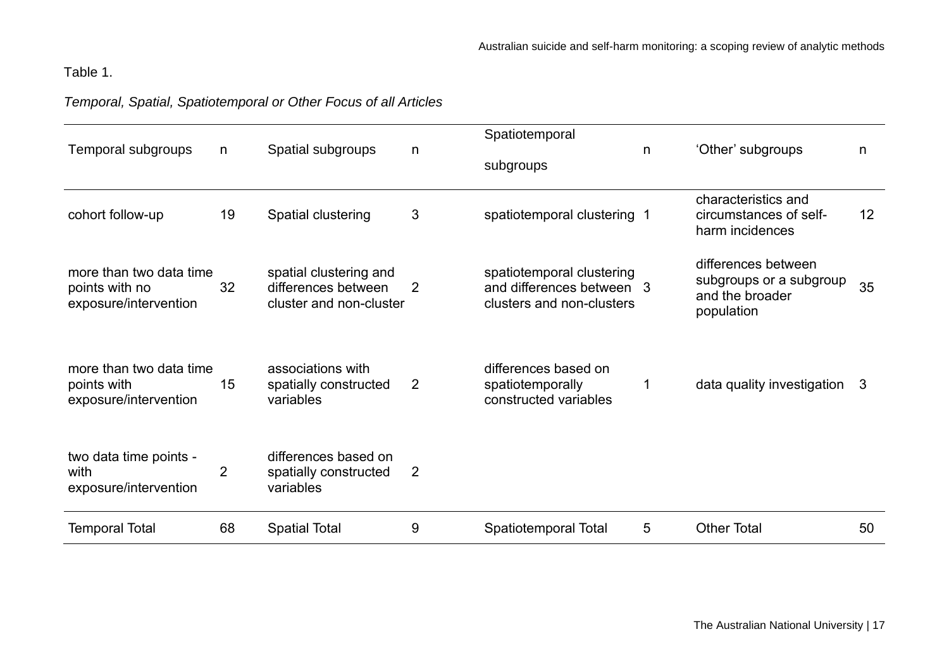# Table 1.

# *Temporal, Spatial, Spatiotemporal or Other Focus of all Articles*

| Temporal subgroups                                                 | n              | Spatial subgroups                                                        | n | Spatiotemporal<br>subgroups                                                         | n. | 'Other' subgroups                                                               | n               |
|--------------------------------------------------------------------|----------------|--------------------------------------------------------------------------|---|-------------------------------------------------------------------------------------|----|---------------------------------------------------------------------------------|-----------------|
| cohort follow-up                                                   | 19             | Spatial clustering                                                       | 3 | spatiotemporal clustering 1                                                         |    | characteristics and<br>circumstances of self-<br>harm incidences                | 12 <sup>2</sup> |
| more than two data time<br>points with no<br>exposure/intervention | 32             | spatial clustering and<br>differences between<br>cluster and non-cluster | 2 | spatiotemporal clustering<br>and differences between 3<br>clusters and non-clusters |    | differences between<br>subgroups or a subgroup<br>and the broader<br>population | 35              |
| more than two data time<br>points with<br>exposure/intervention    | 15             | associations with<br>spatially constructed<br>variables                  | 2 | differences based on<br>spatiotemporally<br>constructed variables                   |    | data quality investigation                                                      | 3               |
| two data time points -<br>with<br>exposure/intervention            | $\overline{2}$ | differences based on<br>spatially constructed<br>variables               | 2 |                                                                                     |    |                                                                                 |                 |
| <b>Temporal Total</b>                                              | 68             | <b>Spatial Total</b>                                                     | 9 | Spatiotemporal Total                                                                | 5  | <b>Other Total</b>                                                              | 50              |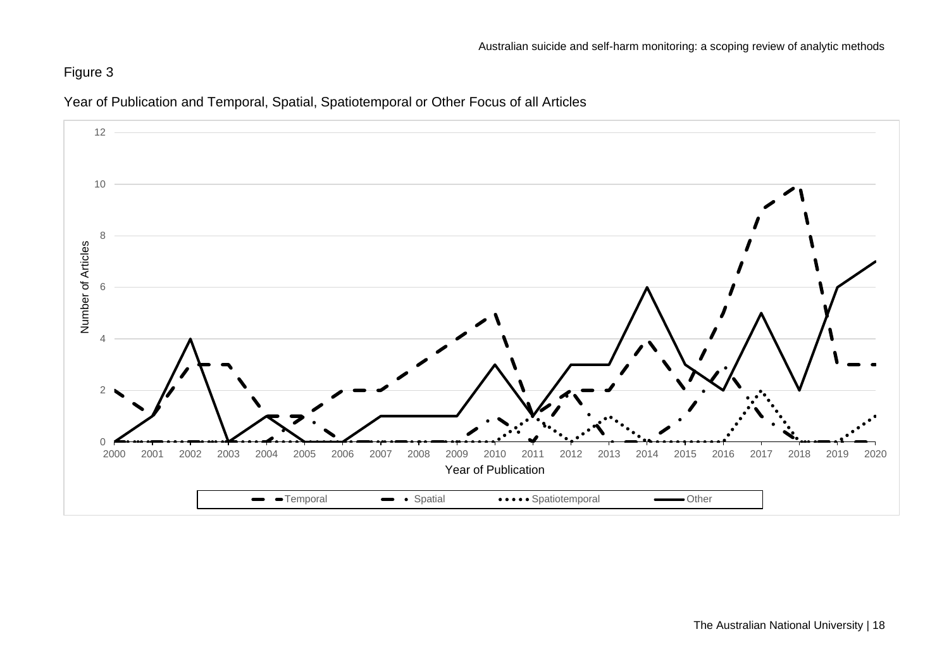# Figure 3



Year of Publication and Temporal, Spatial, Spatiotemporal or Other Focus of all Articles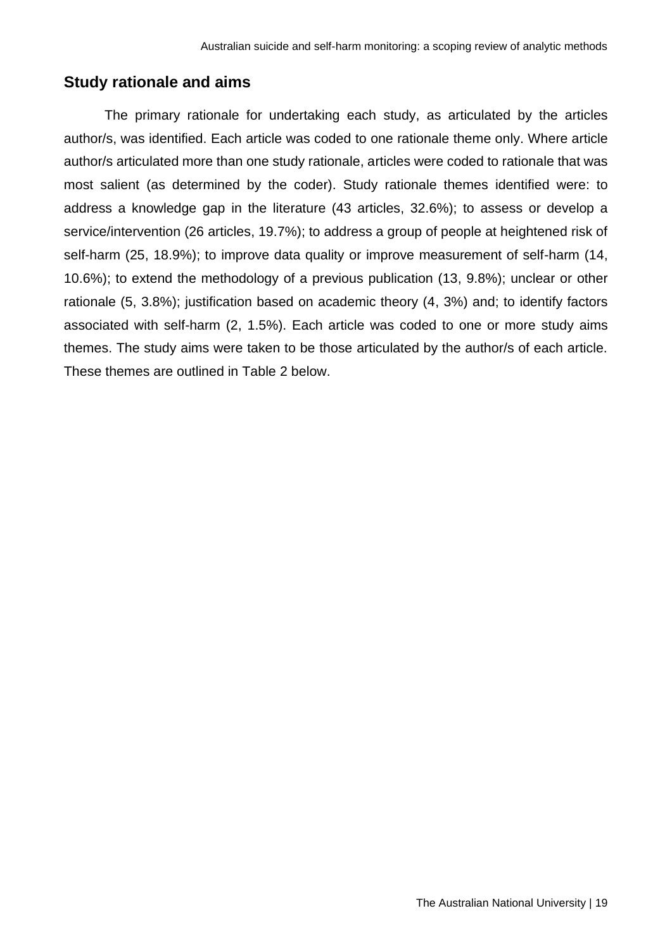#### <span id="page-18-0"></span>**Study rationale and aims**

The primary rationale for undertaking each study, as articulated by the articles author/s, was identified. Each article was coded to one rationale theme only. Where article author/s articulated more than one study rationale, articles were coded to rationale that was most salient (as determined by the coder). Study rationale themes identified were: to address a knowledge gap in the literature (43 articles, 32.6%); to assess or develop a service/intervention (26 articles, 19.7%); to address a group of people at heightened risk of self-harm (25, 18.9%); to improve data quality or improve measurement of self-harm (14, 10.6%); to extend the methodology of a previous publication (13, 9.8%); unclear or other rationale (5, 3.8%); justification based on academic theory (4, 3%) and; to identify factors associated with self-harm (2, 1.5%). Each article was coded to one or more study aims themes. The study aims were taken to be those articulated by the author/s of each article. These themes are outlined in Table 2 below.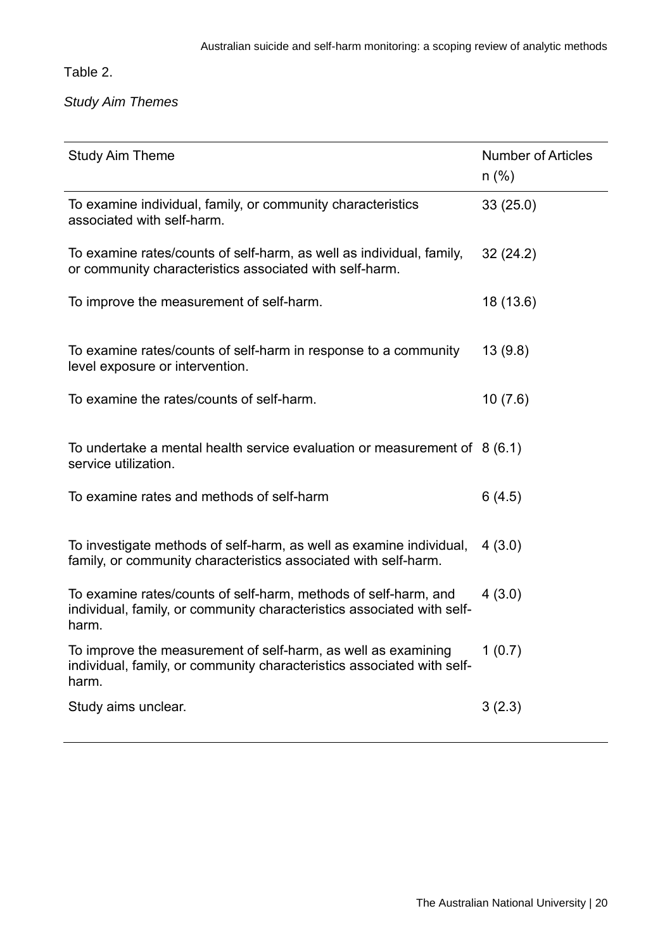Table 2.

*Study Aim Themes*

| <b>Study Aim Theme</b>                                                                                                                             | <b>Number of Articles</b><br>$n$ (%) |
|----------------------------------------------------------------------------------------------------------------------------------------------------|--------------------------------------|
| To examine individual, family, or community characteristics<br>associated with self-harm.                                                          | 33(25.0)                             |
| To examine rates/counts of self-harm, as well as individual, family,<br>or community characteristics associated with self-harm.                    | 32(24.2)                             |
| To improve the measurement of self-harm.                                                                                                           | 18 (13.6)                            |
| To examine rates/counts of self-harm in response to a community<br>level exposure or intervention.                                                 | 13(9.8)                              |
| To examine the rates/counts of self-harm.                                                                                                          | 10(7.6)                              |
| To undertake a mental health service evaluation or measurement of $8(6.1)$<br>service utilization.                                                 |                                      |
| To examine rates and methods of self-harm                                                                                                          | 6(4.5)                               |
| To investigate methods of self-harm, as well as examine individual,<br>family, or community characteristics associated with self-harm.             | 4(3.0)                               |
| To examine rates/counts of self-harm, methods of self-harm, and<br>individual, family, or community characteristics associated with self-<br>harm. | 4(3.0)                               |
| To improve the measurement of self-harm, as well as examining<br>individual, family, or community characteristics associated with self-<br>harm.   | 1(0.7)                               |
| Study aims unclear.                                                                                                                                | 3(2.3)                               |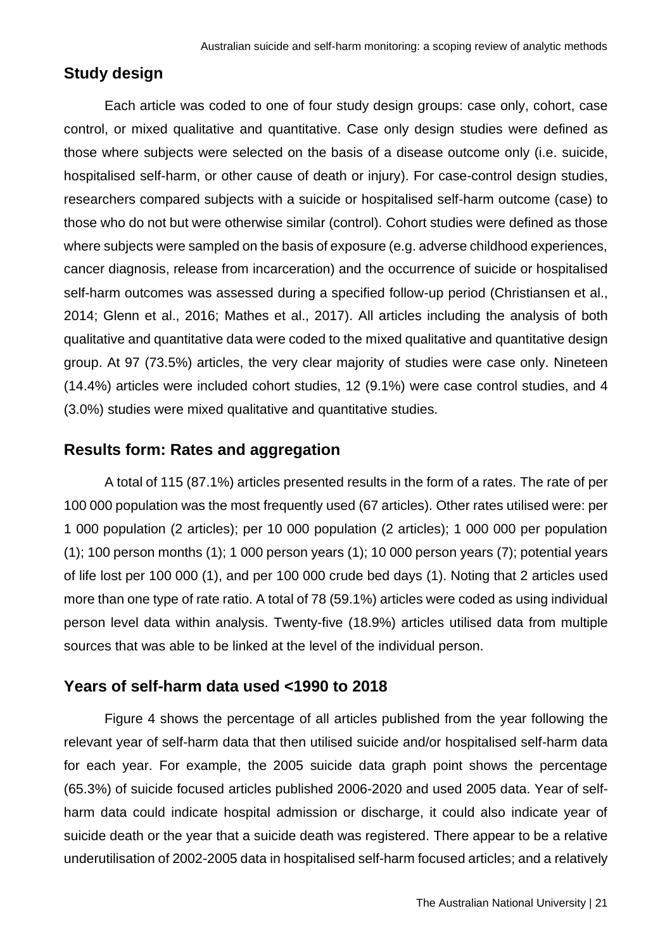#### <span id="page-20-0"></span>**Study design**

Each article was coded to one of four study design groups: case only, cohort, case control, or mixed qualitative and quantitative. Case only design studies were defined as those where subjects were selected on the basis of a disease outcome only (i.e. suicide, hospitalised self-harm, or other cause of death or injury). For case-control design studies, researchers compared subjects with a suicide or hospitalised self-harm outcome (case) to those who do not but were otherwise similar (control). Cohort studies were defined as those where subjects were sampled on the basis of exposure (e.g. adverse childhood experiences, cancer diagnosis, release from incarceration) and the occurrence of suicide or hospitalised self-harm outcomes was assessed during a specified follow-up period (Christiansen et al., 2014; Glenn et al., 2016; Mathes et al., 2017). All articles including the analysis of both qualitative and quantitative data were coded to the mixed qualitative and quantitative design group. At 97 (73.5%) articles, the very clear majority of studies were case only. Nineteen (14.4%) articles were included cohort studies, 12 (9.1%) were case control studies, and 4 (3.0%) studies were mixed qualitative and quantitative studies.

#### <span id="page-20-1"></span>**Results form: Rates and aggregation**

A total of 115 (87.1%) articles presented results in the form of a rates. The rate of per 100 000 population was the most frequently used (67 articles). Other rates utilised were: per 1 000 population (2 articles); per 10 000 population (2 articles); 1 000 000 per population  $(1)$ ; 100 person months  $(1)$ ; 1 000 person years  $(1)$ ; 10 000 person years  $(7)$ ; potential years of life lost per 100 000 (1), and per 100 000 crude bed days (1). Noting that 2 articles used more than one type of rate ratio. A total of 78 (59.1%) articles were coded as using individual person level data within analysis. Twenty-five (18.9%) articles utilised data from multiple sources that was able to be linked at the level of the individual person.

#### <span id="page-20-2"></span>**Years of self-harm data used <1990 to 2018**

Figure 4 shows the percentage of all articles published from the year following the relevant year of self-harm data that then utilised suicide and/or hospitalised self-harm data for each year. For example, the 2005 suicide data graph point shows the percentage (65.3%) of suicide focused articles published 2006-2020 and used 2005 data. Year of selfharm data could indicate hospital admission or discharge, it could also indicate year of suicide death or the year that a suicide death was registered. There appear to be a relative underutilisation of 2002-2005 data in hospitalised self-harm focused articles; and a relatively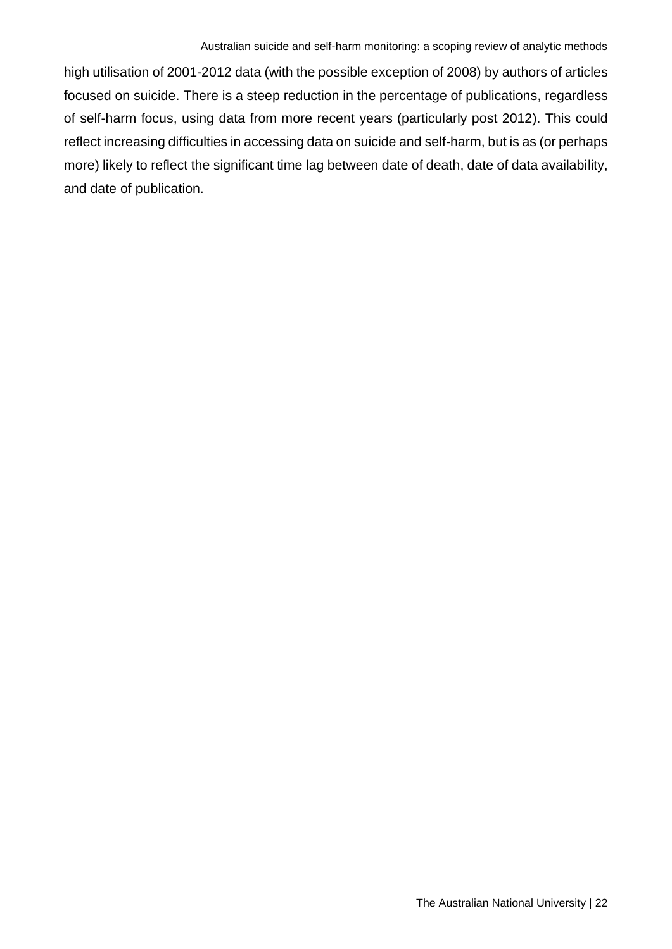high utilisation of 2001-2012 data (with the possible exception of 2008) by authors of articles focused on suicide. There is a steep reduction in the percentage of publications, regardless of self-harm focus, using data from more recent years (particularly post 2012). This could reflect increasing difficulties in accessing data on suicide and self-harm, but is as (or perhaps more) likely to reflect the significant time lag between date of death, date of data availability, and date of publication.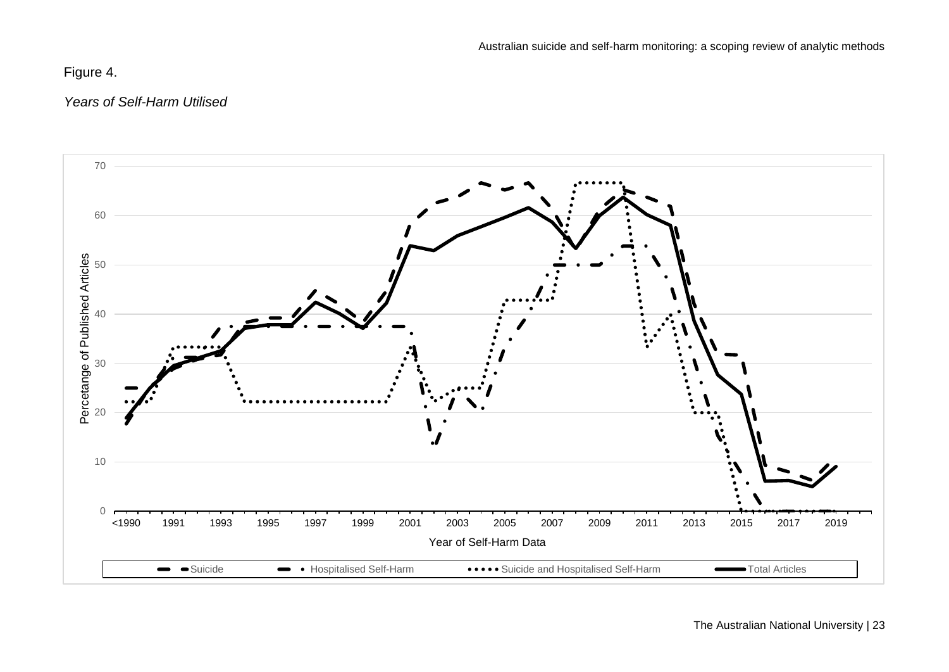# Figure 4.

### *Years of Self-Harm Utilised*

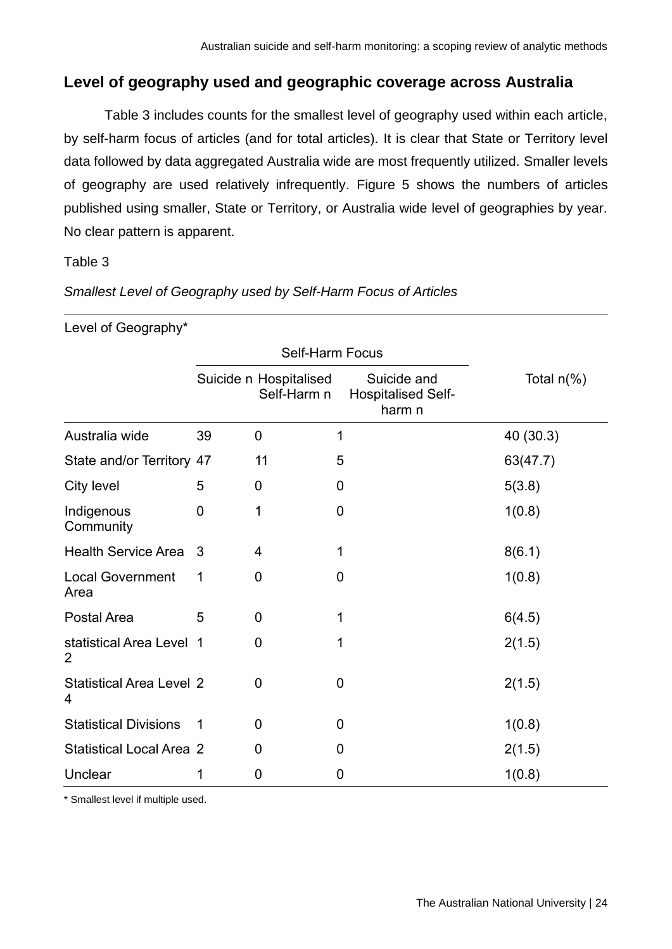# <span id="page-23-0"></span>**Level of geography used and geographic coverage across Australia**

Table 3 includes counts for the smallest level of geography used within each article, by self-harm focus of articles (and for total articles). It is clear that State or Territory level data followed by data aggregated Australia wide are most frequently utilized. Smaller levels of geography are used relatively infrequently. Figure 5 shows the numbers of articles published using smaller, State or Territory, or Australia wide level of geographies by year. No clear pattern is apparent.

Table 3

| Level of Geography*                        |             |                                       |                                                    |               |
|--------------------------------------------|-------------|---------------------------------------|----------------------------------------------------|---------------|
|                                            |             | <b>Self-Harm Focus</b>                |                                                    |               |
|                                            |             | Suicide n Hospitalised<br>Self-Harm n | Suicide and<br><b>Hospitalised Self-</b><br>harm n | Total $n(\%)$ |
| Australia wide                             | 39          | $\mathbf 0$                           | 1                                                  | 40 (30.3)     |
| State and/or Territory 47                  |             | 11                                    | 5                                                  | 63(47.7)      |
| City level                                 | 5           | $\overline{0}$                        | $\overline{0}$                                     | 5(3.8)        |
| Indigenous<br>Community                    | 0           | 1                                     | 0                                                  | 1(0.8)        |
| <b>Health Service Area</b>                 | 3           | $\overline{4}$                        | 1                                                  | 8(6.1)        |
| <b>Local Government</b><br>Area            | 1           | 0                                     | 0                                                  | 1(0.8)        |
| Postal Area                                | 5           | $\mathbf 0$                           | 1                                                  | 6(4.5)        |
| statistical Area Level 1<br>$\overline{2}$ |             | $\mathbf 0$                           | 1                                                  | 2(1.5)        |
| <b>Statistical Area Level 2</b><br>4       |             | $\overline{0}$                        | $\overline{0}$                                     | 2(1.5)        |
| <b>Statistical Divisions</b>               | $\mathbf 1$ | $\overline{0}$                        | 0                                                  | 1(0.8)        |
| <b>Statistical Local Area 2</b>            |             | $\overline{0}$                        | 0                                                  | 2(1.5)        |
| Unclear                                    | 1           | 0                                     | 0                                                  | 1(0.8)        |

*Smallest Level of Geography used by Self-Harm Focus of Articles*

\* Smallest level if multiple used.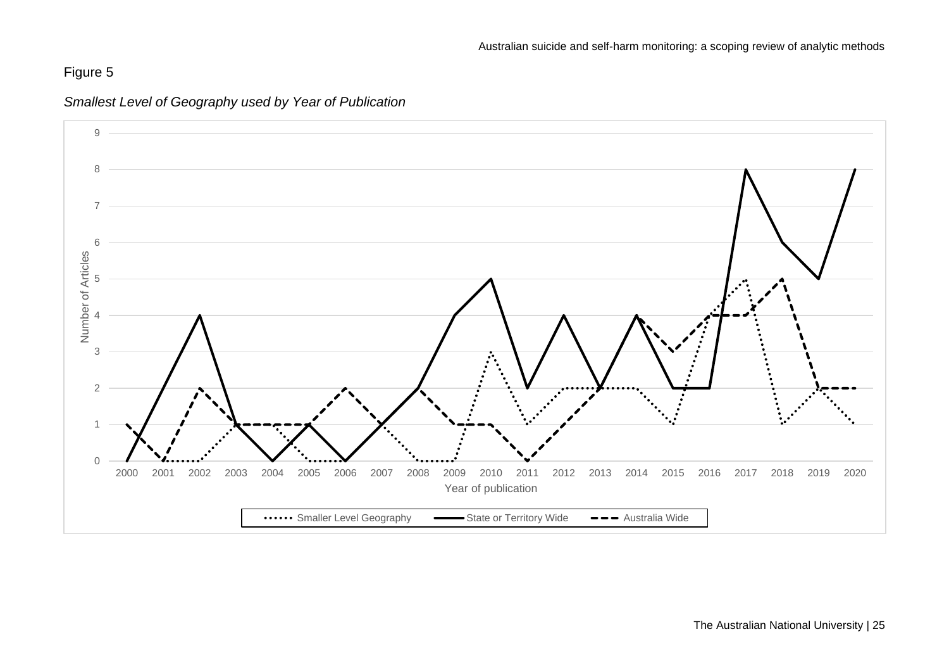# Figure 5



*Smallest Level of Geography used by Year of Publication*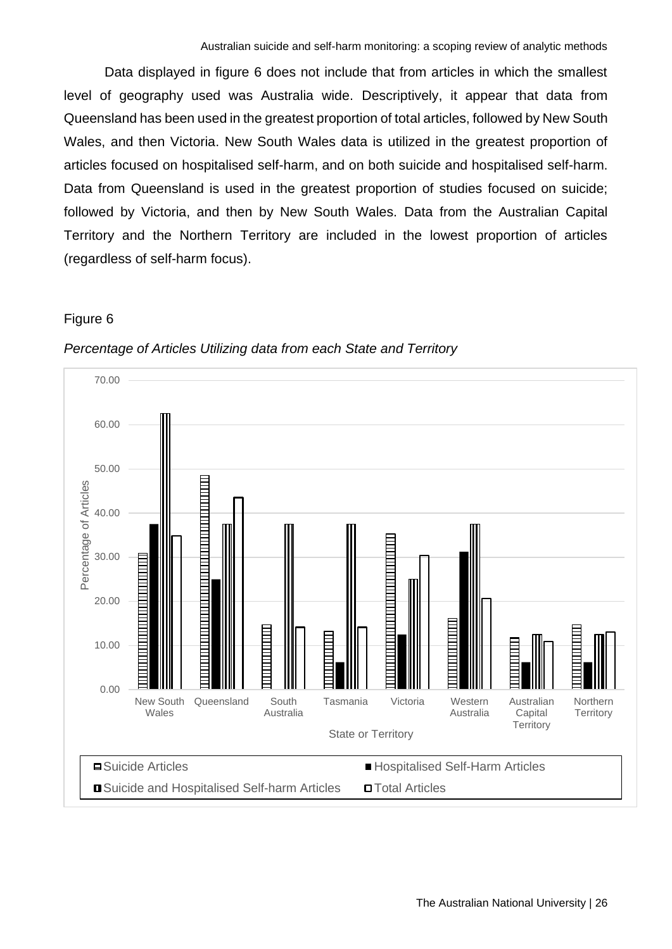Data displayed in figure 6 does not include that from articles in which the smallest level of geography used was Australia wide. Descriptively, it appear that data from Queensland has been used in the greatest proportion of total articles, followed by New South Wales, and then Victoria. New South Wales data is utilized in the greatest proportion of articles focused on hospitalised self-harm, and on both suicide and hospitalised self-harm. Data from Queensland is used in the greatest proportion of studies focused on suicide; followed by Victoria, and then by New South Wales. Data from the Australian Capital Territory and the Northern Territory are included in the lowest proportion of articles (regardless of self-harm focus).

#### Figure 6



#### *Percentage of Articles Utilizing data from each State and Territory*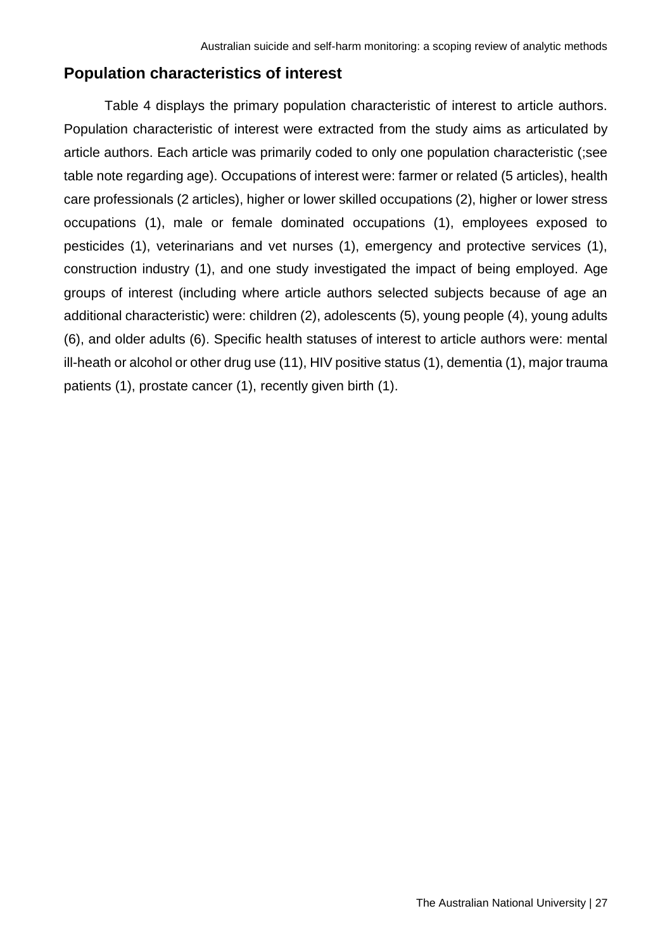# <span id="page-26-0"></span>**Population characteristics of interest**

Table 4 displays the primary population characteristic of interest to article authors. Population characteristic of interest were extracted from the study aims as articulated by article authors. Each article was primarily coded to only one population characteristic (;see table note regarding age). Occupations of interest were: farmer or related (5 articles), health care professionals (2 articles), higher or lower skilled occupations (2), higher or lower stress occupations (1), male or female dominated occupations (1), employees exposed to pesticides (1), veterinarians and vet nurses (1), emergency and protective services (1), construction industry (1), and one study investigated the impact of being employed. Age groups of interest (including where article authors selected subjects because of age an additional characteristic) were: children (2), adolescents (5), young people (4), young adults (6), and older adults (6). Specific health statuses of interest to article authors were: mental ill-heath or alcohol or other drug use (11), HIV positive status (1), dementia (1), major trauma patients (1), prostate cancer (1), recently given birth (1).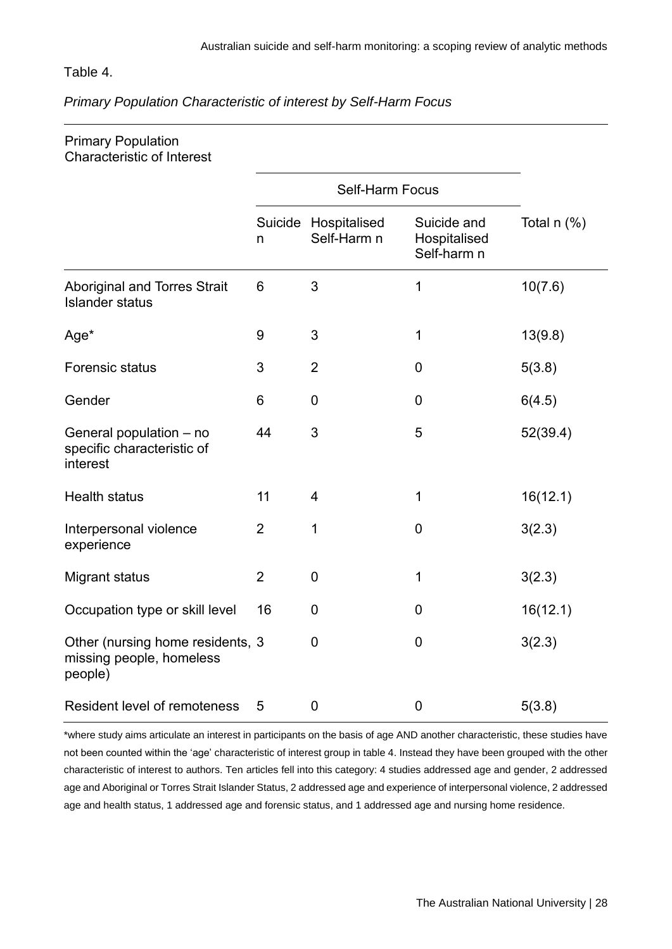#### Table 4.

#### *Primary Population Characteristic of interest by Self-Harm Focus*

| <b>Primary Population</b><br><b>Characteristic of Interest</b>          |                |                                     |                                            |                 |
|-------------------------------------------------------------------------|----------------|-------------------------------------|--------------------------------------------|-----------------|
|                                                                         |                |                                     |                                            |                 |
|                                                                         | n              | Suicide Hospitalised<br>Self-Harm n | Suicide and<br>Hospitalised<br>Self-harm n | Total $n$ $%$ ) |
| <b>Aboriginal and Torres Strait</b><br><b>Islander status</b>           | 6              | 3                                   | 1                                          | 10(7.6)         |
| Age*                                                                    | $9\,$          | 3                                   | 1                                          | 13(9.8)         |
| <b>Forensic status</b>                                                  | 3              | $\overline{2}$                      | $\mathbf 0$                                | 5(3.8)          |
| Gender                                                                  | 6              | $\mathbf 0$                         | $\mathbf 0$                                | 6(4.5)          |
| General population - no<br>specific characteristic of<br>interest       | 44             | 3                                   | 5                                          | 52(39.4)        |
| <b>Health status</b>                                                    | 11             | $\overline{4}$                      | 1                                          | 16(12.1)        |
| Interpersonal violence<br>experience                                    | $\overline{2}$ | 1                                   | $\mathbf 0$                                | 3(2.3)          |
| <b>Migrant status</b>                                                   | $\overline{2}$ | $\mathbf 0$                         | 1                                          | 3(2.3)          |
| Occupation type or skill level                                          | 16             | $\mathbf 0$                         | $\mathbf 0$                                | 16(12.1)        |
| Other (nursing home residents, 3<br>missing people, homeless<br>people) |                | $\overline{0}$                      | $\mathbf 0$                                | 3(2.3)          |
| Resident level of remoteness                                            | 5              | $\mathbf 0$                         | $\pmb{0}$                                  | 5(3.8)          |

\*where study aims articulate an interest in participants on the basis of age AND another characteristic, these studies have not been counted within the 'age' characteristic of interest group in table 4. Instead they have been grouped with the other characteristic of interest to authors. Ten articles fell into this category: 4 studies addressed age and gender, 2 addressed age and Aboriginal or Torres Strait Islander Status, 2 addressed age and experience of interpersonal violence, 2 addressed age and health status, 1 addressed age and forensic status, and 1 addressed age and nursing home residence.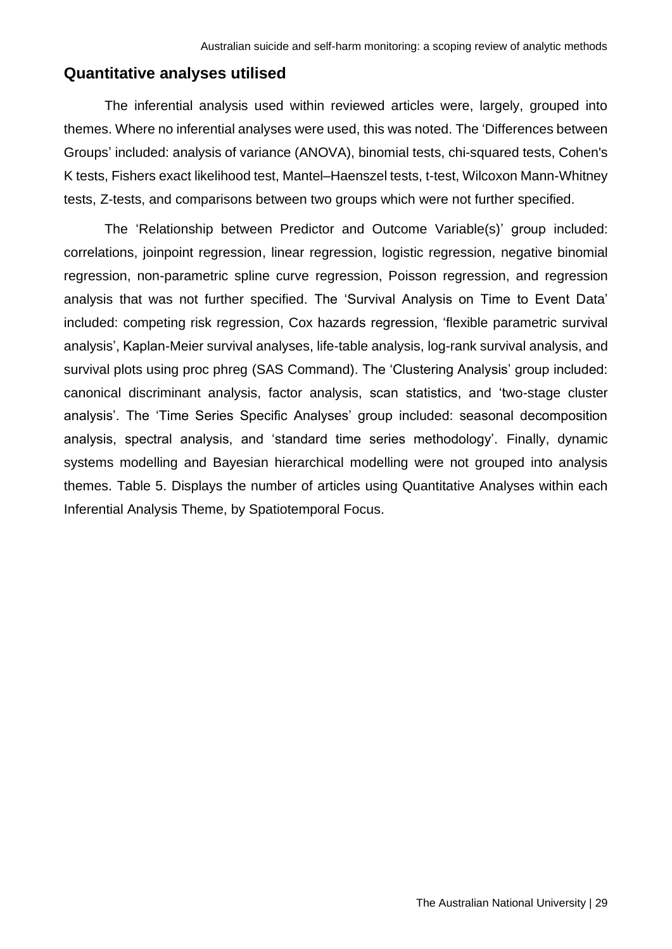#### <span id="page-28-0"></span>**Quantitative analyses utilised**

The inferential analysis used within reviewed articles were, largely, grouped into themes. Where no inferential analyses were used, this was noted. The 'Differences between Groups' included: analysis of variance (ANOVA), binomial tests, chi-squared tests, Cohen's K tests, Fishers exact likelihood test, Mantel–Haenszel tests, t-test, Wilcoxon Mann-Whitney tests, Z-tests, and comparisons between two groups which were not further specified.

The 'Relationship between Predictor and Outcome Variable(s)' group included: correlations, joinpoint regression, linear regression, logistic regression, negative binomial regression, non-parametric spline curve regression, Poisson regression, and regression analysis that was not further specified. The 'Survival Analysis on Time to Event Data' included: competing risk regression, Cox hazards regression, 'flexible parametric survival analysis', Kaplan-Meier survival analyses, life-table analysis, log-rank survival analysis, and survival plots using proc phreg (SAS Command). The 'Clustering Analysis' group included: canonical discriminant analysis, factor analysis, scan statistics, and 'two-stage cluster analysis'. The 'Time Series Specific Analyses' group included: seasonal decomposition analysis, spectral analysis, and 'standard time series methodology'. Finally, dynamic systems modelling and Bayesian hierarchical modelling were not grouped into analysis themes. Table 5. Displays the number of articles using Quantitative Analyses within each Inferential Analysis Theme, by Spatiotemporal Focus.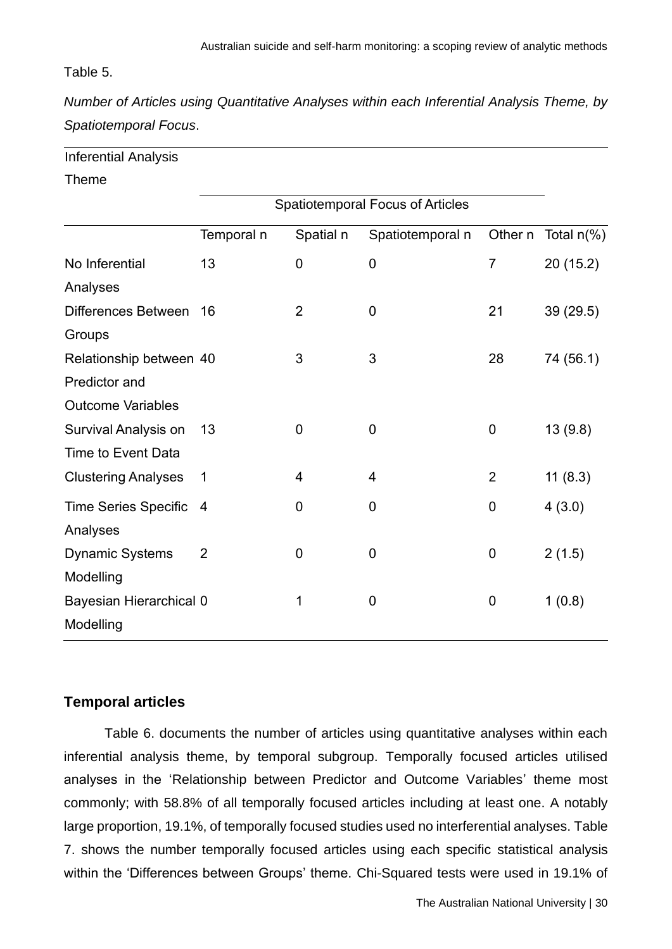#### Table 5.

*Number of Articles using Quantitative Analyses within each Inferential Analysis Theme, by Spatiotemporal Focus*.

#### Theme

|                             | <b>Spatiotemporal Focus of Articles</b> |                |                  |                |               |
|-----------------------------|-----------------------------------------|----------------|------------------|----------------|---------------|
|                             | Temporal n                              | Spatial n      | Spatiotemporal n | Other n        | Total $n(\%)$ |
| No Inferential              | 13                                      | $\mathbf 0$    | $\mathbf 0$      | 7              | 20(15.2)      |
| Analyses                    |                                         |                |                  |                |               |
| Differences Between         | 16                                      | $\overline{2}$ | $\mathbf 0$      | 21             | 39 (29.5)     |
| Groups                      |                                         |                |                  |                |               |
| Relationship between 40     |                                         | 3              | 3                | 28             | 74 (56.1)     |
| Predictor and               |                                         |                |                  |                |               |
| <b>Outcome Variables</b>    |                                         |                |                  |                |               |
| Survival Analysis on        | 13                                      | $\mathbf 0$    | $\mathbf 0$      | 0              | 13(9.8)       |
| <b>Time to Event Data</b>   |                                         |                |                  |                |               |
| <b>Clustering Analyses</b>  | 1                                       | 4              | 4                | $\overline{2}$ | 11(8.3)       |
| <b>Time Series Specific</b> | $\overline{4}$                          | 0              | $\boldsymbol{0}$ | 0              | 4(3.0)        |
| Analyses                    |                                         |                |                  |                |               |
| <b>Dynamic Systems</b>      | $\overline{2}$                          | $\mathbf 0$    | $\mathbf 0$      | $\mathbf 0$    | 2(1.5)        |
| Modelling                   |                                         |                |                  |                |               |
| Bayesian Hierarchical 0     |                                         | 1              | $\mathbf 0$      | $\mathbf 0$    | 1(0.8)        |
| Modelling                   |                                         |                |                  |                |               |

#### <span id="page-29-0"></span>**Temporal articles**

Table 6. documents the number of articles using quantitative analyses within each inferential analysis theme, by temporal subgroup. Temporally focused articles utilised analyses in the 'Relationship between Predictor and Outcome Variables' theme most commonly; with 58.8% of all temporally focused articles including at least one. A notably large proportion, 19.1%, of temporally focused studies used no interferential analyses. Table 7. shows the number temporally focused articles using each specific statistical analysis within the 'Differences between Groups' theme. Chi-Squared tests were used in 19.1% of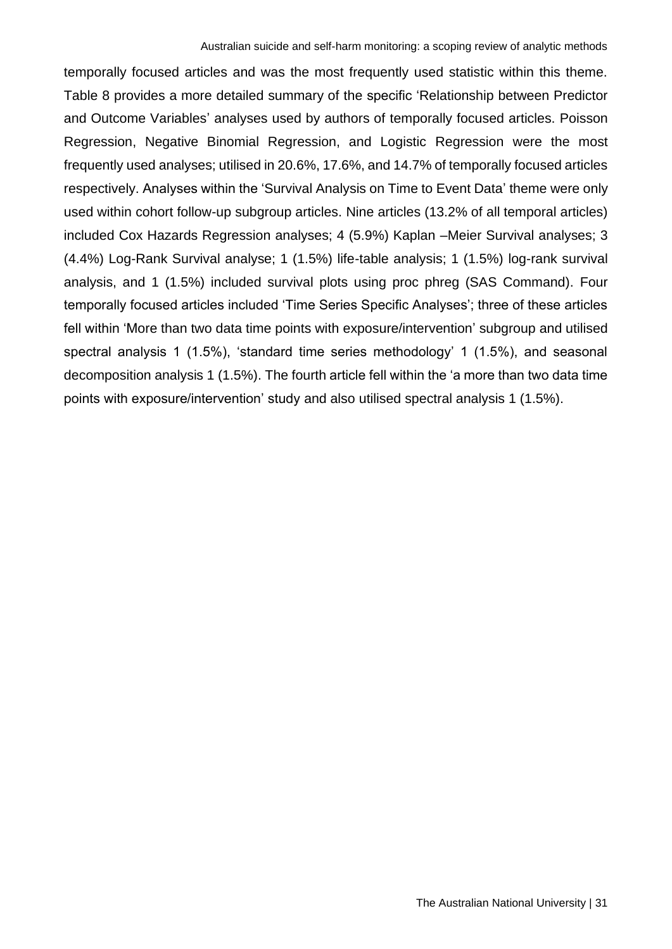temporally focused articles and was the most frequently used statistic within this theme. Table 8 provides a more detailed summary of the specific 'Relationship between Predictor and Outcome Variables' analyses used by authors of temporally focused articles. Poisson Regression, Negative Binomial Regression, and Logistic Regression were the most frequently used analyses; utilised in 20.6%, 17.6%, and 14.7% of temporally focused articles respectively. Analyses within the 'Survival Analysis on Time to Event Data' theme were only used within cohort follow-up subgroup articles. Nine articles (13.2% of all temporal articles) included Cox Hazards Regression analyses; 4 (5.9%) Kaplan –Meier Survival analyses; 3 (4.4%) Log-Rank Survival analyse; 1 (1.5%) life-table analysis; 1 (1.5%) log-rank survival analysis, and 1 (1.5%) included survival plots using proc phreg (SAS Command). Four temporally focused articles included 'Time Series Specific Analyses'; three of these articles fell within 'More than two data time points with exposure/intervention' subgroup and utilised spectral analysis 1 (1.5%), 'standard time series methodology' 1 (1.5%), and seasonal decomposition analysis 1 (1.5%). The fourth article fell within the 'a more than two data time points with exposure/intervention' study and also utilised spectral analysis 1 (1.5%).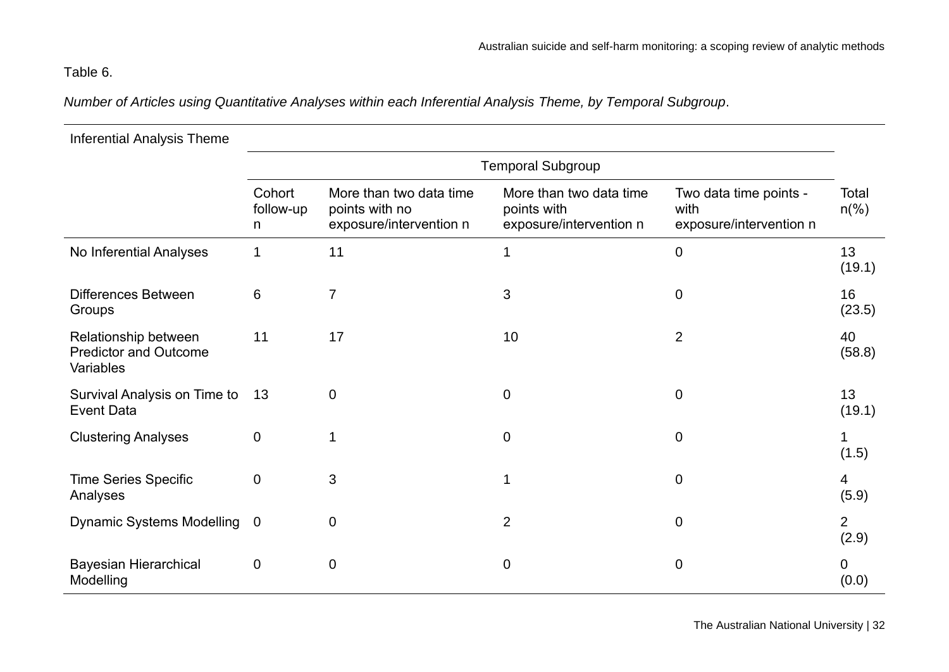# Table 6.

*Number of Articles using Quantitative Analyses within each Inferential Analysis Theme, by Temporal Subgroup*.

| <b>Inferential Analysis Theme</b>                                 |                          |                                                                      |                                                                   |                                                           |                         |
|-------------------------------------------------------------------|--------------------------|----------------------------------------------------------------------|-------------------------------------------------------------------|-----------------------------------------------------------|-------------------------|
|                                                                   |                          |                                                                      | <b>Temporal Subgroup</b>                                          |                                                           |                         |
|                                                                   | Cohort<br>follow-up<br>n | More than two data time<br>points with no<br>exposure/intervention n | More than two data time<br>points with<br>exposure/intervention n | Two data time points -<br>with<br>exposure/intervention n | Total<br>$n\frac{6}{6}$ |
| No Inferential Analyses                                           |                          | 11                                                                   | 1                                                                 | $\mathbf 0$                                               | 13<br>(19.1)            |
| <b>Differences Between</b><br>Groups                              | 6                        | $\overline{7}$                                                       | 3                                                                 | $\mathbf 0$                                               | 16<br>(23.5)            |
| Relationship between<br><b>Predictor and Outcome</b><br>Variables | 11                       | 17                                                                   | 10                                                                | 2                                                         | 40<br>(58.8)            |
| Survival Analysis on Time to<br><b>Event Data</b>                 | 13                       | $\overline{0}$                                                       | $\mathbf 0$                                                       | $\overline{0}$                                            | 13<br>(19.1)            |
| <b>Clustering Analyses</b>                                        | $\mathbf 0$              | 1                                                                    | $\boldsymbol{0}$                                                  | $\mathbf 0$                                               | (1.5)                   |
| <b>Time Series Specific</b><br>Analyses                           | $\mathbf 0$              | 3                                                                    | 1                                                                 | $\mathbf 0$                                               | 4<br>(5.9)              |
| <b>Dynamic Systems Modelling</b>                                  | $\overline{0}$           | $\mathbf 0$                                                          | $\overline{2}$                                                    | $\mathbf 0$                                               | $\overline{2}$<br>(2.9) |
| <b>Bayesian Hierarchical</b><br>Modelling                         | $\mathbf 0$              | $\mathbf 0$                                                          | $\mathbf 0$                                                       | $\mathbf 0$                                               | 0<br>(0.0)              |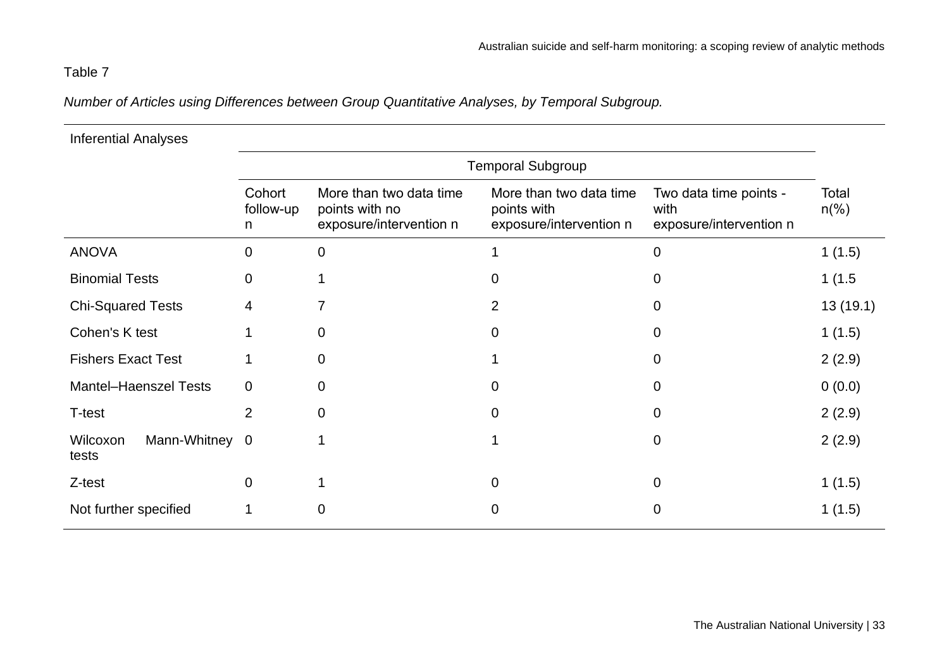# Table 7

*Number of Articles using Differences between Group Quantitative Analyses, by Temporal Subgroup.*

| <b>Inferential Analyses</b>         |                          |                                                                      |                                                                   |                                                           |                         |
|-------------------------------------|--------------------------|----------------------------------------------------------------------|-------------------------------------------------------------------|-----------------------------------------------------------|-------------------------|
|                                     |                          |                                                                      | <b>Temporal Subgroup</b>                                          |                                                           |                         |
|                                     | Cohort<br>follow-up<br>n | More than two data time<br>points with no<br>exposure/intervention n | More than two data time<br>points with<br>exposure/intervention n | Two data time points -<br>with<br>exposure/intervention n | Total<br>$n\frac{6}{6}$ |
| <b>ANOVA</b>                        | $\overline{0}$           | $\mathbf 0$                                                          |                                                                   | 0                                                         | 1(1.5)                  |
| <b>Binomial Tests</b>               | 0                        |                                                                      | $\mathbf{0}$                                                      | 0                                                         | 1(1.5)                  |
| <b>Chi-Squared Tests</b>            | 4                        | 7                                                                    | 2                                                                 | 0                                                         | 13(19.1)                |
| Cohen's K test                      |                          | $\mathbf 0$                                                          | 0                                                                 | 0                                                         | 1(1.5)                  |
| <b>Fishers Exact Test</b>           |                          | $\overline{0}$                                                       |                                                                   | $\Omega$                                                  | 2(2.9)                  |
| <b>Mantel-Haenszel Tests</b>        | $\mathbf 0$              | $\overline{0}$                                                       | $\overline{0}$                                                    | 0                                                         | 0(0.0)                  |
| T-test                              | $\overline{2}$           | $\overline{0}$                                                       | $\Omega$                                                          | 0                                                         | 2(2.9)                  |
| Wilcoxon<br>Mann-Whitney 0<br>tests |                          |                                                                      |                                                                   | $\mathbf 0$                                               | 2(2.9)                  |
| Z-test                              | $\mathbf 0$              |                                                                      | 0                                                                 | 0                                                         | 1(1.5)                  |
| Not further specified               |                          | 0                                                                    | 0                                                                 | 0                                                         | 1(1.5)                  |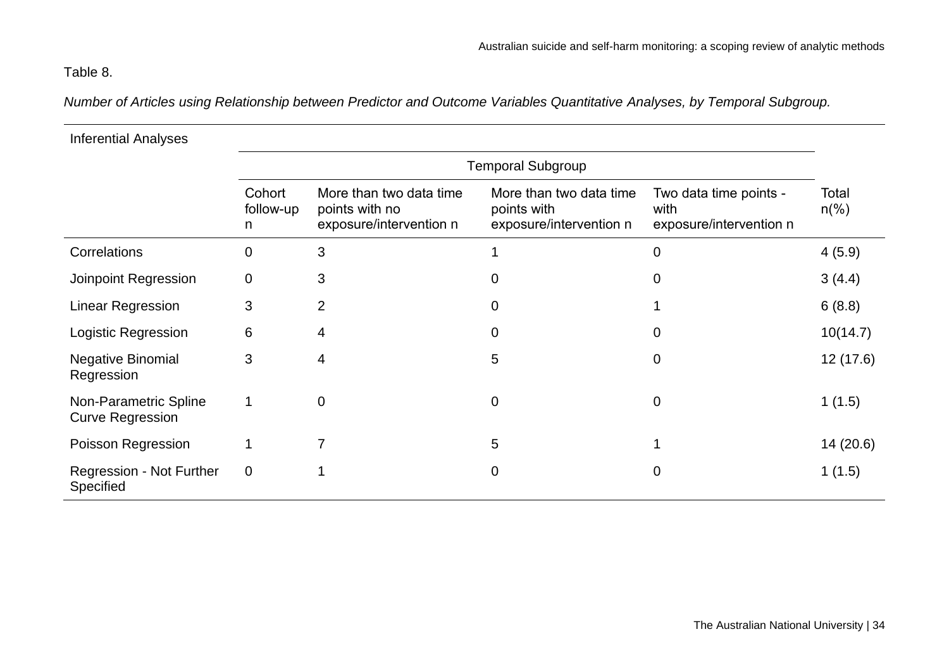# Table 8.

*Number of Articles using Relationship between Predictor and Outcome Variables Quantitative Analyses, by Temporal Subgroup.*

| <b>Inferential Analyses</b>                      |                          |                                                                      |                                                                   |                                                           |                         |  |  |  |
|--------------------------------------------------|--------------------------|----------------------------------------------------------------------|-------------------------------------------------------------------|-----------------------------------------------------------|-------------------------|--|--|--|
|                                                  | <b>Temporal Subgroup</b> |                                                                      |                                                                   |                                                           |                         |  |  |  |
|                                                  | Cohort<br>follow-up<br>n | More than two data time<br>points with no<br>exposure/intervention n | More than two data time<br>points with<br>exposure/intervention n | Two data time points -<br>with<br>exposure/intervention n | Total<br>$n\frac{6}{6}$ |  |  |  |
| Correlations                                     | $\overline{0}$           | 3                                                                    |                                                                   | 0                                                         | 4(5.9)                  |  |  |  |
| Joinpoint Regression                             | $\mathbf 0$              | 3                                                                    | 0                                                                 | 0                                                         | 3(4.4)                  |  |  |  |
| <b>Linear Regression</b>                         | 3                        | 2                                                                    | 0                                                                 |                                                           | 6(8.8)                  |  |  |  |
| Logistic Regression                              | 6                        | 4                                                                    | $\overline{0}$                                                    | 0                                                         | 10(14.7)                |  |  |  |
| <b>Negative Binomial</b><br>Regression           | 3                        | 4                                                                    | 5                                                                 | 0                                                         | 12(17.6)                |  |  |  |
| Non-Parametric Spline<br><b>Curve Regression</b> | 1                        | $\overline{0}$                                                       | $\mathbf 0$                                                       | $\boldsymbol{0}$                                          | 1(1.5)                  |  |  |  |
| Poisson Regression                               | 1                        | 7                                                                    | 5                                                                 | 1                                                         | 14(20.6)                |  |  |  |
| <b>Regression - Not Further</b><br>Specified     | $\mathbf 0$              |                                                                      | 0                                                                 | 0                                                         | 1(1.5)                  |  |  |  |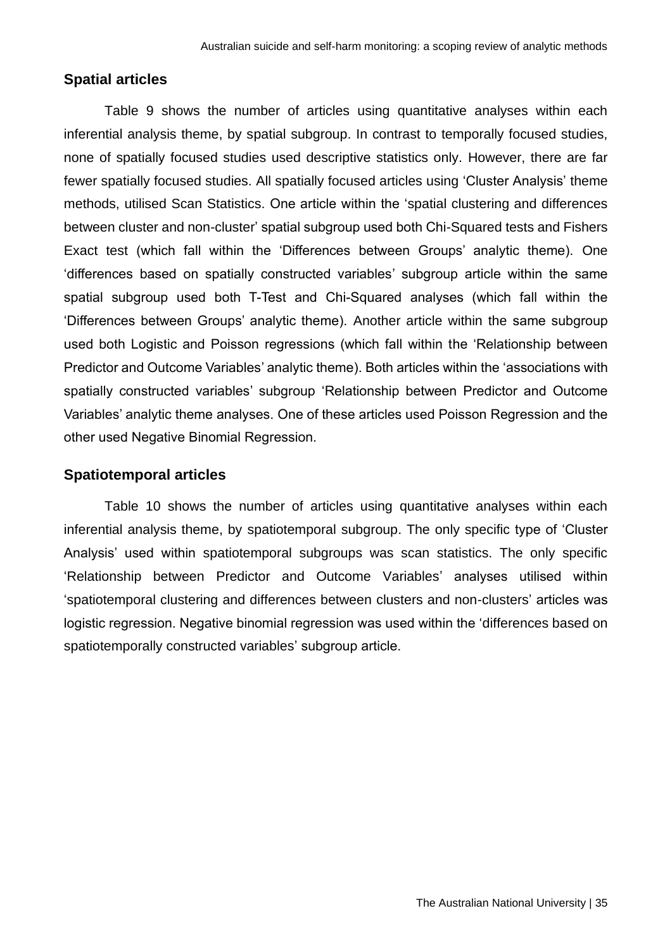#### <span id="page-34-0"></span>**Spatial articles**

Table 9 shows the number of articles using quantitative analyses within each inferential analysis theme, by spatial subgroup. In contrast to temporally focused studies, none of spatially focused studies used descriptive statistics only. However, there are far fewer spatially focused studies. All spatially focused articles using 'Cluster Analysis' theme methods, utilised Scan Statistics. One article within the 'spatial clustering and differences between cluster and non-cluster' spatial subgroup used both Chi-Squared tests and Fishers Exact test (which fall within the 'Differences between Groups' analytic theme). One 'differences based on spatially constructed variables' subgroup article within the same spatial subgroup used both T-Test and Chi-Squared analyses (which fall within the 'Differences between Groups' analytic theme). Another article within the same subgroup used both Logistic and Poisson regressions (which fall within the 'Relationship between Predictor and Outcome Variables' analytic theme). Both articles within the 'associations with spatially constructed variables' subgroup 'Relationship between Predictor and Outcome Variables' analytic theme analyses. One of these articles used Poisson Regression and the other used Negative Binomial Regression.

#### <span id="page-34-1"></span>**Spatiotemporal articles**

Table 10 shows the number of articles using quantitative analyses within each inferential analysis theme, by spatiotemporal subgroup. The only specific type of 'Cluster Analysis' used within spatiotemporal subgroups was scan statistics. The only specific 'Relationship between Predictor and Outcome Variables' analyses utilised within 'spatiotemporal clustering and differences between clusters and non-clusters' articles was logistic regression. Negative binomial regression was used within the 'differences based on spatiotemporally constructed variables' subgroup article.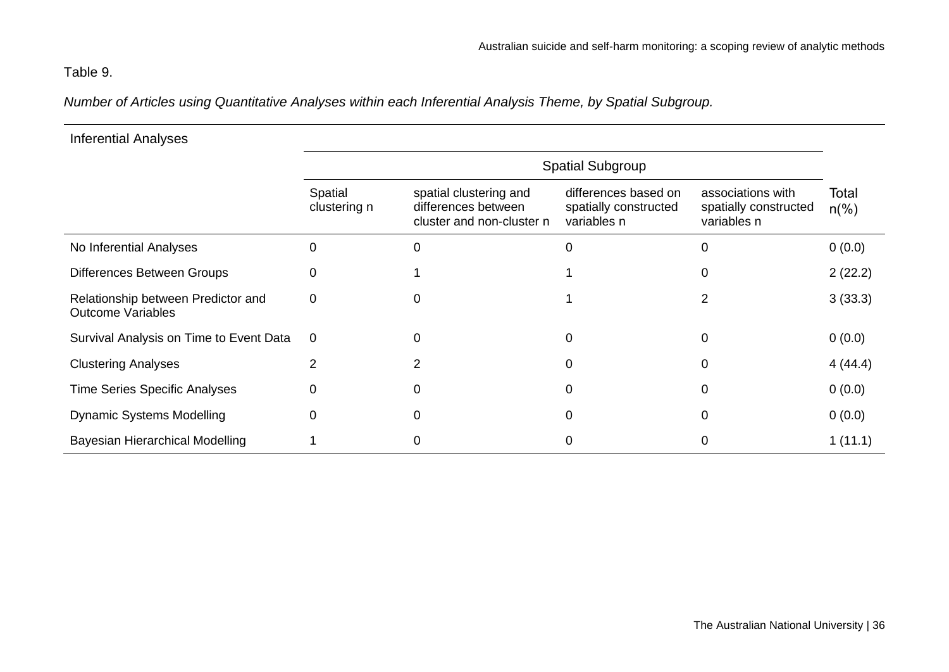# Table 9.

*Number of Articles using Quantitative Analyses within each Inferential Analysis Theme, by Spatial Subgroup.*

| <b>Inferential Analyses</b>                                    |                         |                                                                            |                                                              |                                                           |                         |
|----------------------------------------------------------------|-------------------------|----------------------------------------------------------------------------|--------------------------------------------------------------|-----------------------------------------------------------|-------------------------|
|                                                                |                         |                                                                            | <b>Spatial Subgroup</b>                                      |                                                           |                         |
|                                                                | Spatial<br>clustering n | spatial clustering and<br>differences between<br>cluster and non-cluster n | differences based on<br>spatially constructed<br>variables n | associations with<br>spatially constructed<br>variables n | Total<br>$n\frac{6}{6}$ |
| No Inferential Analyses                                        | 0                       | 0                                                                          | 0                                                            |                                                           | 0(0.0)                  |
| Differences Between Groups                                     | 0                       |                                                                            |                                                              | O                                                         | 2(22.2)                 |
| Relationship between Predictor and<br><b>Outcome Variables</b> | 0                       | 0                                                                          |                                                              | 2                                                         | 3(33.3)                 |
| Survival Analysis on Time to Event Data                        | $\mathbf 0$             | 0                                                                          | O                                                            | 0                                                         | 0(0.0)                  |
| <b>Clustering Analyses</b>                                     | 2                       |                                                                            | 0                                                            |                                                           | 4(44.4)                 |
| <b>Time Series Specific Analyses</b>                           | 0                       | 0                                                                          | 0                                                            | 0                                                         | 0(0.0)                  |
| <b>Dynamic Systems Modelling</b>                               | 0                       | 0                                                                          | Ω                                                            | 0                                                         | 0(0.0)                  |
| <b>Bayesian Hierarchical Modelling</b>                         |                         | 0                                                                          | O                                                            |                                                           | 1(11.1)                 |

The Australian National University | 36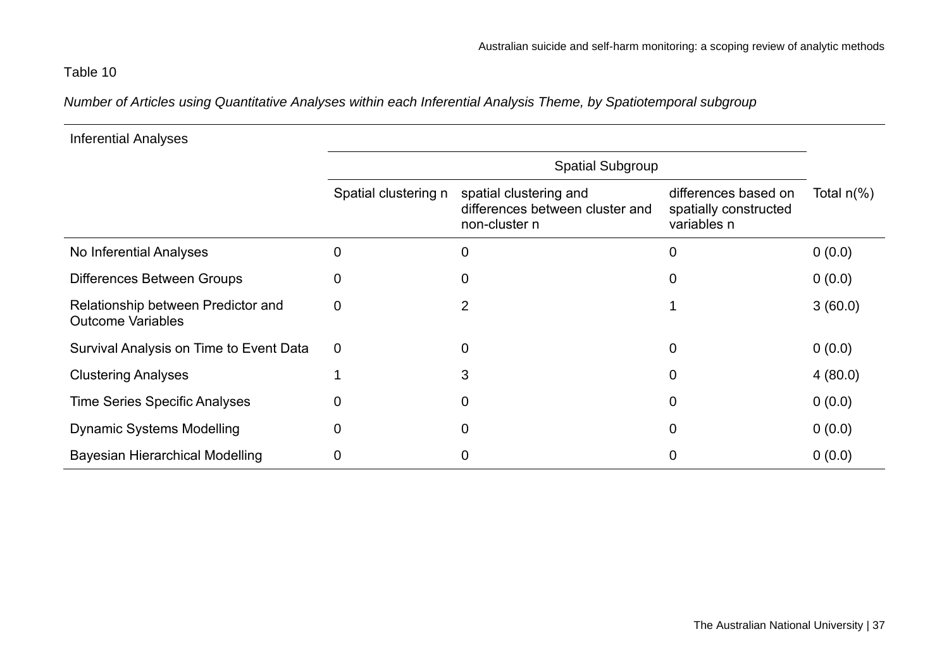## Table 10

*Number of Articles using Quantitative Analyses within each Inferential Analysis Theme, by Spatiotemporal subgroup*

| <b>Inferential Analyses</b>                                    |                         |                                                                            |                                                              |               |  |  |
|----------------------------------------------------------------|-------------------------|----------------------------------------------------------------------------|--------------------------------------------------------------|---------------|--|--|
|                                                                | <b>Spatial Subgroup</b> |                                                                            |                                                              |               |  |  |
|                                                                | Spatial clustering n    | spatial clustering and<br>differences between cluster and<br>non-cluster n | differences based on<br>spatially constructed<br>variables n | Total $n(\%)$ |  |  |
| No Inferential Analyses                                        | 0                       | $\mathbf 0$                                                                | 0                                                            | 0(0.0)        |  |  |
| <b>Differences Between Groups</b>                              | 0                       | 0                                                                          | 0                                                            | 0(0.0)        |  |  |
| Relationship between Predictor and<br><b>Outcome Variables</b> | $\overline{0}$          | 2                                                                          |                                                              | 3(60.0)       |  |  |
| Survival Analysis on Time to Event Data                        | $\mathbf 0$             | $\mathbf 0$                                                                | 0                                                            | 0(0.0)        |  |  |
| <b>Clustering Analyses</b>                                     |                         | 3                                                                          | 0                                                            | 4(80.0)       |  |  |
| <b>Time Series Specific Analyses</b>                           | 0                       | $\mathbf 0$                                                                | 0                                                            | 0(0.0)        |  |  |
| <b>Dynamic Systems Modelling</b>                               | $\Omega$                | $\overline{0}$                                                             | 0                                                            | 0(0.0)        |  |  |
| <b>Bayesian Hierarchical Modelling</b>                         | 0                       | 0                                                                          | 0                                                            | 0(0.0)        |  |  |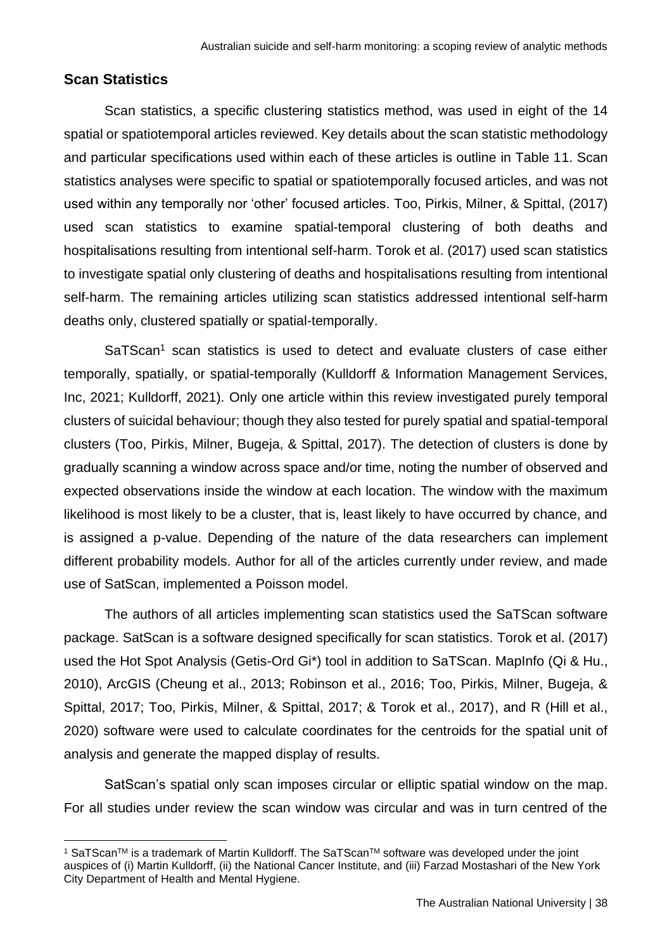#### **Scan Statistics**

Scan statistics, a specific clustering statistics method, was used in eight of the 14 spatial or spatiotemporal articles reviewed. Key details about the scan statistic methodology and particular specifications used within each of these articles is outline in Table 11. Scan statistics analyses were specific to spatial or spatiotemporally focused articles, and was not used within any temporally nor 'other' focused articles. Too, Pirkis, Milner, & Spittal, (2017) used scan statistics to examine spatial-temporal clustering of both deaths and hospitalisations resulting from intentional self-harm. Torok et al. (2017) used scan statistics to investigate spatial only clustering of deaths and hospitalisations resulting from intentional self-harm. The remaining articles utilizing scan statistics addressed intentional self-harm deaths only, clustered spatially or spatial-temporally.

SaTScan<sup>1</sup> scan statistics is used to detect and evaluate clusters of case either temporally, spatially, or spatial-temporally (Kulldorff & Information Management Services, Inc, 2021; Kulldorff, 2021). Only one article within this review investigated purely temporal clusters of suicidal behaviour; though they also tested for purely spatial and spatial-temporal clusters (Too, Pirkis, Milner, Bugeja, & Spittal, 2017). The detection of clusters is done by gradually scanning a window across space and/or time, noting the number of observed and expected observations inside the window at each location. The window with the maximum likelihood is most likely to be a cluster, that is, least likely to have occurred by chance, and is assigned a p-value. Depending of the nature of the data researchers can implement different probability models. Author for all of the articles currently under review, and made use of SatScan, implemented a Poisson model.

The authors of all articles implementing scan statistics used the SaTScan software package. SatScan is a software designed specifically for scan statistics. Torok et al. (2017) used the Hot Spot Analysis (Getis-Ord Gi\*) tool in addition to SaTScan. MapInfo (Qi & Hu., 2010), ArcGIS (Cheung et al., 2013; Robinson et al., 2016; Too, Pirkis, Milner, Bugeja, & Spittal, 2017; Too, Pirkis, Milner, & Spittal, 2017; & Torok et al., 2017), and R (Hill et al., 2020) software were used to calculate coordinates for the centroids for the spatial unit of analysis and generate the mapped display of results.

SatScan's spatial only scan imposes circular or elliptic spatial window on the map. For all studies under review the scan window was circular and was in turn centred of the

<sup>&</sup>lt;sup>1</sup> SaTScan™ is a trademark of Martin Kulldorff. The SaTScan™ software was developed under the joint auspices of (i) Martin Kulldorff, (ii) the National Cancer Institute, and (iii) Farzad Mostashari of the New York City Department of Health and Mental Hygiene.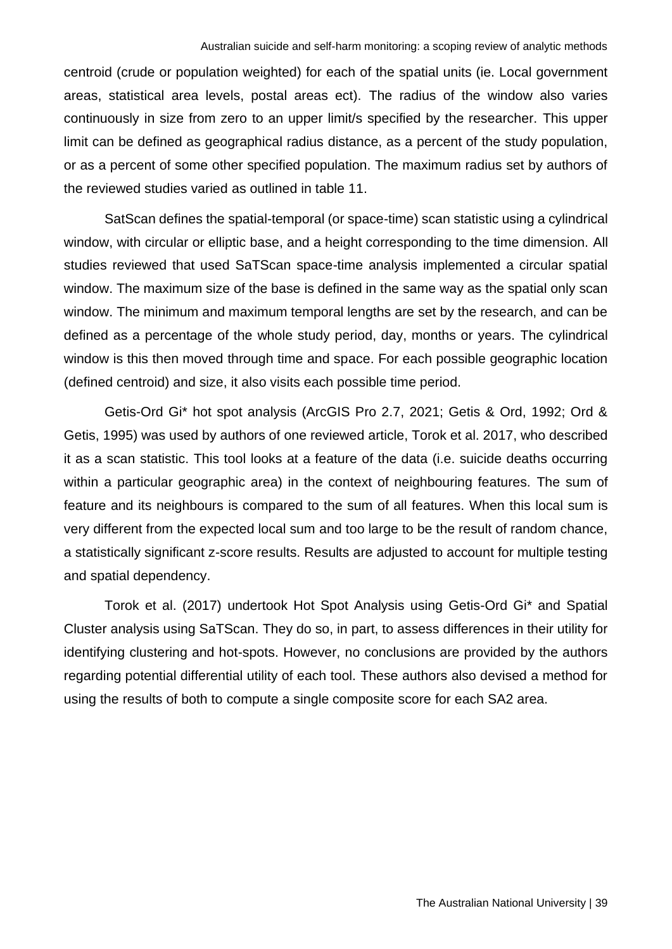centroid (crude or population weighted) for each of the spatial units (ie. Local government areas, statistical area levels, postal areas ect). The radius of the window also varies continuously in size from zero to an upper limit/s specified by the researcher. This upper limit can be defined as geographical radius distance, as a percent of the study population, or as a percent of some other specified population. The maximum radius set by authors of the reviewed studies varied as outlined in table 11.

SatScan defines the spatial-temporal (or space-time) scan statistic using a cylindrical window, with circular or elliptic base, and a height corresponding to the time dimension. All studies reviewed that used SaTScan space-time analysis implemented a circular spatial window. The maximum size of the base is defined in the same way as the spatial only scan window. The minimum and maximum temporal lengths are set by the research, and can be defined as a percentage of the whole study period, day, months or years. The cylindrical window is this then moved through time and space. For each possible geographic location (defined centroid) and size, it also visits each possible time period.

Getis-Ord Gi\* hot spot analysis (ArcGIS Pro 2.7, 2021; Getis & Ord, 1992; Ord & Getis, 1995) was used by authors of one reviewed article, Torok et al. 2017, who described it as a scan statistic. This tool looks at a feature of the data (i.e. suicide deaths occurring within a particular geographic area) in the context of neighbouring features. The sum of feature and its neighbours is compared to the sum of all features. When this local sum is very different from the expected local sum and too large to be the result of random chance, a statistically significant z-score results. Results are adjusted to account for multiple testing and spatial dependency.

Torok et al. (2017) undertook Hot Spot Analysis using Getis-Ord Gi\* and Spatial Cluster analysis using SaTScan. They do so, in part, to assess differences in their utility for identifying clustering and hot-spots. However, no conclusions are provided by the authors regarding potential differential utility of each tool. These authors also devised a method for using the results of both to compute a single composite score for each SA2 area.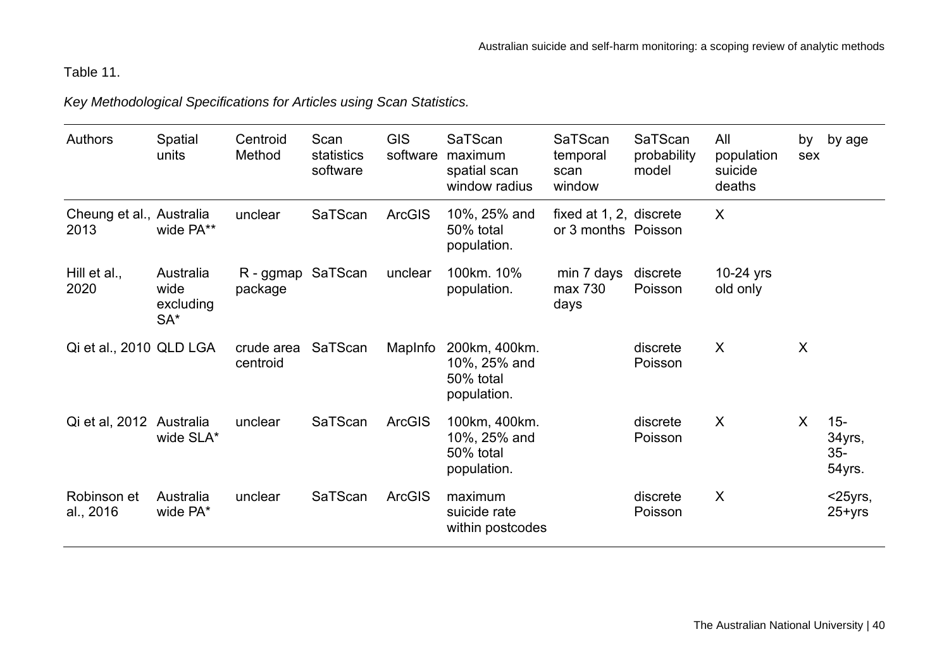# Table 11.

*Key Methodological Specifications for Articles using Scan Statistics.* 

| <b>Authors</b>                   | Spatial<br>units                         | Centroid<br>Method     | Scan<br>statistics<br>software | <b>GIS</b><br>software | SaTScan<br>maximum<br>spatial scan<br>window radius       | SaTScan<br>temporal<br>scan<br>window          | SaTScan<br>probability<br>model | All<br>population<br>suicide<br>deaths | by<br>sex | by age                              |
|----------------------------------|------------------------------------------|------------------------|--------------------------------|------------------------|-----------------------------------------------------------|------------------------------------------------|---------------------------------|----------------------------------------|-----------|-------------------------------------|
| Cheung et al., Australia<br>2013 | wide PA**                                | unclear                | SaTScan                        | <b>ArcGIS</b>          | 10%, 25% and<br>50% total<br>population.                  | fixed at 1, 2, discrete<br>or 3 months Poisson |                                 | X                                      |           |                                     |
| Hill et al.,<br>2020             | Australia<br>wide<br>excluding<br>$SA^*$ | R - ggmap<br>package   | SaTScan                        | unclear                | 100km. 10%<br>population.                                 | min 7 days<br>max 730<br>days                  | discrete<br>Poisson             | $10-24$ yrs<br>old only                |           |                                     |
| Qi et al., 2010 QLD LGA          |                                          | crude area<br>centroid | SaTScan                        | MapInfo                | 200km, 400km.<br>10%, 25% and<br>50% total<br>population. |                                                | discrete<br>Poisson             | $\sf X$                                | X         |                                     |
| Qi et al, 2012                   | Australia<br>wide SLA*                   | unclear                | SaTScan                        | <b>ArcGIS</b>          | 100km, 400km.<br>10%, 25% and<br>50% total<br>population. |                                                | discrete<br>Poisson             | X                                      | X         | $15 -$<br>34yrs,<br>$35-$<br>54yrs. |
| Robinson et<br>al., 2016         | Australia<br>wide PA*                    | unclear                | SaTScan                        | <b>ArcGIS</b>          | maximum<br>suicide rate<br>within postcodes               |                                                | discrete<br>Poisson             | X                                      |           | $<$ 25yrs,<br>$25 + yrs$            |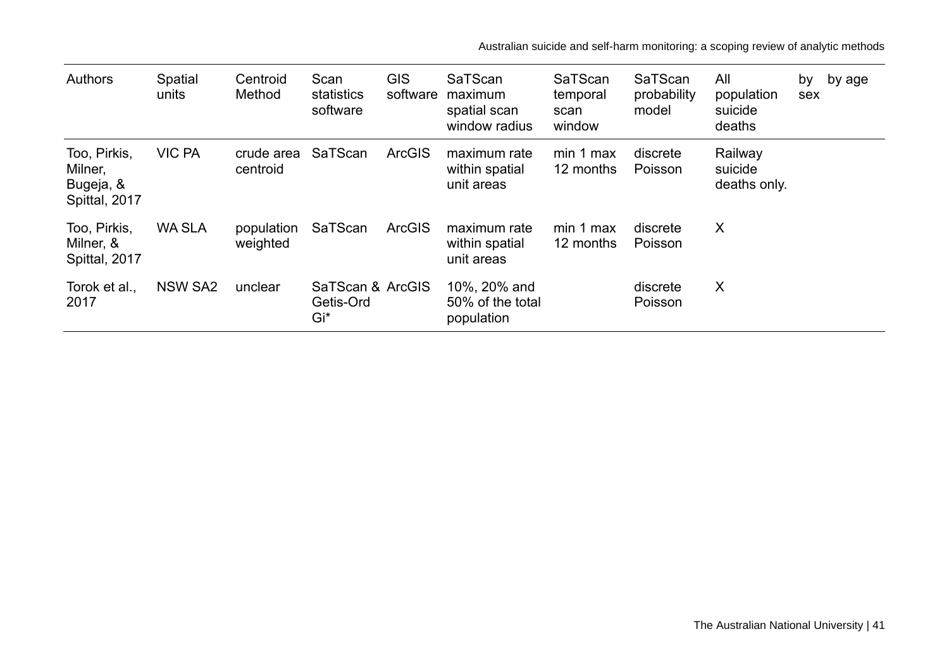Australian suicide and self-harm monitoring: a scoping review of analytic methods

| <b>Authors</b>                                        | Spatial<br>units | Centroid<br>Method     | Scan<br>statistics<br>software       | <b>GIS</b><br>software | SaTScan<br>maximum<br>spatial scan<br>window radius | SaTScan<br>temporal<br>scan<br>window | SaTScan<br>probability<br>model | All<br>population<br>suicide<br>deaths | by<br>sex | by age |
|-------------------------------------------------------|------------------|------------------------|--------------------------------------|------------------------|-----------------------------------------------------|---------------------------------------|---------------------------------|----------------------------------------|-----------|--------|
| Too, Pirkis,<br>Milner,<br>Bugeja, &<br>Spittal, 2017 | <b>VIC PA</b>    | crude area<br>centroid | SaTScan                              | <b>ArcGIS</b>          | maximum rate<br>within spatial<br>unit areas        | min 1 max<br>12 months                | discrete<br>Poisson             | Railway<br>suicide<br>deaths only.     |           |        |
| Too, Pirkis,<br>Milner, &<br>Spittal, 2017            | <b>WA SLA</b>    | population<br>weighted | SaTScan                              | <b>ArcGIS</b>          | maximum rate<br>within spatial<br>unit areas        | min 1 max<br>12 months                | discrete<br>Poisson             | $\boldsymbol{\mathsf{X}}$              |           |        |
| Torok et al.,<br>2017                                 | <b>NSW SA2</b>   | unclear                | SaTScan & ArcGIS<br>Getis-Ord<br>Gi* |                        | 10%, 20% and<br>50% of the total<br>population      |                                       | discrete<br>Poisson             | X                                      |           |        |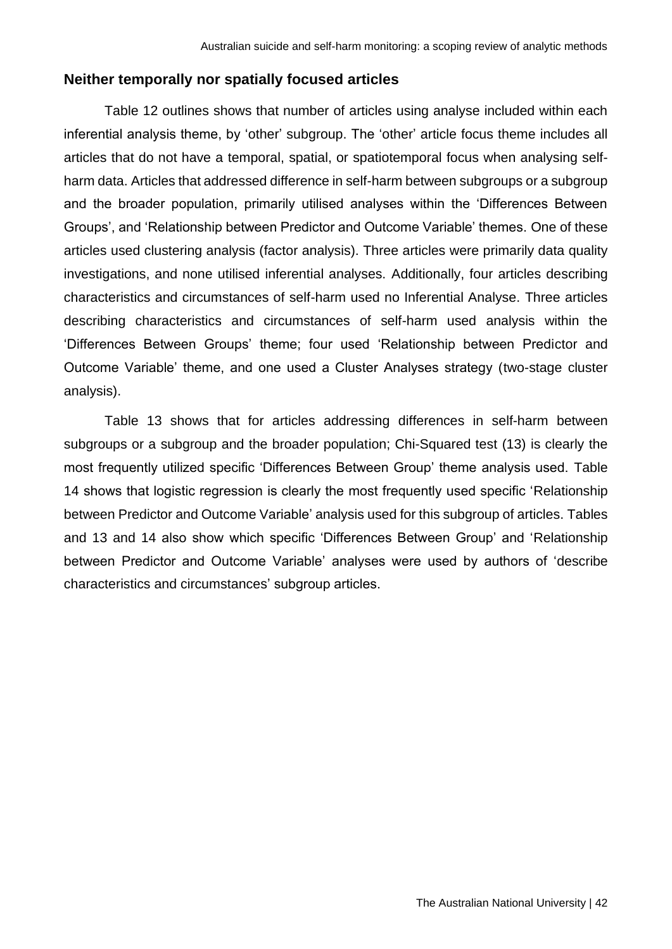### **Neither temporally nor spatially focused articles**

Table 12 outlines shows that number of articles using analyse included within each inferential analysis theme, by 'other' subgroup. The 'other' article focus theme includes all articles that do not have a temporal, spatial, or spatiotemporal focus when analysing selfharm data. Articles that addressed difference in self-harm between subgroups or a subgroup and the broader population, primarily utilised analyses within the 'Differences Between Groups', and 'Relationship between Predictor and Outcome Variable' themes. One of these articles used clustering analysis (factor analysis). Three articles were primarily data quality investigations, and none utilised inferential analyses. Additionally, four articles describing characteristics and circumstances of self-harm used no Inferential Analyse. Three articles describing characteristics and circumstances of self-harm used analysis within the 'Differences Between Groups' theme; four used 'Relationship between Predictor and Outcome Variable' theme, and one used a Cluster Analyses strategy (two-stage cluster analysis).

Table 13 shows that for articles addressing differences in self-harm between subgroups or a subgroup and the broader population; Chi-Squared test (13) is clearly the most frequently utilized specific 'Differences Between Group' theme analysis used. Table 14 shows that logistic regression is clearly the most frequently used specific 'Relationship between Predictor and Outcome Variable' analysis used for this subgroup of articles. Tables and 13 and 14 also show which specific 'Differences Between Group' and 'Relationship between Predictor and Outcome Variable' analyses were used by authors of 'describe characteristics and circumstances' subgroup articles.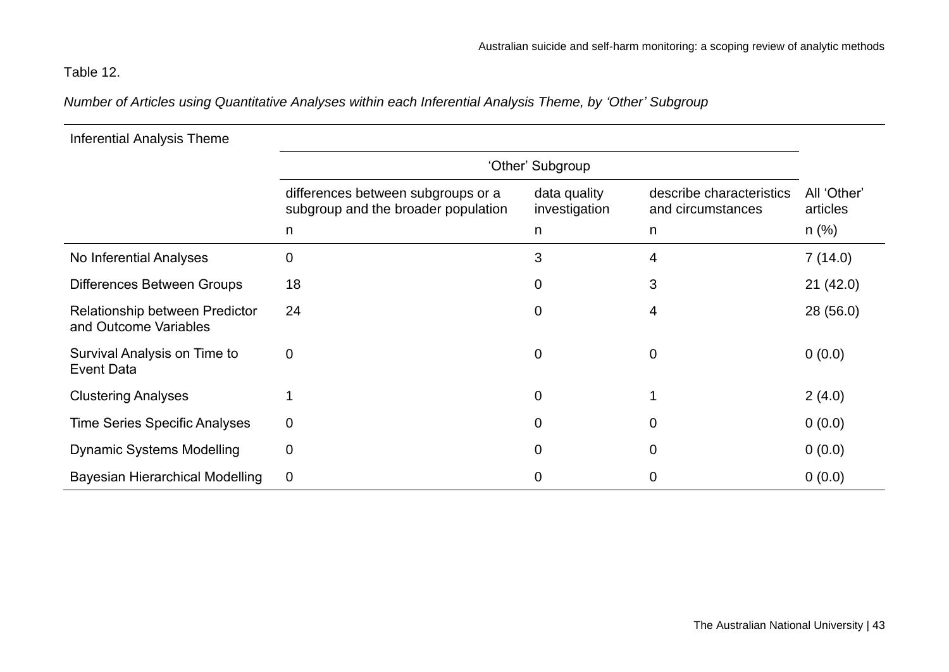# Table 12.

*Number of Articles using Quantitative Analyses within each Inferential Analysis Theme, by 'Other' Subgroup*

| <b>Inferential Analysis Theme</b>                       |                                                                           |                               |                                               |                         |  |  |
|---------------------------------------------------------|---------------------------------------------------------------------------|-------------------------------|-----------------------------------------------|-------------------------|--|--|
|                                                         | 'Other' Subgroup                                                          |                               |                                               |                         |  |  |
|                                                         | differences between subgroups or a<br>subgroup and the broader population | data quality<br>investigation | describe characteristics<br>and circumstances | All 'Other'<br>articles |  |  |
|                                                         | $\mathsf{n}$                                                              | n                             | $\mathsf{n}$                                  | $n$ (%)                 |  |  |
| No Inferential Analyses                                 | $\mathbf 0$                                                               | 3                             | 4                                             | 7(14.0)                 |  |  |
| <b>Differences Between Groups</b>                       | 18                                                                        | $\mathbf 0$                   | 3                                             | 21(42.0)                |  |  |
| Relationship between Predictor<br>and Outcome Variables | 24                                                                        | 0                             | 4                                             | 28 (56.0)               |  |  |
| Survival Analysis on Time to<br><b>Event Data</b>       | $\mathbf 0$                                                               | $\mathbf 0$                   | $\mathbf 0$                                   | 0(0.0)                  |  |  |
| <b>Clustering Analyses</b>                              |                                                                           | $\mathbf 0$                   |                                               | 2(4.0)                  |  |  |
| <b>Time Series Specific Analyses</b>                    | $\boldsymbol{0}$                                                          | $\Omega$                      | $\overline{0}$                                | 0(0.0)                  |  |  |
| <b>Dynamic Systems Modelling</b>                        | $\mathbf 0$                                                               | $\Omega$                      | $\mathbf 0$                                   | 0(0.0)                  |  |  |
| <b>Bayesian Hierarchical Modelling</b>                  | $\overline{0}$                                                            | 0                             | $\mathbf 0$                                   | 0(0.0)                  |  |  |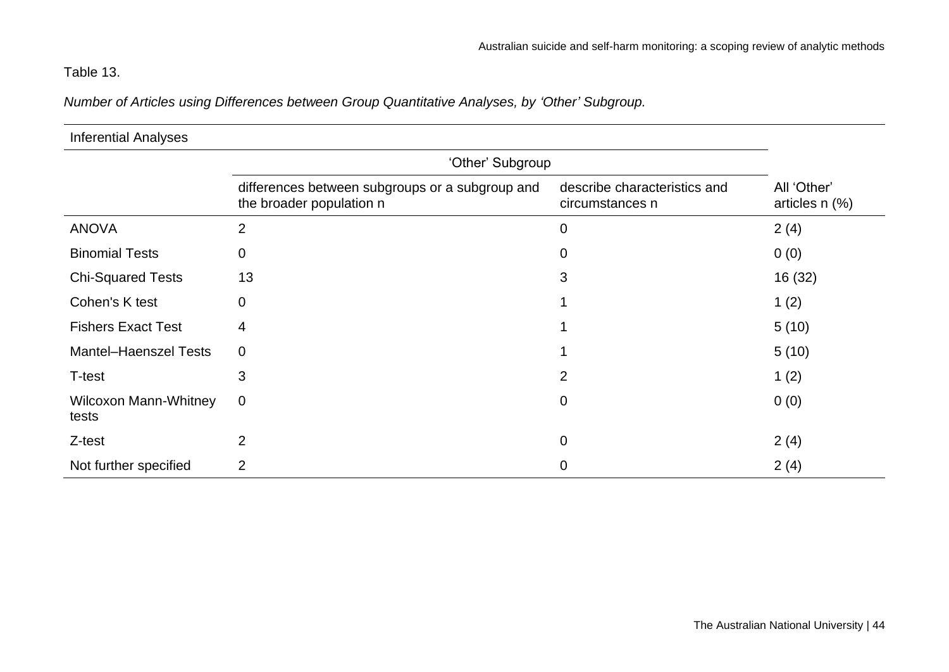# Table 13.

*Number of Articles using Differences between Group Quantitative Analyses, by 'Other' Subgroup.*

| <b>Inferential Analyses</b>           |                                                                             |                                                 |                                    |
|---------------------------------------|-----------------------------------------------------------------------------|-------------------------------------------------|------------------------------------|
|                                       |                                                                             |                                                 |                                    |
|                                       | differences between subgroups or a subgroup and<br>the broader population n | describe characteristics and<br>circumstances n | All 'Other'<br>articles $n$ $(\%)$ |
| <b>ANOVA</b>                          | $\overline{2}$                                                              | $\mathbf 0$                                     | 2(4)                               |
| <b>Binomial Tests</b>                 | 0                                                                           | $\overline{0}$                                  | 0(0)                               |
| <b>Chi-Squared Tests</b>              | 13                                                                          | 3                                               | 16 (32)                            |
| Cohen's K test                        | 0                                                                           |                                                 | 1(2)                               |
| <b>Fishers Exact Test</b>             | 4                                                                           |                                                 | 5(10)                              |
| <b>Mantel-Haenszel Tests</b>          | $\mathbf 0$                                                                 |                                                 | 5(10)                              |
| T-test                                | 3                                                                           | $\overline{2}$                                  | 1(2)                               |
| <b>Wilcoxon Mann-Whitney</b><br>tests | 0                                                                           | $\overline{0}$                                  | 0(0)                               |
| Z-test                                | $\overline{2}$                                                              | $\overline{0}$                                  | 2(4)                               |
| Not further specified                 | 2                                                                           | 0                                               | 2(4)                               |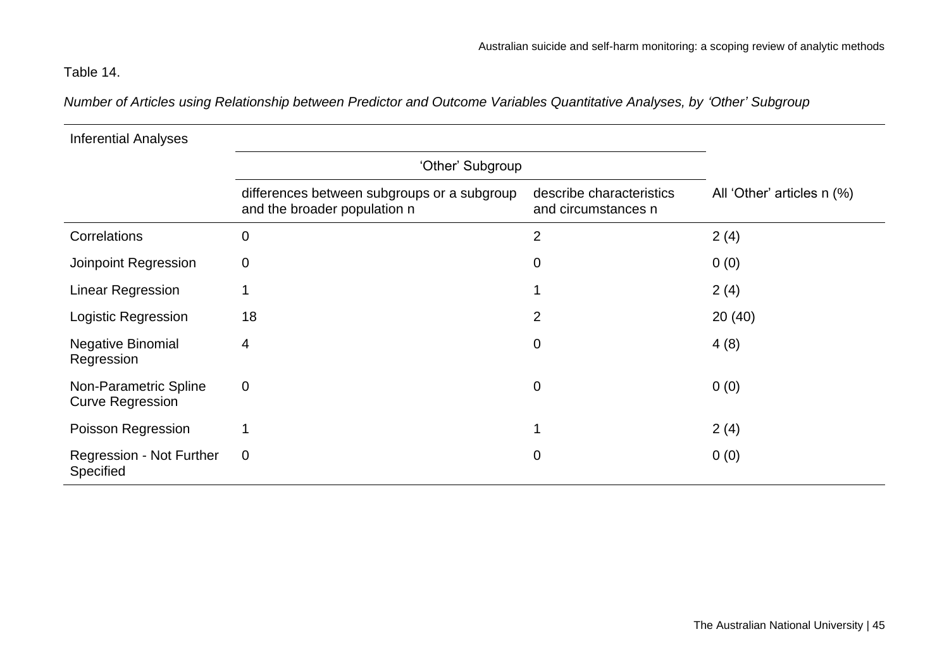# Table 14.

*Number of Articles using Relationship between Predictor and Outcome Variables Quantitative Analyses, by 'Other' Subgroup*

| <b>Inferential Analyses</b>                      |                                                                             |                                                 |                            |
|--------------------------------------------------|-----------------------------------------------------------------------------|-------------------------------------------------|----------------------------|
|                                                  | 'Other' Subgroup                                                            |                                                 |                            |
|                                                  | differences between subgroups or a subgroup<br>and the broader population n | describe characteristics<br>and circumstances n | All 'Other' articles n (%) |
| Correlations                                     | $\mathbf 0$                                                                 | $\overline{2}$                                  | 2(4)                       |
| Joinpoint Regression                             | $\mathbf 0$                                                                 | 0                                               | 0(0)                       |
| <b>Linear Regression</b>                         | 1                                                                           |                                                 | 2(4)                       |
| Logistic Regression                              | 18                                                                          | 2                                               | 20(40)                     |
| <b>Negative Binomial</b><br>Regression           | 4                                                                           | $\mathbf 0$                                     | 4(8)                       |
| Non-Parametric Spline<br><b>Curve Regression</b> | $\mathbf 0$                                                                 | $\overline{0}$                                  | 0(0)                       |
| Poisson Regression                               |                                                                             |                                                 | 2(4)                       |
| Regression - Not Further<br>Specified            | $\mathbf 0$                                                                 | $\mathbf 0$                                     | 0(0)                       |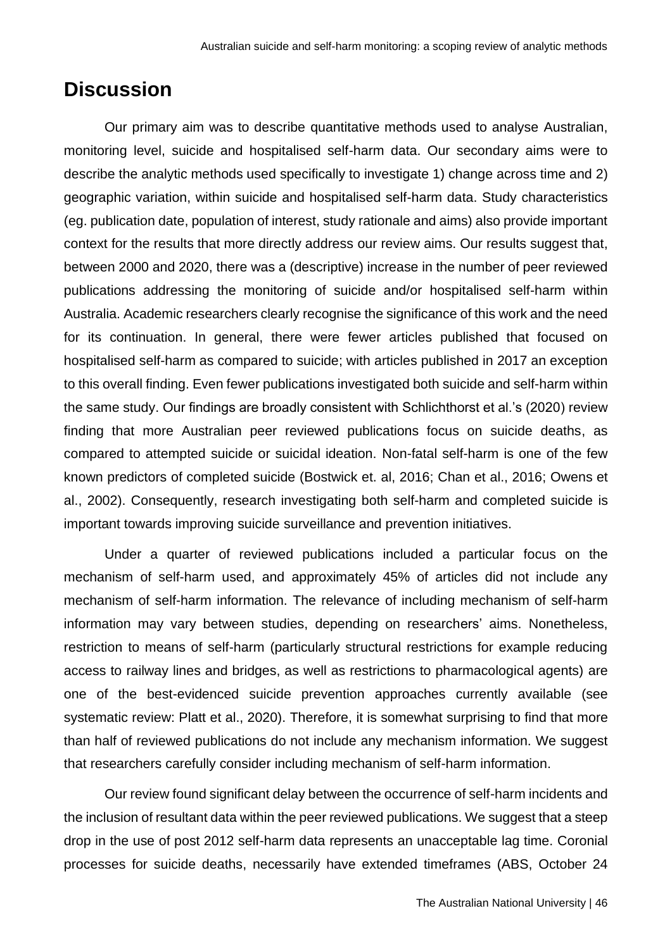# **Discussion**

Our primary aim was to describe quantitative methods used to analyse Australian, monitoring level, suicide and hospitalised self-harm data. Our secondary aims were to describe the analytic methods used specifically to investigate 1) change across time and 2) geographic variation, within suicide and hospitalised self-harm data. Study characteristics (eg. publication date, population of interest, study rationale and aims) also provide important context for the results that more directly address our review aims. Our results suggest that, between 2000 and 2020, there was a (descriptive) increase in the number of peer reviewed publications addressing the monitoring of suicide and/or hospitalised self-harm within Australia. Academic researchers clearly recognise the significance of this work and the need for its continuation. In general, there were fewer articles published that focused on hospitalised self-harm as compared to suicide; with articles published in 2017 an exception to this overall finding. Even fewer publications investigated both suicide and self-harm within the same study. Our findings are broadly consistent with Schlichthorst et al.'s (2020) review finding that more Australian peer reviewed publications focus on suicide deaths, as compared to attempted suicide or suicidal ideation. Non-fatal self-harm is one of the few known predictors of completed suicide (Bostwick et. al, 2016; Chan et al., 2016; Owens et al., 2002). Consequently, research investigating both self-harm and completed suicide is important towards improving suicide surveillance and prevention initiatives.

Under a quarter of reviewed publications included a particular focus on the mechanism of self-harm used, and approximately 45% of articles did not include any mechanism of self-harm information. The relevance of including mechanism of self-harm information may vary between studies, depending on researchers' aims. Nonetheless, restriction to means of self-harm (particularly structural restrictions for example reducing access to railway lines and bridges, as well as restrictions to pharmacological agents) are one of the best-evidenced suicide prevention approaches currently available (see systematic review: Platt et al., 2020). Therefore, it is somewhat surprising to find that more than half of reviewed publications do not include any mechanism information. We suggest that researchers carefully consider including mechanism of self-harm information.

Our review found significant delay between the occurrence of self-harm incidents and the inclusion of resultant data within the peer reviewed publications. We suggest that a steep drop in the use of post 2012 self-harm data represents an unacceptable lag time. Coronial processes for suicide deaths, necessarily have extended timeframes (ABS, October 24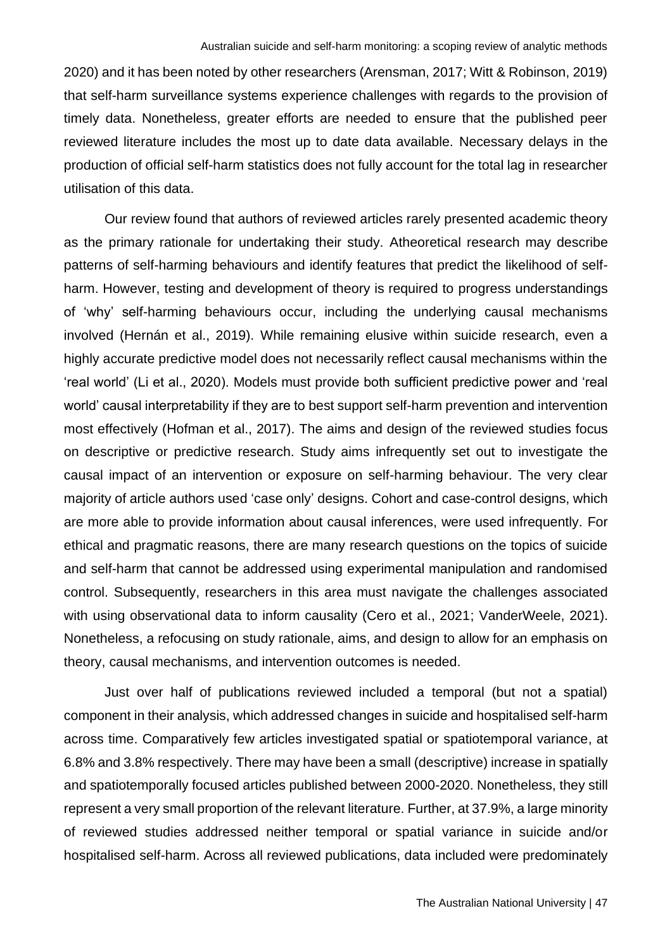2020) and it has been noted by other researchers (Arensman, 2017; Witt & Robinson, 2019) that self-harm surveillance systems experience challenges with regards to the provision of timely data. Nonetheless, greater efforts are needed to ensure that the published peer reviewed literature includes the most up to date data available. Necessary delays in the production of official self-harm statistics does not fully account for the total lag in researcher utilisation of this data.

Our review found that authors of reviewed articles rarely presented academic theory as the primary rationale for undertaking their study. Atheoretical research may describe patterns of self-harming behaviours and identify features that predict the likelihood of selfharm. However, testing and development of theory is required to progress understandings of 'why' self-harming behaviours occur, including the underlying causal mechanisms involved (Hernán et al., 2019). While remaining elusive within suicide research, even a highly accurate predictive model does not necessarily reflect causal mechanisms within the 'real world' (Li et al., 2020). Models must provide both sufficient predictive power and 'real world' causal interpretability if they are to best support self-harm prevention and intervention most effectively (Hofman et al., 2017). The aims and design of the reviewed studies focus on descriptive or predictive research. Study aims infrequently set out to investigate the causal impact of an intervention or exposure on self-harming behaviour. The very clear majority of article authors used 'case only' designs. Cohort and case-control designs, which are more able to provide information about causal inferences, were used infrequently. For ethical and pragmatic reasons, there are many research questions on the topics of suicide and self-harm that cannot be addressed using experimental manipulation and randomised control. Subsequently, researchers in this area must navigate the challenges associated with using observational data to inform causality (Cero et al., 2021; VanderWeele, 2021). Nonetheless, a refocusing on study rationale, aims, and design to allow for an emphasis on theory, causal mechanisms, and intervention outcomes is needed.

Just over half of publications reviewed included a temporal (but not a spatial) component in their analysis, which addressed changes in suicide and hospitalised self-harm across time. Comparatively few articles investigated spatial or spatiotemporal variance, at 6.8% and 3.8% respectively. There may have been a small (descriptive) increase in spatially and spatiotemporally focused articles published between 2000-2020. Nonetheless, they still represent a very small proportion of the relevant literature. Further, at 37.9%, a large minority of reviewed studies addressed neither temporal or spatial variance in suicide and/or hospitalised self-harm. Across all reviewed publications, data included were predominately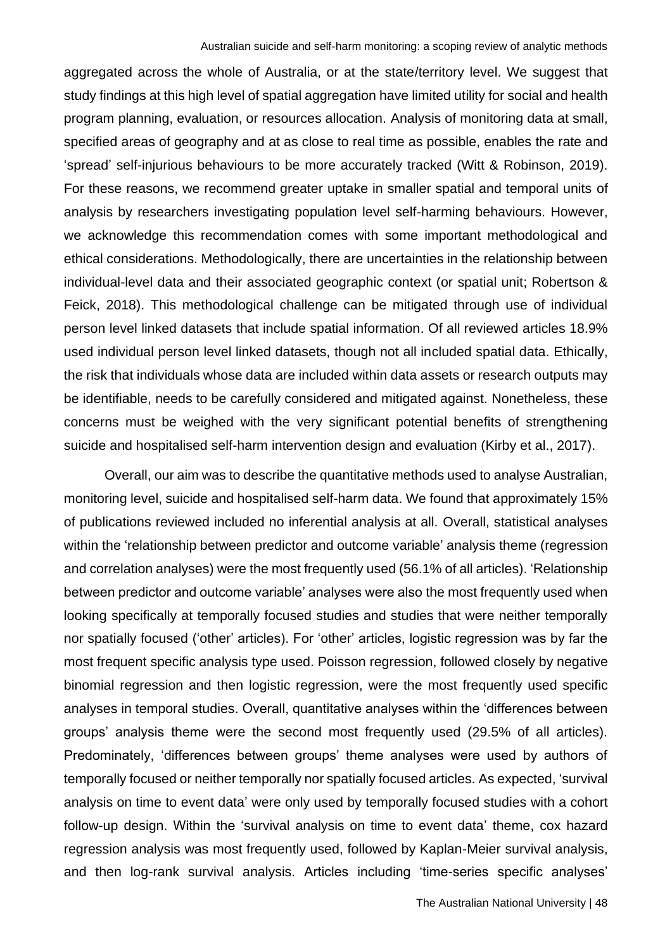aggregated across the whole of Australia, or at the state/territory level. We suggest that study findings at this high level of spatial aggregation have limited utility for social and health program planning, evaluation, or resources allocation. Analysis of monitoring data at small, specified areas of geography and at as close to real time as possible, enables the rate and 'spread' self-injurious behaviours to be more accurately tracked (Witt & Robinson, 2019). For these reasons, we recommend greater uptake in smaller spatial and temporal units of analysis by researchers investigating population level self-harming behaviours. However, we acknowledge this recommendation comes with some important methodological and ethical considerations. Methodologically, there are uncertainties in the relationship between individual-level data and their associated geographic context (or spatial unit; Robertson & Feick, 2018). This methodological challenge can be mitigated through use of individual person level linked datasets that include spatial information. Of all reviewed articles 18.9% used individual person level linked datasets, though not all included spatial data. Ethically, the risk that individuals whose data are included within data assets or research outputs may be identifiable, needs to be carefully considered and mitigated against. Nonetheless, these concerns must be weighed with the very significant potential benefits of strengthening suicide and hospitalised self-harm intervention design and evaluation (Kirby et al., 2017).

Overall, our aim was to describe the quantitative methods used to analyse Australian, monitoring level, suicide and hospitalised self-harm data. We found that approximately 15% of publications reviewed included no inferential analysis at all. Overall, statistical analyses within the 'relationship between predictor and outcome variable' analysis theme (regression and correlation analyses) were the most frequently used (56.1% of all articles). 'Relationship between predictor and outcome variable' analyses were also the most frequently used when looking specifically at temporally focused studies and studies that were neither temporally nor spatially focused ('other' articles). For 'other' articles, logistic regression was by far the most frequent specific analysis type used. Poisson regression, followed closely by negative binomial regression and then logistic regression, were the most frequently used specific analyses in temporal studies. Overall, quantitative analyses within the 'differences between groups' analysis theme were the second most frequently used (29.5% of all articles). Predominately, 'differences between groups' theme analyses were used by authors of temporally focused or neither temporally nor spatially focused articles. As expected, 'survival analysis on time to event data' were only used by temporally focused studies with a cohort follow-up design. Within the 'survival analysis on time to event data' theme, cox hazard regression analysis was most frequently used, followed by Kaplan-Meier survival analysis, and then log-rank survival analysis. Articles including 'time-series specific analyses'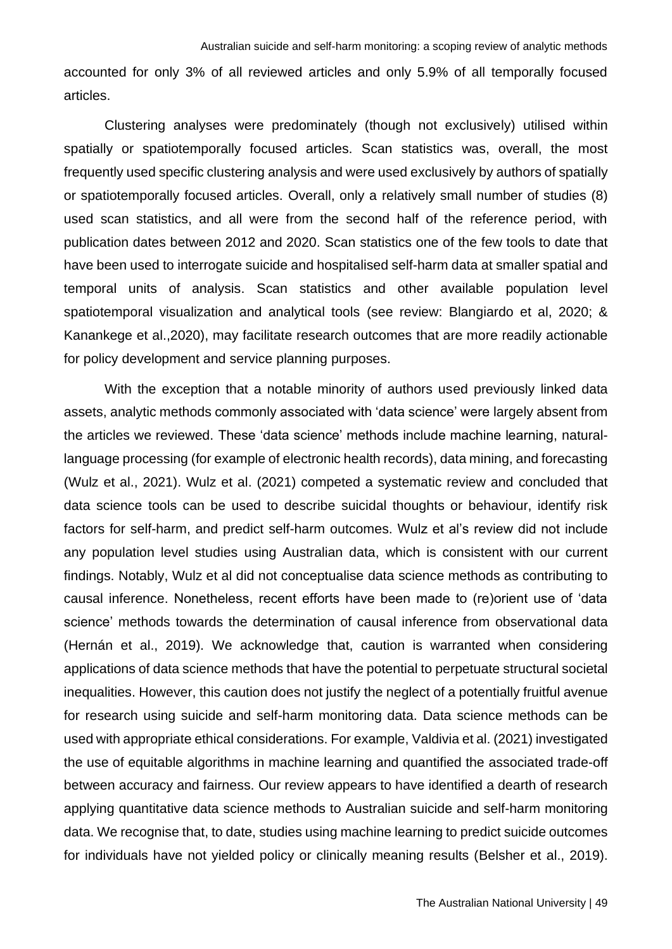accounted for only 3% of all reviewed articles and only 5.9% of all temporally focused articles.

Clustering analyses were predominately (though not exclusively) utilised within spatially or spatiotemporally focused articles. Scan statistics was, overall, the most frequently used specific clustering analysis and were used exclusively by authors of spatially or spatiotemporally focused articles. Overall, only a relatively small number of studies (8) used scan statistics, and all were from the second half of the reference period, with publication dates between 2012 and 2020. Scan statistics one of the few tools to date that have been used to interrogate suicide and hospitalised self-harm data at smaller spatial and temporal units of analysis. Scan statistics and other available population level spatiotemporal visualization and analytical tools (see review: Blangiardo et al, 2020; & Kanankege et al.,2020), may facilitate research outcomes that are more readily actionable for policy development and service planning purposes.

With the exception that a notable minority of authors used previously linked data assets, analytic methods commonly associated with 'data science' were largely absent from the articles we reviewed. These 'data science' methods include machine learning, naturallanguage processing (for example of electronic health records), data mining, and forecasting (Wulz et al., 2021). Wulz et al. (2021) competed a systematic review and concluded that data science tools can be used to describe suicidal thoughts or behaviour, identify risk factors for self-harm, and predict self-harm outcomes. Wulz et al's review did not include any population level studies using Australian data, which is consistent with our current findings. Notably, Wulz et al did not conceptualise data science methods as contributing to causal inference. Nonetheless, recent efforts have been made to (re)orient use of 'data science' methods towards the determination of causal inference from observational data (Hernán et al., 2019). We acknowledge that, caution is warranted when considering applications of data science methods that have the potential to perpetuate structural societal inequalities. However, this caution does not justify the neglect of a potentially fruitful avenue for research using suicide and self-harm monitoring data. Data science methods can be used with appropriate ethical considerations. For example, Valdivia et al. (2021) investigated the use of equitable algorithms in machine learning and quantified the associated trade-off between accuracy and fairness. Our review appears to have identified a dearth of research applying quantitative data science methods to Australian suicide and self-harm monitoring data. We recognise that, to date, studies using machine learning to predict suicide outcomes for individuals have not yielded policy or clinically meaning results (Belsher et al., 2019).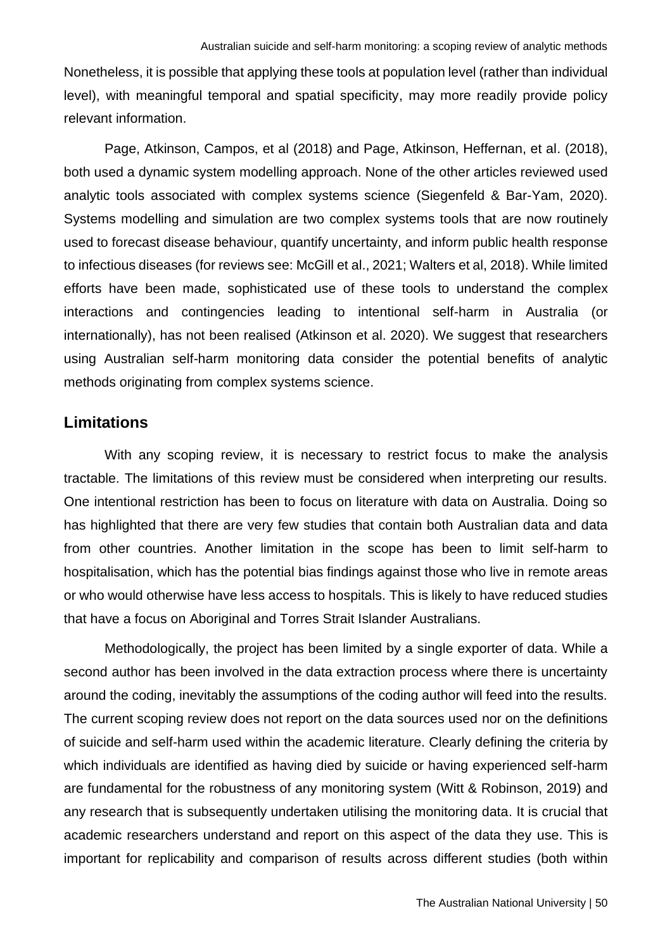Nonetheless, it is possible that applying these tools at population level (rather than individual level), with meaningful temporal and spatial specificity, may more readily provide policy relevant information.

Page, Atkinson, Campos, et al (2018) and Page, Atkinson, Heffernan, et al. (2018), both used a dynamic system modelling approach. None of the other articles reviewed used analytic tools associated with complex systems science (Siegenfeld & Bar-Yam, 2020). Systems modelling and simulation are two complex systems tools that are now routinely used to forecast disease behaviour, quantify uncertainty, and inform public health response to infectious diseases (for reviews see: McGill et al., 2021; Walters et al, 2018). While limited efforts have been made, sophisticated use of these tools to understand the complex interactions and contingencies leading to intentional self-harm in Australia (or internationally), has not been realised (Atkinson et al. 2020). We suggest that researchers using Australian self-harm monitoring data consider the potential benefits of analytic methods originating from complex systems science.

### **Limitations**

With any scoping review, it is necessary to restrict focus to make the analysis tractable. The limitations of this review must be considered when interpreting our results. One intentional restriction has been to focus on literature with data on Australia. Doing so has highlighted that there are very few studies that contain both Australian data and data from other countries. Another limitation in the scope has been to limit self-harm to hospitalisation, which has the potential bias findings against those who live in remote areas or who would otherwise have less access to hospitals. This is likely to have reduced studies that have a focus on Aboriginal and Torres Strait Islander Australians.

Methodologically, the project has been limited by a single exporter of data. While a second author has been involved in the data extraction process where there is uncertainty around the coding, inevitably the assumptions of the coding author will feed into the results. The current scoping review does not report on the data sources used nor on the definitions of suicide and self-harm used within the academic literature. Clearly defining the criteria by which individuals are identified as having died by suicide or having experienced self-harm are fundamental for the robustness of any monitoring system (Witt & Robinson, 2019) and any research that is subsequently undertaken utilising the monitoring data. It is crucial that academic researchers understand and report on this aspect of the data they use. This is important for replicability and comparison of results across different studies (both within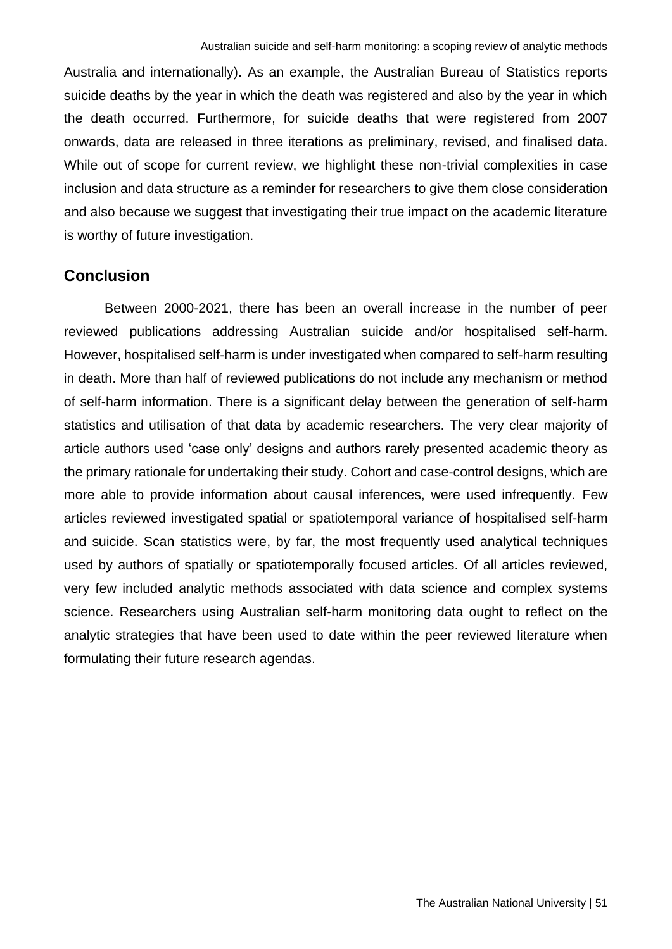Australia and internationally). As an example, the Australian Bureau of Statistics reports suicide deaths by the year in which the death was registered and also by the year in which the death occurred. Furthermore, for suicide deaths that were registered from 2007 onwards, data are released in three iterations as preliminary, revised, and finalised data. While out of scope for current review, we highlight these non-trivial complexities in case inclusion and data structure as a reminder for researchers to give them close consideration and also because we suggest that investigating their true impact on the academic literature is worthy of future investigation.

## **Conclusion**

Between 2000-2021, there has been an overall increase in the number of peer reviewed publications addressing Australian suicide and/or hospitalised self-harm. However, hospitalised self-harm is under investigated when compared to self-harm resulting in death. More than half of reviewed publications do not include any mechanism or method of self-harm information. There is a significant delay between the generation of self-harm statistics and utilisation of that data by academic researchers. The very clear majority of article authors used 'case only' designs and authors rarely presented academic theory as the primary rationale for undertaking their study. Cohort and case-control designs, which are more able to provide information about causal inferences, were used infrequently. Few articles reviewed investigated spatial or spatiotemporal variance of hospitalised self-harm and suicide. Scan statistics were, by far, the most frequently used analytical techniques used by authors of spatially or spatiotemporally focused articles. Of all articles reviewed, very few included analytic methods associated with data science and complex systems science. Researchers using Australian self-harm monitoring data ought to reflect on the analytic strategies that have been used to date within the peer reviewed literature when formulating their future research agendas.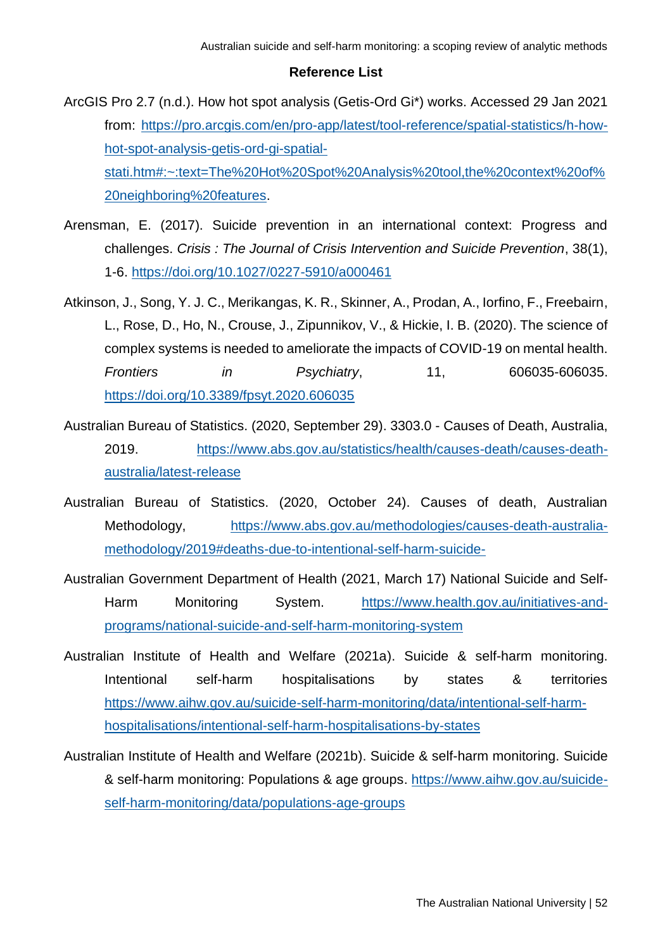#### **Reference List**

- ArcGIS Pro 2.7 (n.d.). How hot spot analysis (Getis-Ord Gi\*) works. Accessed 29 Jan 2021 from: [https://pro.arcgis.com/en/pro-app/latest/tool-reference/spatial-statistics/h-how](https://pro.arcgis.com/en/pro-app/latest/tool-reference/spatial-statistics/h-how-hot-spot-analysis-getis-ord-gi-spatial-stati.htm#:~:text=The%20Hot%20Spot%20Analysis%20tool,the%20context%20of%20neighboring%20features)[hot-spot-analysis-getis-ord-gi-spatial](https://pro.arcgis.com/en/pro-app/latest/tool-reference/spatial-statistics/h-how-hot-spot-analysis-getis-ord-gi-spatial-stati.htm#:~:text=The%20Hot%20Spot%20Analysis%20tool,the%20context%20of%20neighboring%20features)[stati.htm#:~:text=The%20Hot%20Spot%20Analysis%20tool,the%20context%20of%](https://pro.arcgis.com/en/pro-app/latest/tool-reference/spatial-statistics/h-how-hot-spot-analysis-getis-ord-gi-spatial-stati.htm#:~:text=The%20Hot%20Spot%20Analysis%20tool,the%20context%20of%20neighboring%20features) [20neighboring%20features.](https://pro.arcgis.com/en/pro-app/latest/tool-reference/spatial-statistics/h-how-hot-spot-analysis-getis-ord-gi-spatial-stati.htm#:~:text=The%20Hot%20Spot%20Analysis%20tool,the%20context%20of%20neighboring%20features)
- Arensman, E. (2017). Suicide prevention in an international context: Progress and challenges. *Crisis : The Journal of Crisis Intervention and Suicide Prevention*, 38(1), 1-6.<https://doi.org/10.1027/0227-5910/a000461>
- Atkinson, J., Song, Y. J. C., Merikangas, K. R., Skinner, A., Prodan, A., Iorfino, F., Freebairn, L., Rose, D., Ho, N., Crouse, J., Zipunnikov, V., & Hickie, I. B. (2020). The science of complex systems is needed to ameliorate the impacts of COVID-19 on mental health. *Frontiers in Psychiatry*, 11, 606035-606035. <https://doi.org/10.3389/fpsyt.2020.606035>
- Australian Bureau of Statistics. (2020, September 29). 3303.0 Causes of Death, Australia, 2019. [https://www.abs.gov.au/statistics/health/causes-death/causes-death](https://www.abs.gov.au/statistics/health/causes-death/causes-death-australia/latest-release)[australia/latest-release](https://www.abs.gov.au/statistics/health/causes-death/causes-death-australia/latest-release)
- Australian Bureau of Statistics. (2020, October 24). Causes of death, Australian Methodology, [https://www.abs.gov.au/methodologies/causes-death-australia](https://www.abs.gov.au/methodologies/causes-death-australia-methodology/2019#deaths-due-to-intentional-self-harm-suicide-)[methodology/2019#deaths-due-to-intentional-self-harm-suicide-](https://www.abs.gov.au/methodologies/causes-death-australia-methodology/2019#deaths-due-to-intentional-self-harm-suicide-)
- Australian Government Department of Health (2021, March 17) National Suicide and Self-Harm Monitoring System. [https://www.health.gov.au/initiatives-and](https://www.health.gov.au/initiatives-and-programs/national-suicide-and-self-harm-monitoring-system)[programs/national-suicide-and-self-harm-monitoring-system](https://www.health.gov.au/initiatives-and-programs/national-suicide-and-self-harm-monitoring-system)
- Australian Institute of Health and Welfare (2021a). Suicide & self-harm monitoring. Intentional self-harm hospitalisations by states & territories [https://www.aihw.gov.au/suicide-self-harm-monitoring/data/intentional-self-harm](https://www.aihw.gov.au/suicide-self-harm-monitoring/data/intentional-self-harm-hospitalisations/intentional-self-harm-hospitalisations-by-states)[hospitalisations/intentional-self-harm-hospitalisations-by-states](https://www.aihw.gov.au/suicide-self-harm-monitoring/data/intentional-self-harm-hospitalisations/intentional-self-harm-hospitalisations-by-states)
- Australian Institute of Health and Welfare (2021b). Suicide & self-harm monitoring. Suicide & self-harm monitoring: Populations & age groups. [https://www.aihw.gov.au/suicide](https://www.aihw.gov.au/suicide-self-harm-monitoring/data/populations-age-groups)[self-harm-monitoring/data/populations-age-groups](https://www.aihw.gov.au/suicide-self-harm-monitoring/data/populations-age-groups)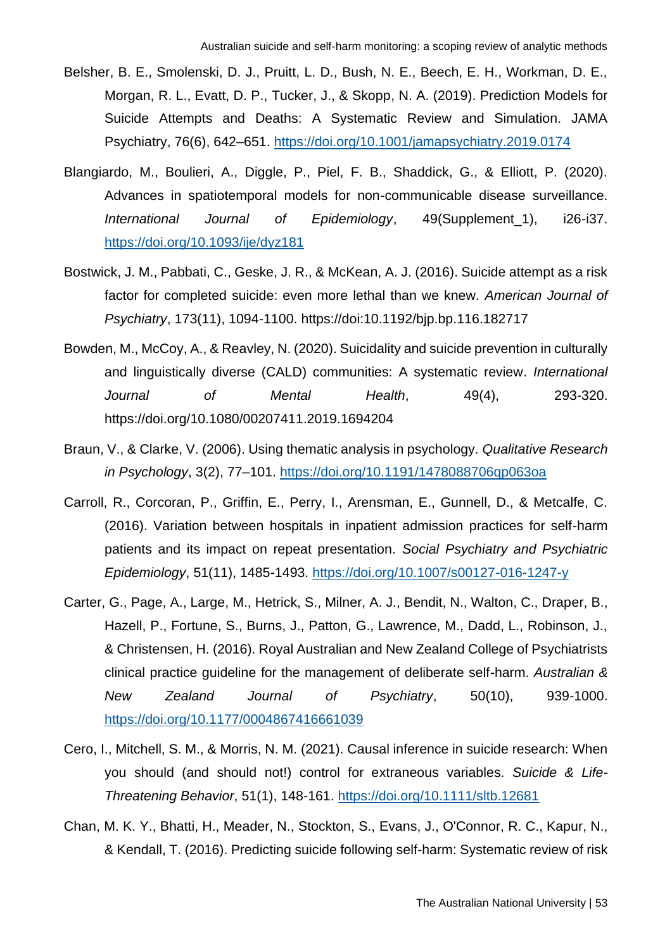- Belsher, B. E., Smolenski, D. J., Pruitt, L. D., Bush, N. E., Beech, E. H., Workman, D. E., Morgan, R. L., Evatt, D. P., Tucker, J., & Skopp, N. A. (2019). Prediction Models for Suicide Attempts and Deaths: A Systematic Review and Simulation. JAMA Psychiatry, 76(6), 642–651.<https://doi.org/10.1001/jamapsychiatry.2019.0174>
- Blangiardo, M., Boulieri, A., Diggle, P., Piel, F. B., Shaddick, G., & Elliott, P. (2020). Advances in spatiotemporal models for non-communicable disease surveillance. *International Journal of Epidemiology*, 49(Supplement\_1), i26-i37. <https://doi.org/10.1093/ije/dyz181>
- Bostwick, J. M., Pabbati, C., Geske, J. R., & McKean, A. J. (2016). Suicide attempt as a risk factor for completed suicide: even more lethal than we knew. *American Journal of Psychiatry*, 173(11), 1094-1100. https://doi:10.1192/bjp.bp.116.182717
- Bowden, M., McCoy, A., & Reavley, N. (2020). Suicidality and suicide prevention in culturally and linguistically diverse (CALD) communities: A systematic review. *International Journal of Mental Health*, 49(4), 293-320. https://doi.org/10.1080/00207411.2019.1694204
- Braun, V., & Clarke, V. (2006). Using thematic analysis in psychology. *Qualitative Research in Psychology*, 3(2), 77–101.<https://doi.org/10.1191/1478088706qp063oa>
- Carroll, R., Corcoran, P., Griffin, E., Perry, I., Arensman, E., Gunnell, D., & Metcalfe, C. (2016). Variation between hospitals in inpatient admission practices for self-harm patients and its impact on repeat presentation. *Social Psychiatry and Psychiatric Epidemiology*, 51(11), 1485-1493.<https://doi.org/10.1007/s00127-016-1247-y>
- Carter, G., Page, A., Large, M., Hetrick, S., Milner, A. J., Bendit, N., Walton, C., Draper, B., Hazell, P., Fortune, S., Burns, J., Patton, G., Lawrence, M., Dadd, L., Robinson, J., & Christensen, H. (2016). Royal Australian and New Zealand College of Psychiatrists clinical practice guideline for the management of deliberate self-harm. *Australian & New Zealand Journal of Psychiatry*, 50(10), 939-1000. <https://doi.org/10.1177/0004867416661039>
- Cero, I., Mitchell, S. M., & Morris, N. M. (2021). Causal inference in suicide research: When you should (and should not!) control for extraneous variables. *Suicide & Life-Threatening Behavior*, 51(1), 148-161.<https://doi.org/10.1111/sltb.12681>
- Chan, M. K. Y., Bhatti, H., Meader, N., Stockton, S., Evans, J., O'Connor, R. C., Kapur, N., & Kendall, T. (2016). Predicting suicide following self-harm: Systematic review of risk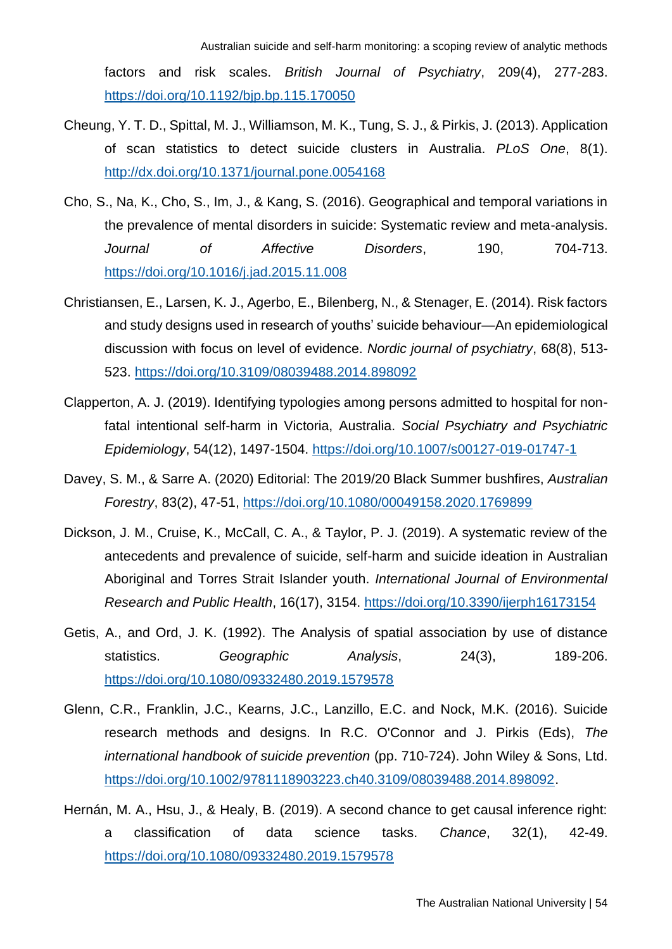factors and risk scales. *British Journal of Psychiatry*, 209(4), 277-283. <https://doi.org/10.1192/bjp.bp.115.170050>

- Cheung, Y. T. D., Spittal, M. J., Williamson, M. K., Tung, S. J., & Pirkis, J. (2013). Application of scan statistics to detect suicide clusters in Australia. *PLoS One*, 8(1). <http://dx.doi.org/10.1371/journal.pone.0054168>
- Cho, S., Na, K., Cho, S., Im, J., & Kang, S. (2016). Geographical and temporal variations in the prevalence of mental disorders in suicide: Systematic review and meta-analysis. *Journal of Affective Disorders*, 190, 704-713. <https://doi.org/10.1016/j.jad.2015.11.008>
- Christiansen, E., Larsen, K. J., Agerbo, E., Bilenberg, N., & Stenager, E. (2014). Risk factors and study designs used in research of youths' suicide behaviour—An epidemiological discussion with focus on level of evidence. *Nordic journal of psychiatry*, 68(8), 513- 523.<https://doi.org/10.3109/08039488.2014.898092>
- Clapperton, A. J. (2019). Identifying typologies among persons admitted to hospital for nonfatal intentional self-harm in Victoria, Australia. *Social Psychiatry and Psychiatric Epidemiology*, 54(12), 1497-1504.<https://doi.org/10.1007/s00127-019-01747-1>
- Davey, S. M., & Sarre A. (2020) Editorial: The 2019/20 Black Summer bushfires, *Australian Forestry*, 83(2), 47-51,<https://doi.org/10.1080/00049158.2020.1769899>
- Dickson, J. M., Cruise, K., McCall, C. A., & Taylor, P. J. (2019). A systematic review of the antecedents and prevalence of suicide, self-harm and suicide ideation in Australian Aboriginal and Torres Strait Islander youth. *International Journal of Environmental Research and Public Health*, 16(17), 3154.<https://doi.org/10.3390/ijerph16173154>
- Getis, A., and Ord, J. K. (1992). The Analysis of spatial association by use of distance statistics. *Geographic Analysis*, 24(3), 189-206. <https://doi.org/10.1080/09332480.2019.1579578>
- Glenn, C.R., Franklin, J.C., Kearns, J.C., Lanzillo, E.C. and Nock, M.K. (2016). Suicide research methods and designs. In R.C. O'Connor and J. Pirkis (Eds), *The international handbook of suicide prevention* (pp. 710-724). John Wiley & Sons, Ltd. [https://doi.org/10.1002/9781118903223.ch40.3109/08039488.2014.898092.](https://doi.org/10.1002/9781118903223.ch40.3109/08039488.2014.898092)
- Hernán, M. A., Hsu, J., & Healy, B. (2019). A second chance to get causal inference right: a classification of data science tasks. *Chance*, 32(1), 42-49. <https://doi.org/10.1080/09332480.2019.1579578>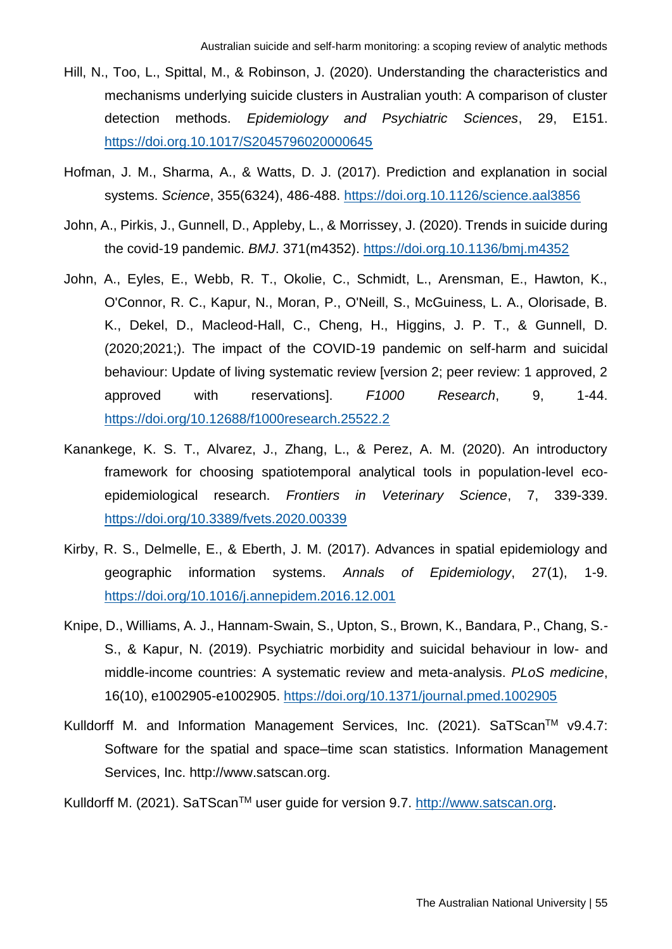- Hill, N., Too, L., Spittal, M., & Robinson, J. (2020). Understanding the characteristics and mechanisms underlying suicide clusters in Australian youth: A comparison of cluster detection methods. *Epidemiology and Psychiatric Sciences*, 29, E151. <https://doi.org.10.1017/S2045796020000645>
- Hofman, J. M., Sharma, A., & Watts, D. J. (2017). Prediction and explanation in social systems. *Science*, 355(6324), 486-488.<https://doi.org.10.1126/science.aal3856>
- John, A., Pirkis, J., Gunnell, D., Appleby, L., & Morrissey, J. (2020). Trends in suicide during the covid-19 pandemic. *BMJ*. 371(m4352).<https://doi.org.10.1136/bmj.m4352>
- John, A., Eyles, E., Webb, R. T., Okolie, C., Schmidt, L., Arensman, E., Hawton, K., O'Connor, R. C., Kapur, N., Moran, P., O'Neill, S., McGuiness, L. A., Olorisade, B. K., Dekel, D., Macleod-Hall, C., Cheng, H., Higgins, J. P. T., & Gunnell, D. (2020;2021;). The impact of the COVID-19 pandemic on self-harm and suicidal behaviour: Update of living systematic review [version 2; peer review: 1 approved, 2 approved with reservations]. *F1000 Research*, 9, 1-44. <https://doi.org/10.12688/f1000research.25522.2>
- Kanankege, K. S. T., Alvarez, J., Zhang, L., & Perez, A. M. (2020). An introductory framework for choosing spatiotemporal analytical tools in population-level ecoepidemiological research. *Frontiers in Veterinary Science*, 7, 339-339. <https://doi.org/10.3389/fvets.2020.00339>
- Kirby, R. S., Delmelle, E., & Eberth, J. M. (2017). Advances in spatial epidemiology and geographic information systems. *Annals of Epidemiology*, 27(1), 1-9. <https://doi.org/10.1016/j.annepidem.2016.12.001>
- Knipe, D., Williams, A. J., Hannam-Swain, S., Upton, S., Brown, K., Bandara, P., Chang, S.- S., & Kapur, N. (2019). Psychiatric morbidity and suicidal behaviour in low- and middle-income countries: A systematic review and meta-analysis. *PLoS medicine*, 16(10), e1002905-e1002905.<https://doi.org/10.1371/journal.pmed.1002905>
- Kulldorff M. and Information Management Services, Inc. (2021). SaTScan™ v9.4.7: Software for the spatial and space–time scan statistics. Information Management Services, Inc. http://www.satscan.org.

Kulldorff M. (2021). SaTScan™ user quide for version 9.7. [http://www.satscan.org.](http://www.satscan.org/)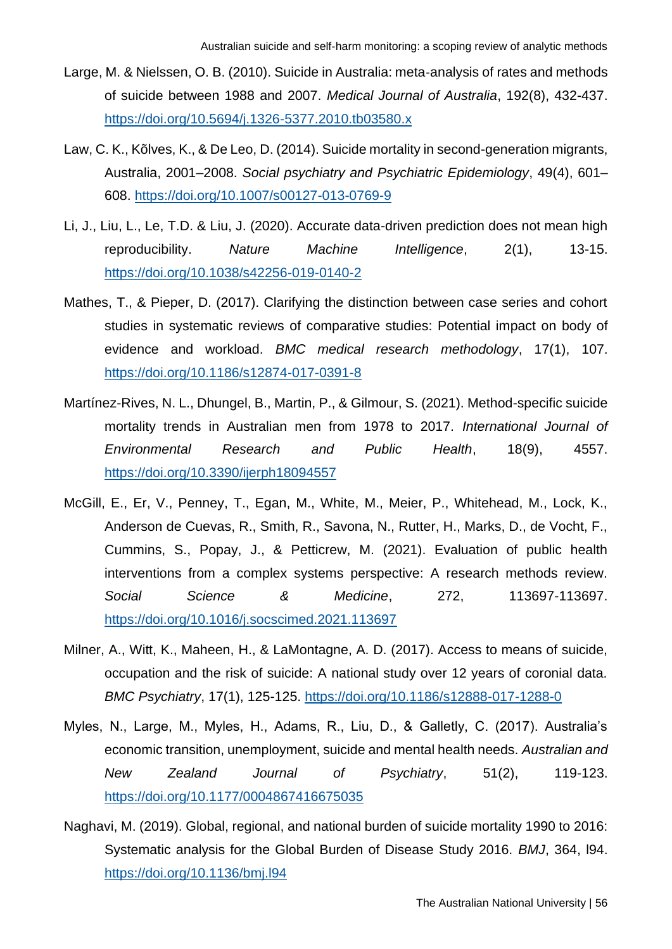- Large, M. & Nielssen, O. B. (2010). Suicide in Australia: meta-analysis of rates and methods of suicide between 1988 and 2007. *Medical Journal of Australia*, 192(8), 432-437. <https://doi.org/10.5694/j.1326-5377.2010.tb03580.x>
- Law, C. K., Kõlves, K., & De Leo, D. (2014). Suicide mortality in second-generation migrants, Australia, 2001–2008. *Social psychiatry and Psychiatric Epidemiology*, 49(4), 601– 608.<https://doi.org/10.1007/s00127-013-0769-9>
- Li, J., Liu, L., Le, T.D. & Liu, J. (2020). Accurate data-driven prediction does not mean high reproducibility. *Nature Machine Intelligence*, 2(1), 13-15. <https://doi.org/10.1038/s42256-019-0140-2>
- Mathes, T., & Pieper, D. (2017). Clarifying the distinction between case series and cohort studies in systematic reviews of comparative studies: Potential impact on body of evidence and workload. *BMC medical research methodology*, 17(1), 107. <https://doi.org/10.1186/s12874-017-0391-8>
- Martínez-Rives, N. L., Dhungel, B., Martin, P., & Gilmour, S. (2021). Method-specific suicide mortality trends in Australian men from 1978 to 2017. *International Journal of Environmental Research and Public Health*, 18(9), 4557. <https://doi.org/10.3390/ijerph18094557>
- McGill, E., Er, V., Penney, T., Egan, M., White, M., Meier, P., Whitehead, M., Lock, K., Anderson de Cuevas, R., Smith, R., Savona, N., Rutter, H., Marks, D., de Vocht, F., Cummins, S., Popay, J., & Petticrew, M. (2021). Evaluation of public health interventions from a complex systems perspective: A research methods review. *Social Science & Medicine*, 272, 113697-113697. <https://doi.org/10.1016/j.socscimed.2021.113697>
- Milner, A., Witt, K., Maheen, H., & LaMontagne, A. D. (2017). Access to means of suicide, occupation and the risk of suicide: A national study over 12 years of coronial data. *BMC Psychiatry*, 17(1), 125-125.<https://doi.org/10.1186/s12888-017-1288-0>
- Myles, N., Large, M., Myles, H., Adams, R., Liu, D., & Galletly, C. (2017). Australia's economic transition, unemployment, suicide and mental health needs. *Australian and New Zealand Journal of Psychiatry*, 51(2), 119-123. <https://doi.org/10.1177/0004867416675035>
- Naghavi, M. (2019). Global, regional, and national burden of suicide mortality 1990 to 2016: Systematic analysis for the Global Burden of Disease Study 2016. *BMJ*, 364, l94. <https://doi.org/10.1136/bmj.l94>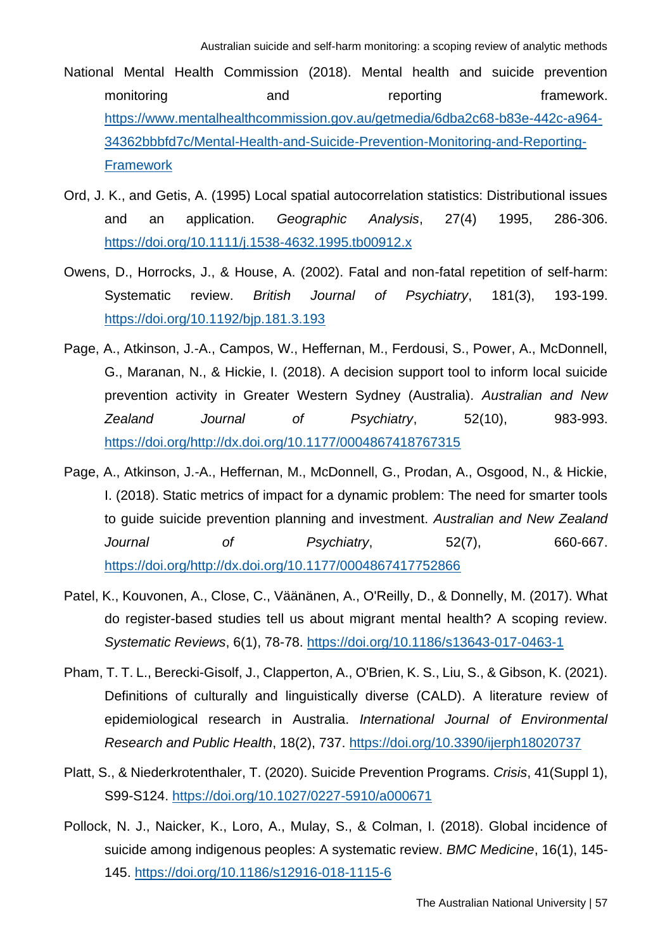- National Mental Health Commission (2018). Mental health and suicide prevention monitoring and reporting framework. [https://www.mentalhealthcommission.gov.au/getmedia/6dba2c68-b83e-442c-a964-](https://www.mentalhealthcommission.gov.au/getmedia/6dba2c68-b83e-442c-a964-34362bbbfd7c/Mental-Health-and-Suicide-Prevention-Monitoring-and-Reporting-Framework) [34362bbbfd7c/Mental-Health-and-Suicide-Prevention-Monitoring-and-Reporting-](https://www.mentalhealthcommission.gov.au/getmedia/6dba2c68-b83e-442c-a964-34362bbbfd7c/Mental-Health-and-Suicide-Prevention-Monitoring-and-Reporting-Framework)**[Framework](https://www.mentalhealthcommission.gov.au/getmedia/6dba2c68-b83e-442c-a964-34362bbbfd7c/Mental-Health-and-Suicide-Prevention-Monitoring-and-Reporting-Framework)**
- Ord, J. K., and Getis, A. (1995) Local spatial autocorrelation statistics: Distributional issues and an application. *Geographic Analysis*, 27(4) 1995, 286-306. <https://doi.org/10.1111/j.1538-4632.1995.tb00912.x>
- Owens, D., Horrocks, J., & House, A. (2002). Fatal and non-fatal repetition of self-harm: Systematic review. *British Journal of Psychiatry*, 181(3), 193-199. <https://doi.org/10.1192/bjp.181.3.193>
- Page, A., Atkinson, J.-A., Campos, W., Heffernan, M., Ferdousi, S., Power, A., McDonnell, G., Maranan, N., & Hickie, I. (2018). A decision support tool to inform local suicide prevention activity in Greater Western Sydney (Australia). *Australian and New Zealand Journal of Psychiatry*, 52(10), 983-993. [https://doi.org/http://dx.doi.org/10.1177/0004867418767315](https://doi.org/http:/dx.doi.org/10.1177/0004867418767315)
- Page, A., Atkinson, J.-A., Heffernan, M., McDonnell, G., Prodan, A., Osgood, N., & Hickie, I. (2018). Static metrics of impact for a dynamic problem: The need for smarter tools to guide suicide prevention planning and investment. *Australian and New Zealand Journal of Psychiatry*, 52(7), 660-667. [https://doi.org/http://dx.doi.org/10.1177/0004867417752866](https://doi.org/http:/dx.doi.org/10.1177/0004867417752866)
- Patel, K., Kouvonen, A., Close, C., Väänänen, A., O'Reilly, D., & Donnelly, M. (2017). What do register-based studies tell us about migrant mental health? A scoping review. *Systematic Reviews*, 6(1), 78-78.<https://doi.org/10.1186/s13643-017-0463-1>
- Pham, T. T. L., Berecki-Gisolf, J., Clapperton, A., O'Brien, K. S., Liu, S., & Gibson, K. (2021). Definitions of culturally and linguistically diverse (CALD). A literature review of epidemiological research in Australia. *International Journal of Environmental Research and Public Health*, 18(2), 737.<https://doi.org/10.3390/ijerph18020737>
- Platt, S., & Niederkrotenthaler, T. (2020). Suicide Prevention Programs. *Crisis*, 41(Suppl 1), S99-S124.<https://doi.org/10.1027/0227-5910/a000671>
- Pollock, N. J., Naicker, K., Loro, A., Mulay, S., & Colman, I. (2018). Global incidence of suicide among indigenous peoples: A systematic review. *BMC Medicine*, 16(1), 145- 145.<https://doi.org/10.1186/s12916-018-1115-6>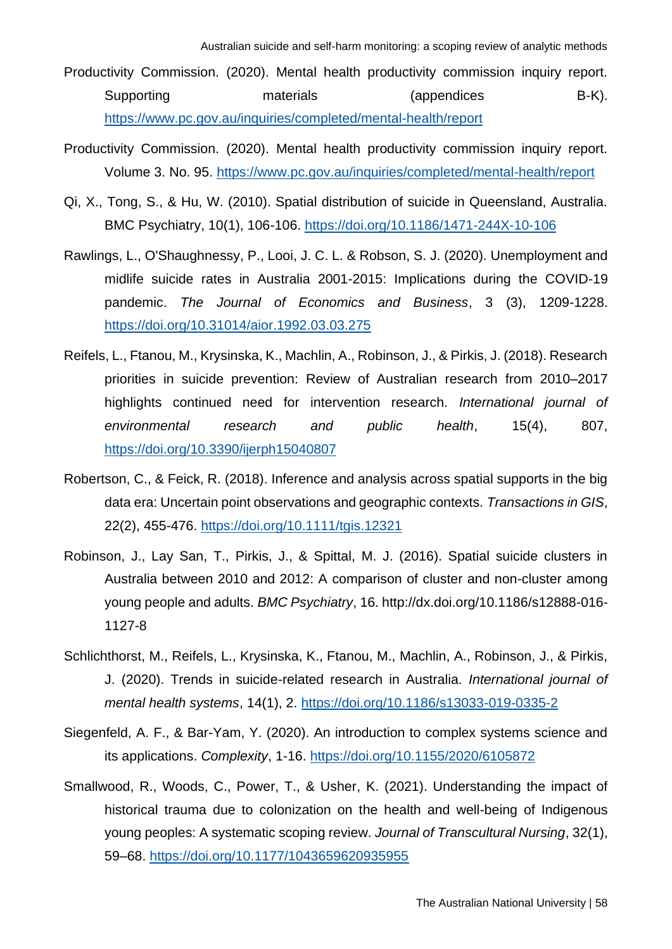Productivity Commission. (2020). Mental health productivity commission inquiry report. Supporting materials (appendices B-K). <https://www.pc.gov.au/inquiries/completed/mental-health/report>

- Productivity Commission. (2020). Mental health productivity commission inquiry report. Volume 3. No. 95.<https://www.pc.gov.au/inquiries/completed/mental-health/report>
- Qi, X., Tong, S., & Hu, W. (2010). Spatial distribution of suicide in Queensland, Australia. BMC Psychiatry, 10(1), 106-106.<https://doi.org/10.1186/1471-244X-10-106>
- Rawlings, L., O'Shaughnessy, P., Looi, J. C. L. & Robson, S. J. (2020). Unemployment and midlife suicide rates in Australia 2001-2015: Implications during the COVID-19 pandemic. *The Journal of Economics and Business*, 3 (3), 1209-1228. <https://doi.org/10.31014/aior.1992.03.03.275>
- Reifels, L., Ftanou, M., Krysinska, K., Machlin, A., Robinson, J., & Pirkis, J. (2018). Research priorities in suicide prevention: Review of Australian research from 2010–2017 highlights continued need for intervention research. *International journal of environmental research and public health*, 15(4), 807, <https://doi.org/10.3390/ijerph15040807>
- Robertson, C., & Feick, R. (2018). Inference and analysis across spatial supports in the big data era: Uncertain point observations and geographic contexts. *Transactions in GIS*, 22(2), 455-476. <https://doi.org/10.1111/tgis.12321>
- Robinson, J., Lay San, T., Pirkis, J., & Spittal, M. J. (2016). Spatial suicide clusters in Australia between 2010 and 2012: A comparison of cluster and non-cluster among young people and adults. *BMC Psychiatry*, 16. http://dx.doi.org/10.1186/s12888-016- 1127-8
- Schlichthorst, M., Reifels, L., Krysinska, K., Ftanou, M., Machlin, A., Robinson, J., & Pirkis, J. (2020). Trends in suicide-related research in Australia. *International journal of mental health systems*, 14(1), 2.<https://doi.org/10.1186/s13033-019-0335-2>
- Siegenfeld, A. F., & Bar-Yam, Y. (2020). An introduction to complex systems science and its applications. *Complexity*, 1-16.<https://doi.org/10.1155/2020/6105872>
- Smallwood, R., Woods, C., Power, T., & Usher, K. (2021). Understanding the impact of historical trauma due to colonization on the health and well-being of Indigenous young peoples: A systematic scoping review. *Journal of Transcultural Nursing*, 32(1), 59–68.<https://doi.org/10.1177/1043659620935955>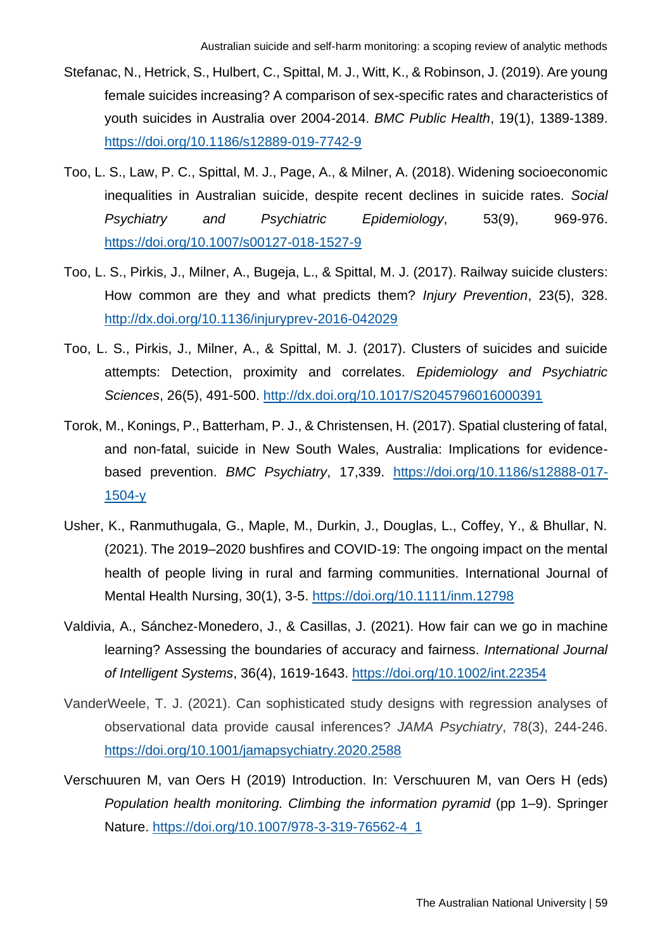- Stefanac, N., Hetrick, S., Hulbert, C., Spittal, M. J., Witt, K., & Robinson, J. (2019). Are young female suicides increasing? A comparison of sex-specific rates and characteristics of youth suicides in Australia over 2004-2014. *BMC Public Health*, 19(1), 1389-1389. <https://doi.org/10.1186/s12889-019-7742-9>
- Too, L. S., Law, P. C., Spittal, M. J., Page, A., & Milner, A. (2018). Widening socioeconomic inequalities in Australian suicide, despite recent declines in suicide rates. *Social Psychiatry and Psychiatric Epidemiology*, 53(9), 969-976. <https://doi.org/10.1007/s00127-018-1527-9>
- Too, L. S., Pirkis, J., Milner, A., Bugeja, L., & Spittal, M. J. (2017). Railway suicide clusters: How common are they and what predicts them? *Injury Prevention*, 23(5), 328. <http://dx.doi.org/10.1136/injuryprev-2016-042029>
- Too, L. S., Pirkis, J., Milner, A., & Spittal, M. J. (2017). Clusters of suicides and suicide attempts: Detection, proximity and correlates. *Epidemiology and Psychiatric Sciences*, 26(5), 491-500.<http://dx.doi.org/10.1017/S2045796016000391>
- Torok, M., Konings, P., Batterham, P. J., & Christensen, H. (2017). Spatial clustering of fatal, and non-fatal, suicide in New South Wales, Australia: Implications for evidencebased prevention. *BMC Psychiatry*, 17,339. [https://doi.org/10.1186/s12888-017-](https://doi.org/10.1186/s12888-017-1504-y) [1504-y](https://doi.org/10.1186/s12888-017-1504-y)
- Usher, K., Ranmuthugala, G., Maple, M., Durkin, J., Douglas, L., Coffey, Y., & Bhullar, N. (2021). The 2019–2020 bushfires and COVID‐19: The ongoing impact on the mental health of people living in rural and farming communities. International Journal of Mental Health Nursing, 30(1), 3-5.<https://doi.org/10.1111/inm.12798>
- Valdivia, A., Sánchez‐Monedero, J., & Casillas, J. (2021). How fair can we go in machine learning? Assessing the boundaries of accuracy and fairness. *International Journal of Intelligent Systems*, 36(4), 1619-1643.<https://doi.org/10.1002/int.22354>
- VanderWeele, T. J. (2021). Can sophisticated study designs with regression analyses of observational data provide causal inferences? *JAMA Psychiatry*, 78(3), 244-246. <https://doi.org/10.1001/jamapsychiatry.2020.2588>
- Verschuuren M, van Oers H (2019) Introduction. In: Verschuuren M, van Oers H (eds) *Population health monitoring. Climbing the information pyramid* (pp 1–9). Springer Nature. [https://doi.org/10.1007/978-3-319-76562-4\\_1](https://doi.org/10.1007/978-3-319-76562-4_1)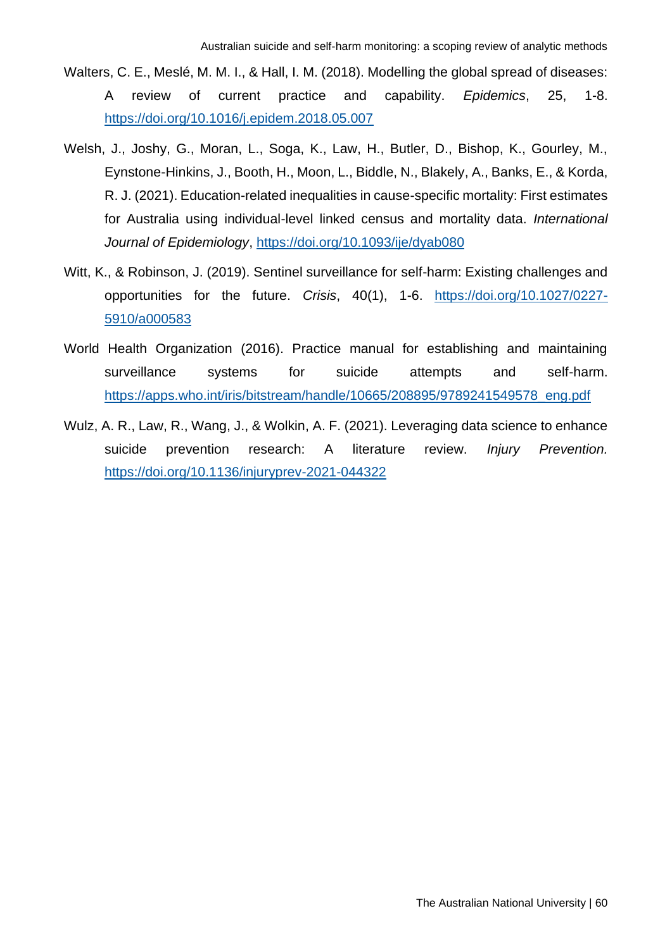- Walters, C. E., Meslé, M. M. I., & Hall, I. M. (2018). Modelling the global spread of diseases: A review of current practice and capability. *Epidemics*, 25, 1-8. <https://doi.org/10.1016/j.epidem.2018.05.007>
- Welsh, J., Joshy, G., Moran, L., Soga, K., Law, H., Butler, D., Bishop, K., Gourley, M., Eynstone-Hinkins, J., Booth, H., Moon, L., Biddle, N., Blakely, A., Banks, E., & Korda, R. J. (2021). Education-related inequalities in cause-specific mortality: First estimates for Australia using individual-level linked census and mortality data. *International Journal of Epidemiology*,<https://doi.org/10.1093/ije/dyab080>
- Witt, K., & Robinson, J. (2019). Sentinel surveillance for self-harm: Existing challenges and opportunities for the future. *Crisis*, 40(1), 1-6. [https://doi.org/10.1027/0227-](https://doi.org/10.1027/0227-5910/a000583) [5910/a000583](https://doi.org/10.1027/0227-5910/a000583)
- World Health Organization (2016). Practice manual for establishing and maintaining surveillance systems for suicide attempts and self-harm. [https://apps.who.int/iris/bitstream/handle/10665/208895/9789241549578\\_eng.pdf](https://apps.who.int/iris/bitstream/handle/10665/208895/9789241549578_eng.pdf)
- Wulz, A. R., Law, R., Wang, J., & Wolkin, A. F. (2021). Leveraging data science to enhance suicide prevention research: A literature review. *Injury Prevention.* <https://doi.org/10.1136/injuryprev-2021-044322>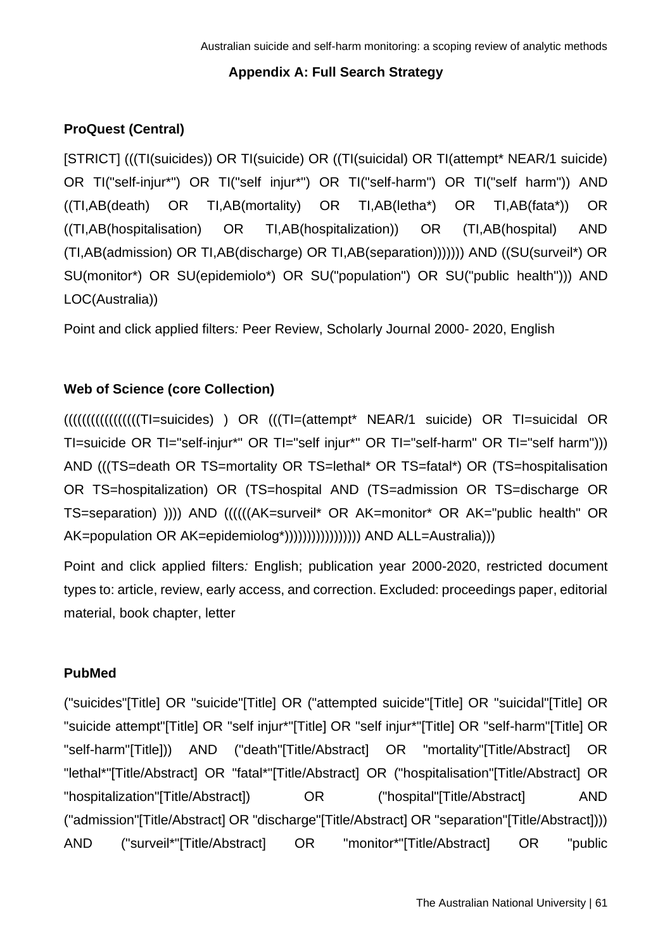## **Appendix A: Full Search Strategy**

# **ProQuest (Central)**

[STRICT] (((TI(suicides)) OR TI(suicide) OR ((TI(suicidal) OR TI(attempt\* NEAR/1 suicide) OR TI("self-injur\*") OR TI("self injur\*") OR TI("self-harm") OR TI("self harm")) AND ((TI,AB(death) OR TI,AB(mortality) OR TI,AB(letha\*) OR TI,AB(fata\*)) OR ((TI,AB(hospitalisation) OR TI,AB(hospitalization)) OR (TI,AB(hospital) AND (TI,AB(admission) OR TI,AB(discharge) OR TI,AB(separation))))))) AND ((SU(surveil\*) OR SU(monitor\*) OR SU(epidemiolo\*) OR SU("population") OR SU("public health"))) AND LOC(Australia))

Point and click applied filters*:* Peer Review, Scholarly Journal 2000- 2020, English

## **Web of Science (core Collection)**

(((((((((((((((((TI=suicides) ) OR (((TI=(attempt\* NEAR/1 suicide) OR TI=suicidal OR TI=suicide OR TI="self-injur\*" OR TI="self injur\*" OR TI="self-harm" OR TI="self harm"))) AND (((TS=death OR TS=mortality OR TS=lethal\* OR TS=fatal\*) OR (TS=hospitalisation OR TS=hospitalization) OR (TS=hospital AND (TS=admission OR TS=discharge OR TS=separation) )))) AND ((((((AK=surveil\* OR AK=monitor\* OR AK="public health" OR AK=population OR AK=epidemiolog\*))))))))))))))))) AND ALL=Australia)))

Point and click applied filters*:* English; publication year 2000-2020, restricted document types to: article, review, early access, and correction. Excluded: proceedings paper, editorial material, book chapter, letter

## **PubMed**

("suicides"[Title] OR "suicide"[Title] OR ("attempted suicide"[Title] OR "suicidal"[Title] OR "suicide attempt"[Title] OR "self injur\*"[Title] OR "self injur\*"[Title] OR "self-harm"[Title] OR "self-harm"[Title])) AND ("death"[Title/Abstract] OR "mortality"[Title/Abstract] OR "lethal\*"[Title/Abstract] OR "fatal\*"[Title/Abstract] OR ("hospitalisation"[Title/Abstract] OR "hospitalization"[Title/Abstract]) OR ("hospital"[Title/Abstract] AND ("admission"[Title/Abstract] OR "discharge"[Title/Abstract] OR "separation"[Title/Abstract]))) AND ("surveil\*"[Title/Abstract] OR "monitor\*"[Title/Abstract] OR "public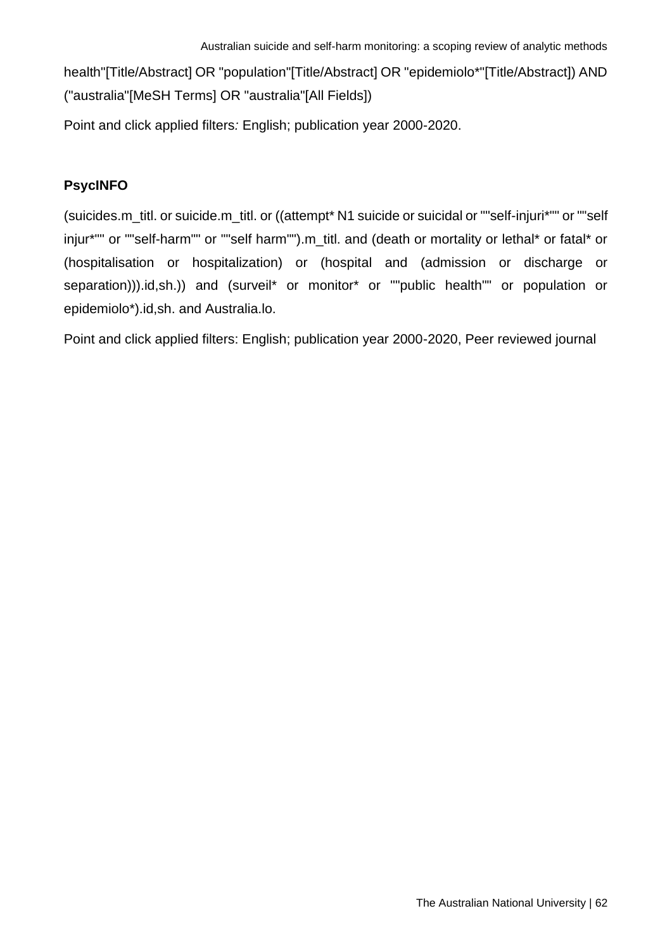health"[Title/Abstract] OR "population"[Title/Abstract] OR "epidemiolo\*"[Title/Abstract]) AND ("australia"[MeSH Terms] OR "australia"[All Fields])

Point and click applied filters*:* English; publication year 2000-2020.

## **PsycINFO**

(suicides.m\_titl. or suicide.m\_titl. or ((attempt\* N1 suicide or suicidal or ""self-injuri\*"" or ""self injur\*"" or ""self-harm"" or ""self harm"").m\_titl. and (death or mortality or lethal\* or fatal\* or (hospitalisation or hospitalization) or (hospital and (admission or discharge or separation))).id,sh.)) and (surveil\* or monitor\* or ""public health"" or population or epidemiolo\*).id,sh. and Australia.lo.

Point and click applied filters: English; publication year 2000-2020, Peer reviewed journal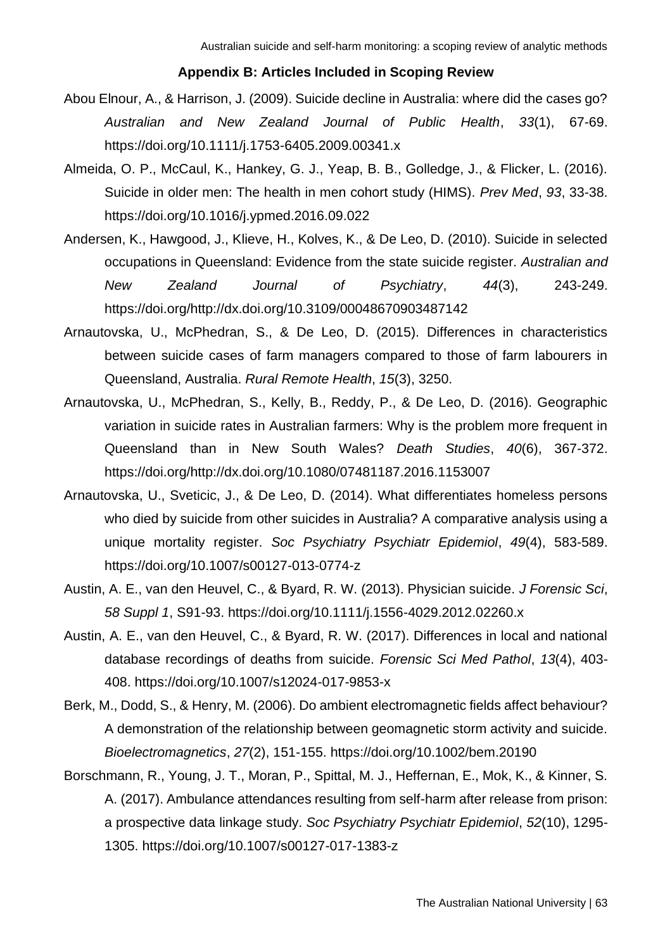#### **Appendix B: Articles Included in Scoping Review**

- Abou Elnour, A., & Harrison, J. (2009). Suicide decline in Australia: where did the cases go? *Australian and New Zealand Journal of Public Health*, *33*(1), 67-69. https://doi.org/10.1111/j.1753-6405.2009.00341.x
- Almeida, O. P., McCaul, K., Hankey, G. J., Yeap, B. B., Golledge, J., & Flicker, L. (2016). Suicide in older men: The health in men cohort study (HIMS). *Prev Med*, *93*, 33-38. https://doi.org/10.1016/j.ypmed.2016.09.022
- Andersen, K., Hawgood, J., Klieve, H., Kolves, K., & De Leo, D. (2010). Suicide in selected occupations in Queensland: Evidence from the state suicide register. *Australian and New Zealand Journal of Psychiatry*, *44*(3), 243-249. https://doi.org/http://dx.doi.org/10.3109/00048670903487142
- Arnautovska, U., McPhedran, S., & De Leo, D. (2015). Differences in characteristics between suicide cases of farm managers compared to those of farm labourers in Queensland, Australia. *Rural Remote Health*, *15*(3), 3250.
- Arnautovska, U., McPhedran, S., Kelly, B., Reddy, P., & De Leo, D. (2016). Geographic variation in suicide rates in Australian farmers: Why is the problem more frequent in Queensland than in New South Wales? *Death Studies*, *40*(6), 367-372. https://doi.org/http://dx.doi.org/10.1080/07481187.2016.1153007
- Arnautovska, U., Sveticic, J., & De Leo, D. (2014). What differentiates homeless persons who died by suicide from other suicides in Australia? A comparative analysis using a unique mortality register. *Soc Psychiatry Psychiatr Epidemiol*, *49*(4), 583-589. https://doi.org/10.1007/s00127-013-0774-z
- Austin, A. E., van den Heuvel, C., & Byard, R. W. (2013). Physician suicide. *J Forensic Sci*, *58 Suppl 1*, S91-93. https://doi.org/10.1111/j.1556-4029.2012.02260.x
- Austin, A. E., van den Heuvel, C., & Byard, R. W. (2017). Differences in local and national database recordings of deaths from suicide. *Forensic Sci Med Pathol*, *13*(4), 403- 408. https://doi.org/10.1007/s12024-017-9853-x
- Berk, M., Dodd, S., & Henry, M. (2006). Do ambient electromagnetic fields affect behaviour? A demonstration of the relationship between geomagnetic storm activity and suicide. *Bioelectromagnetics*, *27*(2), 151-155. https://doi.org/10.1002/bem.20190
- Borschmann, R., Young, J. T., Moran, P., Spittal, M. J., Heffernan, E., Mok, K., & Kinner, S. A. (2017). Ambulance attendances resulting from self-harm after release from prison: a prospective data linkage study. *Soc Psychiatry Psychiatr Epidemiol*, *52*(10), 1295- 1305. https://doi.org/10.1007/s00127-017-1383-z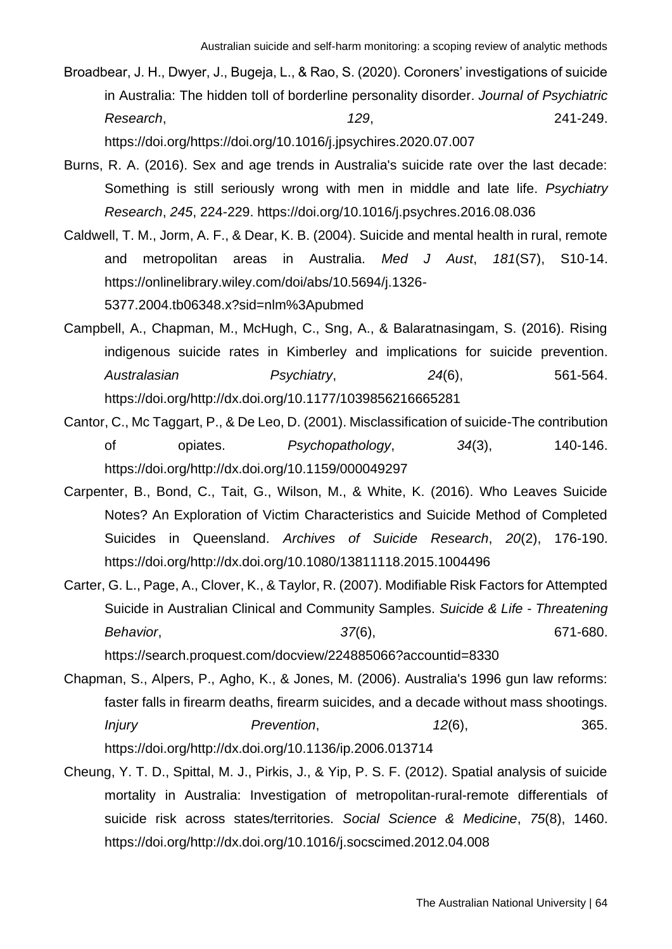- Broadbear, J. H., Dwyer, J., Bugeja, L., & Rao, S. (2020). Coroners' investigations of suicide in Australia: The hidden toll of borderline personality disorder. *Journal of Psychiatric Research*, *129*, 241-249. https://doi.org/https://doi.org/10.1016/j.jpsychires.2020.07.007
- Burns, R. A. (2016). Sex and age trends in Australia's suicide rate over the last decade: Something is still seriously wrong with men in middle and late life. *Psychiatry Research*, *245*, 224-229. https://doi.org/10.1016/j.psychres.2016.08.036
- Caldwell, T. M., Jorm, A. F., & Dear, K. B. (2004). Suicide and mental health in rural, remote and metropolitan areas in Australia. *Med J Aust*, *181*(S7), S10-14. https://onlinelibrary.wiley.com/doi/abs/10.5694/j.1326- 5377.2004.tb06348.x?sid=nlm%3Apubmed
- Campbell, A., Chapman, M., McHugh, C., Sng, A., & Balaratnasingam, S. (2016). Rising indigenous suicide rates in Kimberley and implications for suicide prevention. *Australasian Psychiatry*, *24*(6), 561-564. https://doi.org/http://dx.doi.org/10.1177/1039856216665281
- Cantor, C., Mc Taggart, P., & De Leo, D. (2001). Misclassification of suicide-The contribution of opiates. *Psychopathology*, *34*(3), 140-146. https://doi.org/http://dx.doi.org/10.1159/000049297
- Carpenter, B., Bond, C., Tait, G., Wilson, M., & White, K. (2016). Who Leaves Suicide Notes? An Exploration of Victim Characteristics and Suicide Method of Completed Suicides in Queensland. *Archives of Suicide Research*, *20*(2), 176-190. https://doi.org/http://dx.doi.org/10.1080/13811118.2015.1004496
- Carter, G. L., Page, A., Clover, K., & Taylor, R. (2007). Modifiable Risk Factors for Attempted Suicide in Australian Clinical and Community Samples. *Suicide & Life - Threatening Behavior*, *37*(6), 671-680. https://search.proquest.com/docview/224885066?accountid=8330
- Chapman, S., Alpers, P., Agho, K., & Jones, M. (2006). Australia's 1996 gun law reforms: faster falls in firearm deaths, firearm suicides, and a decade without mass shootings. *Injury Prevention*, *12*(6), 365. https://doi.org/http://dx.doi.org/10.1136/ip.2006.013714
- Cheung, Y. T. D., Spittal, M. J., Pirkis, J., & Yip, P. S. F. (2012). Spatial analysis of suicide mortality in Australia: Investigation of metropolitan-rural-remote differentials of suicide risk across states/territories. *Social Science & Medicine*, *75*(8), 1460. https://doi.org/http://dx.doi.org/10.1016/j.socscimed.2012.04.008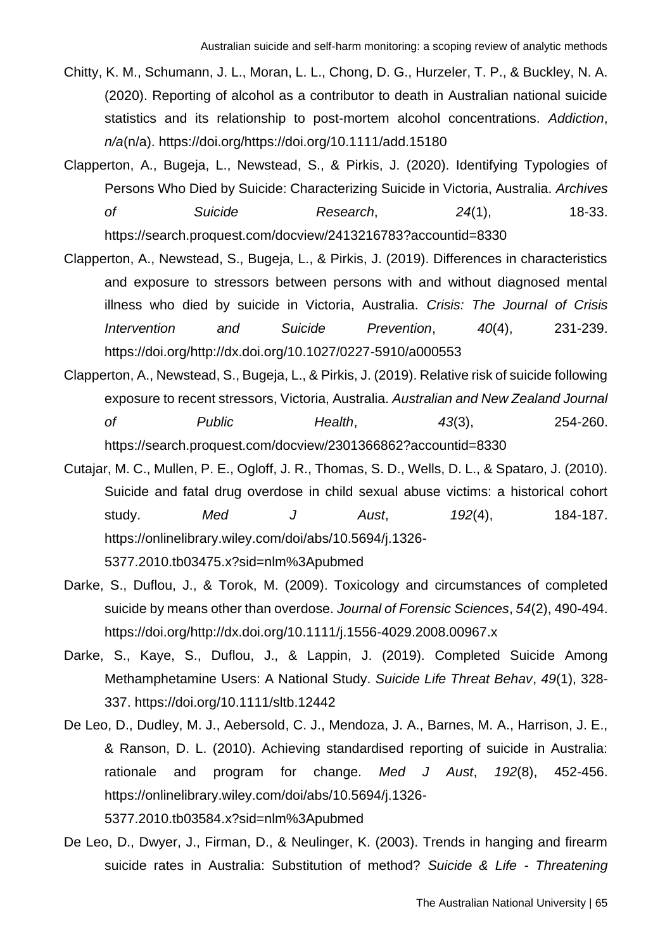- Chitty, K. M., Schumann, J. L., Moran, L. L., Chong, D. G., Hurzeler, T. P., & Buckley, N. A. (2020). Reporting of alcohol as a contributor to death in Australian national suicide statistics and its relationship to post-mortem alcohol concentrations. *Addiction*, *n/a*(n/a). https://doi.org/https://doi.org/10.1111/add.15180
- Clapperton, A., Bugeja, L., Newstead, S., & Pirkis, J. (2020). Identifying Typologies of Persons Who Died by Suicide: Characterizing Suicide in Victoria, Australia. *Archives of Suicide Research*, *24*(1), 18-33. https://search.proquest.com/docview/2413216783?accountid=8330
- Clapperton, A., Newstead, S., Bugeja, L., & Pirkis, J. (2019). Differences in characteristics and exposure to stressors between persons with and without diagnosed mental illness who died by suicide in Victoria, Australia. *Crisis: The Journal of Crisis Intervention and Suicide Prevention*, *40*(4), 231-239. https://doi.org/http://dx.doi.org/10.1027/0227-5910/a000553
- Clapperton, A., Newstead, S., Bugeja, L., & Pirkis, J. (2019). Relative risk of suicide following exposure to recent stressors, Victoria, Australia. *Australian and New Zealand Journal of Public Health*, *43*(3), 254-260. https://search.proquest.com/docview/2301366862?accountid=8330
- Cutajar, M. C., Mullen, P. E., Ogloff, J. R., Thomas, S. D., Wells, D. L., & Spataro, J. (2010). Suicide and fatal drug overdose in child sexual abuse victims: a historical cohort study. *Med J Aust*, *192*(4), 184-187. https://onlinelibrary.wiley.com/doi/abs/10.5694/j.1326- 5377.2010.tb03475.x?sid=nlm%3Apubmed
- Darke, S., Duflou, J., & Torok, M. (2009). Toxicology and circumstances of completed suicide by means other than overdose. *Journal of Forensic Sciences*, *54*(2), 490-494. https://doi.org/http://dx.doi.org/10.1111/j.1556-4029.2008.00967.x
- Darke, S., Kaye, S., Duflou, J., & Lappin, J. (2019). Completed Suicide Among Methamphetamine Users: A National Study. *Suicide Life Threat Behav*, *49*(1), 328- 337. https://doi.org/10.1111/sltb.12442
- De Leo, D., Dudley, M. J., Aebersold, C. J., Mendoza, J. A., Barnes, M. A., Harrison, J. E., & Ranson, D. L. (2010). Achieving standardised reporting of suicide in Australia: rationale and program for change. *Med J Aust*, *192*(8), 452-456. https://onlinelibrary.wiley.com/doi/abs/10.5694/j.1326- 5377.2010.tb03584.x?sid=nlm%3Apubmed
- De Leo, D., Dwyer, J., Firman, D., & Neulinger, K. (2003). Trends in hanging and firearm suicide rates in Australia: Substitution of method? *Suicide & Life - Threatening*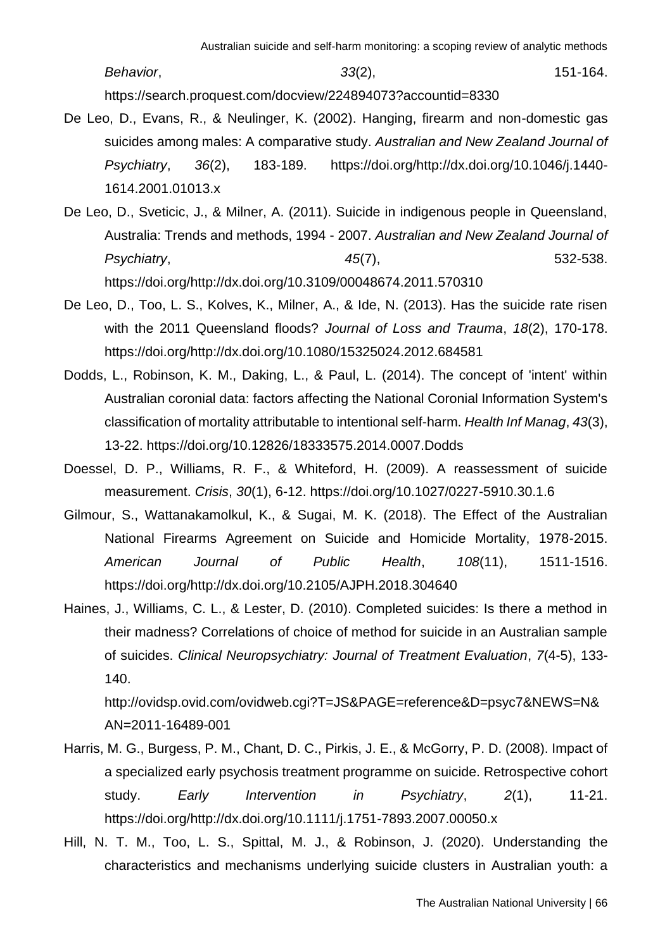*Behavior*, *33*(2), 151-164. https://search.proquest.com/docview/224894073?accountid=8330

- De Leo, D., Evans, R., & Neulinger, K. (2002). Hanging, firearm and non-domestic gas suicides among males: A comparative study. *Australian and New Zealand Journal of Psychiatry*, *36*(2), 183-189. https://doi.org/http://dx.doi.org/10.1046/j.1440- 1614.2001.01013.x
- De Leo, D., Sveticic, J., & Milner, A. (2011). Suicide in indigenous people in Queensland, Australia: Trends and methods, 1994 - 2007. *Australian and New Zealand Journal of Psychiatry*, *45*(7), 532-538. https://doi.org/http://dx.doi.org/10.3109/00048674.2011.570310
- De Leo, D., Too, L. S., Kolves, K., Milner, A., & Ide, N. (2013). Has the suicide rate risen with the 2011 Queensland floods? *Journal of Loss and Trauma*, *18*(2), 170-178. https://doi.org/http://dx.doi.org/10.1080/15325024.2012.684581
- Dodds, L., Robinson, K. M., Daking, L., & Paul, L. (2014). The concept of 'intent' within Australian coronial data: factors affecting the National Coronial Information System's classification of mortality attributable to intentional self-harm. *Health Inf Manag*, *43*(3), 13-22. https://doi.org/10.12826/18333575.2014.0007.Dodds
- Doessel, D. P., Williams, R. F., & Whiteford, H. (2009). A reassessment of suicide measurement. *Crisis*, *30*(1), 6-12. https://doi.org/10.1027/0227-5910.30.1.6
- Gilmour, S., Wattanakamolkul, K., & Sugai, M. K. (2018). The Effect of the Australian National Firearms Agreement on Suicide and Homicide Mortality, 1978-2015. *American Journal of Public Health*, *108*(11), 1511-1516. https://doi.org/http://dx.doi.org/10.2105/AJPH.2018.304640
- Haines, J., Williams, C. L., & Lester, D. (2010). Completed suicides: Is there a method in their madness? Correlations of choice of method for suicide in an Australian sample of suicides. *Clinical Neuropsychiatry: Journal of Treatment Evaluation*, *7*(4-5), 133- 140.

http://ovidsp.ovid.com/ovidweb.cgi?T=JS&PAGE=reference&D=psyc7&NEWS=N& AN=2011-16489-001

- Harris, M. G., Burgess, P. M., Chant, D. C., Pirkis, J. E., & McGorry, P. D. (2008). Impact of a specialized early psychosis treatment programme on suicide. Retrospective cohort study. *Early Intervention in Psychiatry*, *2*(1), 11-21. https://doi.org/http://dx.doi.org/10.1111/j.1751-7893.2007.00050.x
- Hill, N. T. M., Too, L. S., Spittal, M. J., & Robinson, J. (2020). Understanding the characteristics and mechanisms underlying suicide clusters in Australian youth: a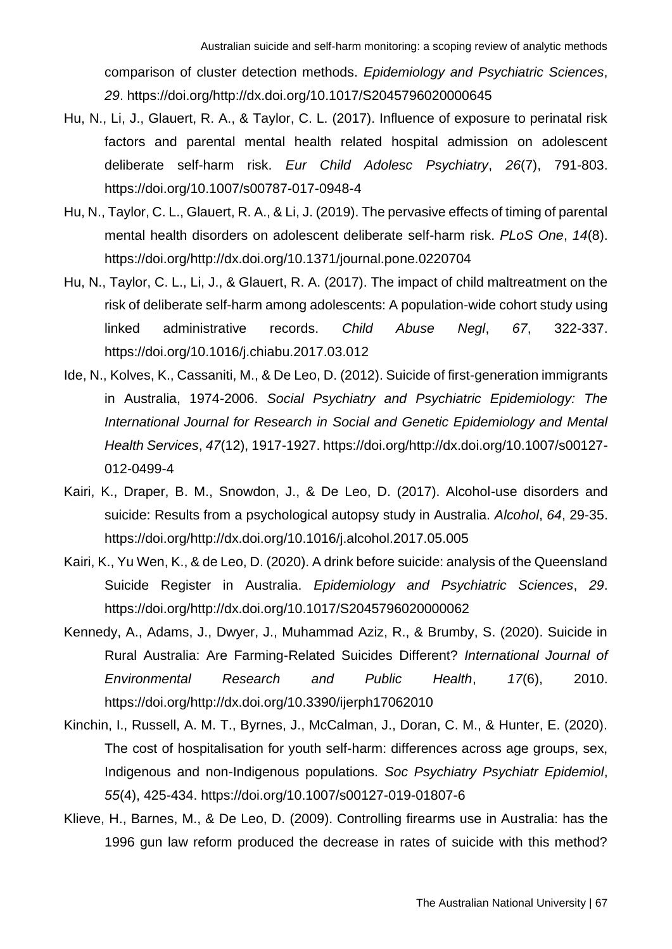comparison of cluster detection methods. *Epidemiology and Psychiatric Sciences*, *29*. https://doi.org/http://dx.doi.org/10.1017/S2045796020000645

- Hu, N., Li, J., Glauert, R. A., & Taylor, C. L. (2017). Influence of exposure to perinatal risk factors and parental mental health related hospital admission on adolescent deliberate self-harm risk. *Eur Child Adolesc Psychiatry*, *26*(7), 791-803. https://doi.org/10.1007/s00787-017-0948-4
- Hu, N., Taylor, C. L., Glauert, R. A., & Li, J. (2019). The pervasive effects of timing of parental mental health disorders on adolescent deliberate self-harm risk. *PLoS One*, *14*(8). https://doi.org/http://dx.doi.org/10.1371/journal.pone.0220704
- Hu, N., Taylor, C. L., Li, J., & Glauert, R. A. (2017). The impact of child maltreatment on the risk of deliberate self-harm among adolescents: A population-wide cohort study using linked administrative records. *Child Abuse Negl*, *67*, 322-337. https://doi.org/10.1016/j.chiabu.2017.03.012
- Ide, N., Kolves, K., Cassaniti, M., & De Leo, D. (2012). Suicide of first-generation immigrants in Australia, 1974-2006. *Social Psychiatry and Psychiatric Epidemiology: The International Journal for Research in Social and Genetic Epidemiology and Mental Health Services*, *47*(12), 1917-1927. https://doi.org/http://dx.doi.org/10.1007/s00127- 012-0499-4
- Kairi, K., Draper, B. M., Snowdon, J., & De Leo, D. (2017). Alcohol-use disorders and suicide: Results from a psychological autopsy study in Australia. *Alcohol*, *64*, 29-35. https://doi.org/http://dx.doi.org/10.1016/j.alcohol.2017.05.005
- Kairi, K., Yu Wen, K., & de Leo, D. (2020). A drink before suicide: analysis of the Queensland Suicide Register in Australia. *Epidemiology and Psychiatric Sciences*, *29*. https://doi.org/http://dx.doi.org/10.1017/S2045796020000062
- Kennedy, A., Adams, J., Dwyer, J., Muhammad Aziz, R., & Brumby, S. (2020). Suicide in Rural Australia: Are Farming-Related Suicides Different? *International Journal of Environmental Research and Public Health*, *17*(6), 2010. https://doi.org/http://dx.doi.org/10.3390/ijerph17062010
- Kinchin, I., Russell, A. M. T., Byrnes, J., McCalman, J., Doran, C. M., & Hunter, E. (2020). The cost of hospitalisation for youth self-harm: differences across age groups, sex, Indigenous and non-Indigenous populations. *Soc Psychiatry Psychiatr Epidemiol*, *55*(4), 425-434. https://doi.org/10.1007/s00127-019-01807-6
- Klieve, H., Barnes, M., & De Leo, D. (2009). Controlling firearms use in Australia: has the 1996 gun law reform produced the decrease in rates of suicide with this method?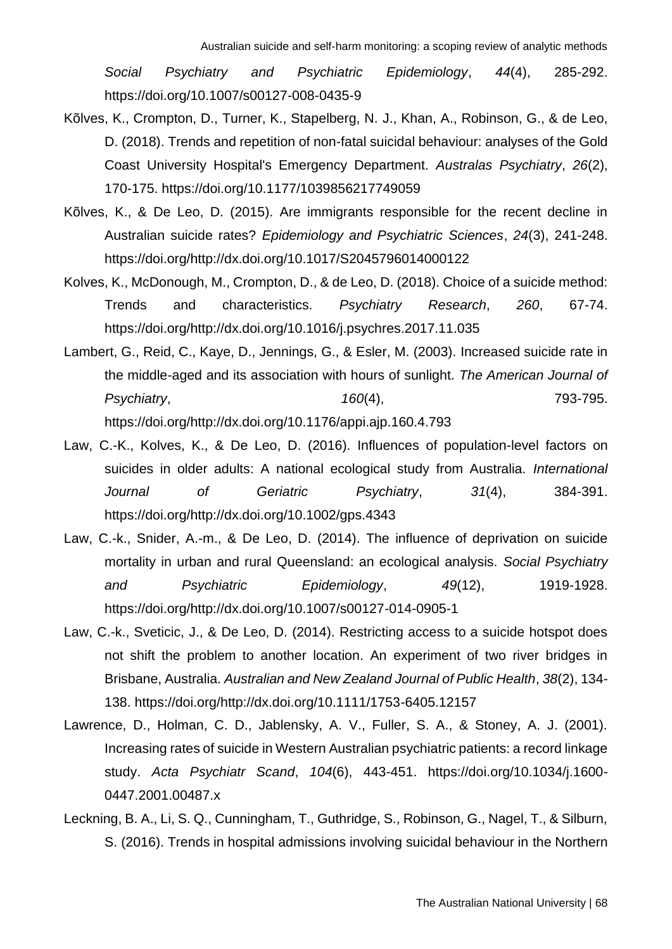*Social Psychiatry and Psychiatric Epidemiology*, *44*(4), 285-292. https://doi.org/10.1007/s00127-008-0435-9

- Kõlves, K., Crompton, D., Turner, K., Stapelberg, N. J., Khan, A., Robinson, G., & de Leo, D. (2018). Trends and repetition of non-fatal suicidal behaviour: analyses of the Gold Coast University Hospital's Emergency Department. *Australas Psychiatry*, *26*(2), 170-175. https://doi.org/10.1177/1039856217749059
- Kõlves, K., & De Leo, D. (2015). Are immigrants responsible for the recent decline in Australian suicide rates? *Epidemiology and Psychiatric Sciences*, *24*(3), 241-248. https://doi.org/http://dx.doi.org/10.1017/S2045796014000122
- Kolves, K., McDonough, M., Crompton, D., & de Leo, D. (2018). Choice of a suicide method: Trends and characteristics. *Psychiatry Research*, *260*, 67-74. https://doi.org/http://dx.doi.org/10.1016/j.psychres.2017.11.035
- Lambert, G., Reid, C., Kaye, D., Jennings, G., & Esler, M. (2003). Increased suicide rate in the middle-aged and its association with hours of sunlight. *The American Journal of Psychiatry*, *160*(4), 793-795. https://doi.org/http://dx.doi.org/10.1176/appi.ajp.160.4.793
- Law, C.-K., Kolves, K., & De Leo, D. (2016). Influences of population-level factors on suicides in older adults: A national ecological study from Australia. *International Journal of Geriatric Psychiatry*, *31*(4), 384-391. https://doi.org/http://dx.doi.org/10.1002/gps.4343
- Law, C.-k., Snider, A.-m., & De Leo, D. (2014). The influence of deprivation on suicide mortality in urban and rural Queensland: an ecological analysis. *Social Psychiatry and Psychiatric Epidemiology*, *49*(12), 1919-1928. https://doi.org/http://dx.doi.org/10.1007/s00127-014-0905-1
- Law, C.-k., Sveticic, J., & De Leo, D. (2014). Restricting access to a suicide hotspot does not shift the problem to another location. An experiment of two river bridges in Brisbane, Australia. *Australian and New Zealand Journal of Public Health*, *38*(2), 134- 138. https://doi.org/http://dx.doi.org/10.1111/1753-6405.12157
- Lawrence, D., Holman, C. D., Jablensky, A. V., Fuller, S. A., & Stoney, A. J. (2001). Increasing rates of suicide in Western Australian psychiatric patients: a record linkage study. *Acta Psychiatr Scand*, *104*(6), 443-451. https://doi.org/10.1034/j.1600- 0447.2001.00487.x
- Leckning, B. A., Li, S. Q., Cunningham, T., Guthridge, S., Robinson, G., Nagel, T., & Silburn, S. (2016). Trends in hospital admissions involving suicidal behaviour in the Northern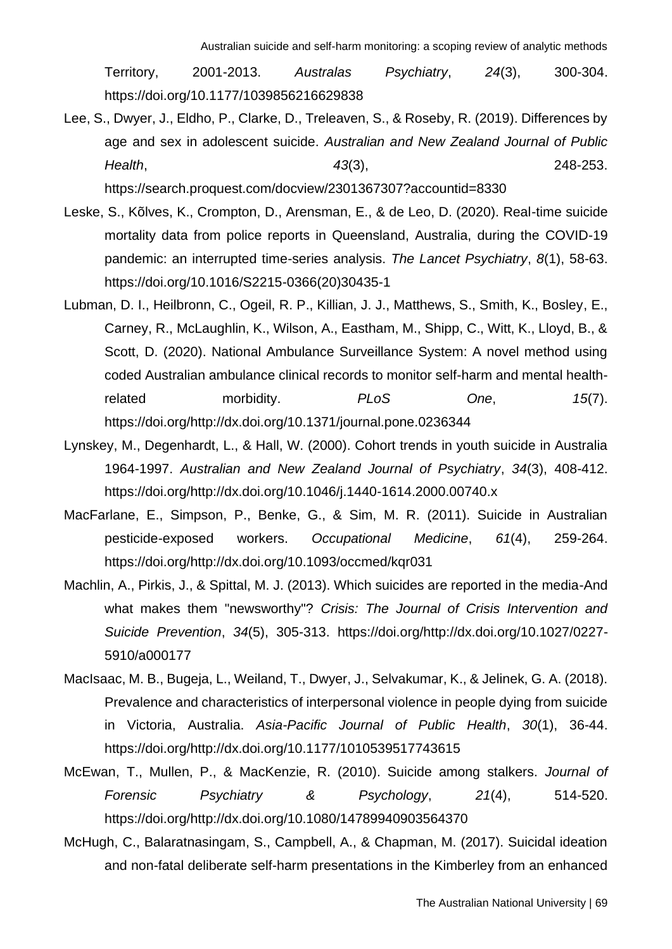Territory, 2001-2013. *Australas Psychiatry*, *24*(3), 300-304. https://doi.org/10.1177/1039856216629838

Lee, S., Dwyer, J., Eldho, P., Clarke, D., Treleaven, S., & Roseby, R. (2019). Differences by age and sex in adolescent suicide. *Australian and New Zealand Journal of Public Health*, *43*(3), 248-253. https://search.proquest.com/docview/2301367307?accountid=8330

Leske, S., Kõlves, K., Crompton, D., Arensman, E., & de Leo, D. (2020). Real-time suicide mortality data from police reports in Queensland, Australia, during the COVID-19 pandemic: an interrupted time-series analysis. *The Lancet Psychiatry*, *8*(1), 58-63. https://doi.org/10.1016/S2215-0366(20)30435-1

- Lubman, D. I., Heilbronn, C., Ogeil, R. P., Killian, J. J., Matthews, S., Smith, K., Bosley, E., Carney, R., McLaughlin, K., Wilson, A., Eastham, M., Shipp, C., Witt, K., Lloyd, B., & Scott, D. (2020). National Ambulance Surveillance System: A novel method using coded Australian ambulance clinical records to monitor self-harm and mental healthrelated morbidity. *PLoS One*, *15*(7). https://doi.org/http://dx.doi.org/10.1371/journal.pone.0236344
- Lynskey, M., Degenhardt, L., & Hall, W. (2000). Cohort trends in youth suicide in Australia 1964-1997. *Australian and New Zealand Journal of Psychiatry*, *34*(3), 408-412. https://doi.org/http://dx.doi.org/10.1046/j.1440-1614.2000.00740.x
- MacFarlane, E., Simpson, P., Benke, G., & Sim, M. R. (2011). Suicide in Australian pesticide-exposed workers. *Occupational Medicine*, *61*(4), 259-264. https://doi.org/http://dx.doi.org/10.1093/occmed/kqr031
- Machlin, A., Pirkis, J., & Spittal, M. J. (2013). Which suicides are reported in the media-And what makes them "newsworthy"? *Crisis: The Journal of Crisis Intervention and Suicide Prevention*, *34*(5), 305-313. https://doi.org/http://dx.doi.org/10.1027/0227- 5910/a000177
- MacIsaac, M. B., Bugeja, L., Weiland, T., Dwyer, J., Selvakumar, K., & Jelinek, G. A. (2018). Prevalence and characteristics of interpersonal violence in people dying from suicide in Victoria, Australia. *Asia-Pacific Journal of Public Health*, *30*(1), 36-44. https://doi.org/http://dx.doi.org/10.1177/1010539517743615
- McEwan, T., Mullen, P., & MacKenzie, R. (2010). Suicide among stalkers. *Journal of Forensic Psychiatry & Psychology*, *21*(4), 514-520. https://doi.org/http://dx.doi.org/10.1080/14789940903564370
- McHugh, C., Balaratnasingam, S., Campbell, A., & Chapman, M. (2017). Suicidal ideation and non-fatal deliberate self-harm presentations in the Kimberley from an enhanced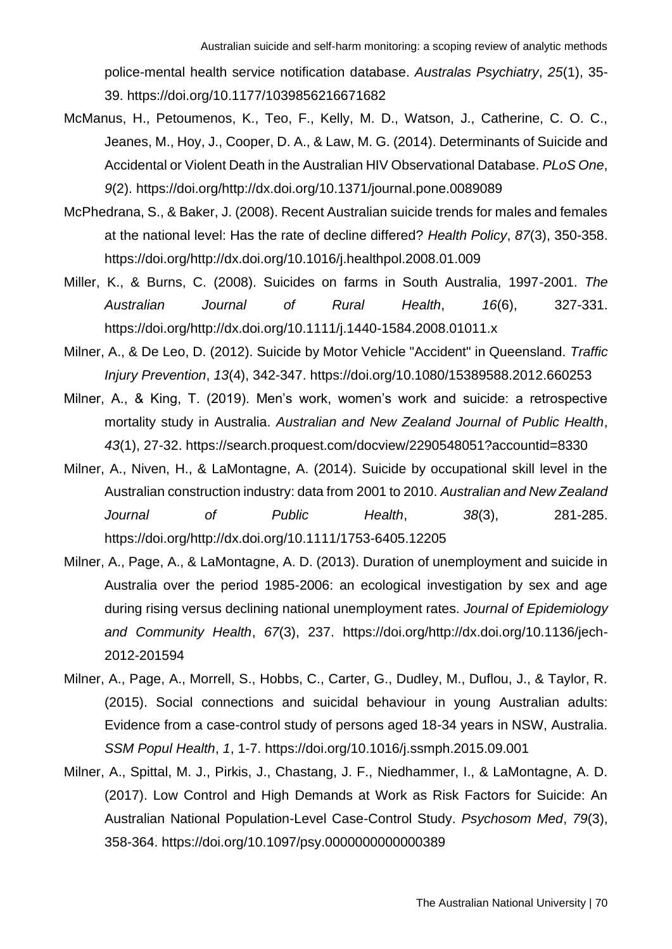police-mental health service notification database. *Australas Psychiatry*, *25*(1), 35- 39. https://doi.org/10.1177/1039856216671682

- McManus, H., Petoumenos, K., Teo, F., Kelly, M. D., Watson, J., Catherine, C. O. C., Jeanes, M., Hoy, J., Cooper, D. A., & Law, M. G. (2014). Determinants of Suicide and Accidental or Violent Death in the Australian HIV Observational Database. *PLoS One*, *9*(2). https://doi.org/http://dx.doi.org/10.1371/journal.pone.0089089
- McPhedrana, S., & Baker, J. (2008). Recent Australian suicide trends for males and females at the national level: Has the rate of decline differed? *Health Policy*, *87*(3), 350-358. https://doi.org/http://dx.doi.org/10.1016/j.healthpol.2008.01.009
- Miller, K., & Burns, C. (2008). Suicides on farms in South Australia, 1997-2001. *The Australian Journal of Rural Health*, *16*(6), 327-331. https://doi.org/http://dx.doi.org/10.1111/j.1440-1584.2008.01011.x
- Milner, A., & De Leo, D. (2012). Suicide by Motor Vehicle "Accident" in Queensland. *Traffic Injury Prevention*, *13*(4), 342-347. https://doi.org/10.1080/15389588.2012.660253
- Milner, A., & King, T. (2019). Men's work, women's work and suicide: a retrospective mortality study in Australia. *Australian and New Zealand Journal of Public Health*, *43*(1), 27-32. https://search.proquest.com/docview/2290548051?accountid=8330
- Milner, A., Niven, H., & LaMontagne, A. (2014). Suicide by occupational skill level in the Australian construction industry: data from 2001 to 2010. *Australian and New Zealand Journal of Public Health*, *38*(3), 281-285. https://doi.org/http://dx.doi.org/10.1111/1753-6405.12205
- Milner, A., Page, A., & LaMontagne, A. D. (2013). Duration of unemployment and suicide in Australia over the period 1985-2006: an ecological investigation by sex and age during rising versus declining national unemployment rates. *Journal of Epidemiology and Community Health*, *67*(3), 237. https://doi.org/http://dx.doi.org/10.1136/jech-2012-201594
- Milner, A., Page, A., Morrell, S., Hobbs, C., Carter, G., Dudley, M., Duflou, J., & Taylor, R. (2015). Social connections and suicidal behaviour in young Australian adults: Evidence from a case-control study of persons aged 18-34 years in NSW, Australia. *SSM Popul Health*, *1*, 1-7. https://doi.org/10.1016/j.ssmph.2015.09.001
- Milner, A., Spittal, M. J., Pirkis, J., Chastang, J. F., Niedhammer, I., & LaMontagne, A. D. (2017). Low Control and High Demands at Work as Risk Factors for Suicide: An Australian National Population-Level Case-Control Study. *Psychosom Med*, *79*(3), 358-364. https://doi.org/10.1097/psy.0000000000000389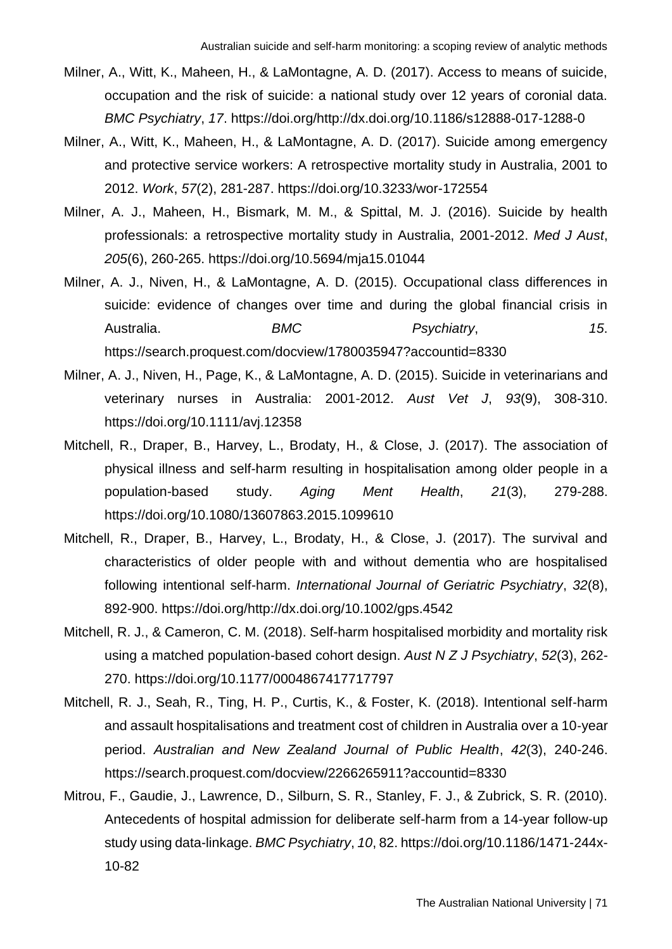- Milner, A., Witt, K., Maheen, H., & LaMontagne, A. D. (2017). Access to means of suicide, occupation and the risk of suicide: a national study over 12 years of coronial data. *BMC Psychiatry*, *17*. https://doi.org/http://dx.doi.org/10.1186/s12888-017-1288-0
- Milner, A., Witt, K., Maheen, H., & LaMontagne, A. D. (2017). Suicide among emergency and protective service workers: A retrospective mortality study in Australia, 2001 to 2012. *Work*, *57*(2), 281-287. https://doi.org/10.3233/wor-172554
- Milner, A. J., Maheen, H., Bismark, M. M., & Spittal, M. J. (2016). Suicide by health professionals: a retrospective mortality study in Australia, 2001-2012. *Med J Aust*, *205*(6), 260-265. https://doi.org/10.5694/mja15.01044
- Milner, A. J., Niven, H., & LaMontagne, A. D. (2015). Occupational class differences in suicide: evidence of changes over time and during the global financial crisis in Australia. *BMC Psychiatry*, *15*. https://search.proquest.com/docview/1780035947?accountid=8330
- Milner, A. J., Niven, H., Page, K., & LaMontagne, A. D. (2015). Suicide in veterinarians and veterinary nurses in Australia: 2001-2012. *Aust Vet J*, *93*(9), 308-310. https://doi.org/10.1111/avj.12358
- Mitchell, R., Draper, B., Harvey, L., Brodaty, H., & Close, J. (2017). The association of physical illness and self-harm resulting in hospitalisation among older people in a population-based study. *Aging Ment Health*, *21*(3), 279-288. https://doi.org/10.1080/13607863.2015.1099610
- Mitchell, R., Draper, B., Harvey, L., Brodaty, H., & Close, J. (2017). The survival and characteristics of older people with and without dementia who are hospitalised following intentional self-harm. *International Journal of Geriatric Psychiatry*, *32*(8), 892-900. https://doi.org/http://dx.doi.org/10.1002/gps.4542
- Mitchell, R. J., & Cameron, C. M. (2018). Self-harm hospitalised morbidity and mortality risk using a matched population-based cohort design. *Aust N Z J Psychiatry*, *52*(3), 262- 270. https://doi.org/10.1177/0004867417717797
- Mitchell, R. J., Seah, R., Ting, H. P., Curtis, K., & Foster, K. (2018). Intentional self‐harm and assault hospitalisations and treatment cost of children in Australia over a 10‐year period. *Australian and New Zealand Journal of Public Health*, *42*(3), 240-246. https://search.proquest.com/docview/2266265911?accountid=8330
- Mitrou, F., Gaudie, J., Lawrence, D., Silburn, S. R., Stanley, F. J., & Zubrick, S. R. (2010). Antecedents of hospital admission for deliberate self-harm from a 14-year follow-up study using data-linkage. *BMC Psychiatry*, *10*, 82. https://doi.org/10.1186/1471-244x-10-82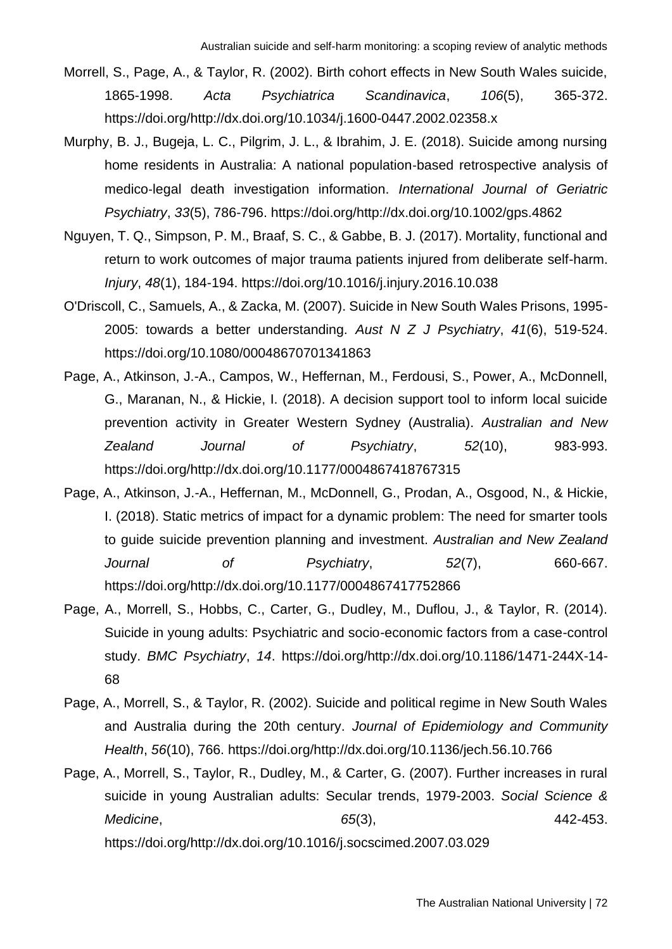- Morrell, S., Page, A., & Taylor, R. (2002). Birth cohort effects in New South Wales suicide, 1865-1998. *Acta Psychiatrica Scandinavica*, *106*(5), 365-372. https://doi.org/http://dx.doi.org/10.1034/j.1600-0447.2002.02358.x
- Murphy, B. J., Bugeja, L. C., Pilgrim, J. L., & Ibrahim, J. E. (2018). Suicide among nursing home residents in Australia: A national population‐based retrospective analysis of medico‐legal death investigation information. *International Journal of Geriatric Psychiatry*, *33*(5), 786-796. https://doi.org/http://dx.doi.org/10.1002/gps.4862
- Nguyen, T. Q., Simpson, P. M., Braaf, S. C., & Gabbe, B. J. (2017). Mortality, functional and return to work outcomes of major trauma patients injured from deliberate self-harm. *Injury*, *48*(1), 184-194. https://doi.org/10.1016/j.injury.2016.10.038
- O'Driscoll, C., Samuels, A., & Zacka, M. (2007). Suicide in New South Wales Prisons, 1995- 2005: towards a better understanding. *Aust N Z J Psychiatry*, *41*(6), 519-524. https://doi.org/10.1080/00048670701341863
- Page, A., Atkinson, J.-A., Campos, W., Heffernan, M., Ferdousi, S., Power, A., McDonnell, G., Maranan, N., & Hickie, I. (2018). A decision support tool to inform local suicide prevention activity in Greater Western Sydney (Australia). *Australian and New Zealand Journal of Psychiatry*, *52*(10), 983-993. https://doi.org/http://dx.doi.org/10.1177/0004867418767315
- Page, A., Atkinson, J.-A., Heffernan, M., McDonnell, G., Prodan, A., Osgood, N., & Hickie, I. (2018). Static metrics of impact for a dynamic problem: The need for smarter tools to guide suicide prevention planning and investment. *Australian and New Zealand Journal of Psychiatry*, *52*(7), 660-667. https://doi.org/http://dx.doi.org/10.1177/0004867417752866
- Page, A., Morrell, S., Hobbs, C., Carter, G., Dudley, M., Duflou, J., & Taylor, R. (2014). Suicide in young adults: Psychiatric and socio-economic factors from a case-control study. *BMC Psychiatry*, *14*. https://doi.org/http://dx.doi.org/10.1186/1471-244X-14- 68
- Page, A., Morrell, S., & Taylor, R. (2002). Suicide and political regime in New South Wales and Australia during the 20th century. *Journal of Epidemiology and Community Health*, *56*(10), 766. https://doi.org/http://dx.doi.org/10.1136/jech.56.10.766
- Page, A., Morrell, S., Taylor, R., Dudley, M., & Carter, G. (2007). Further increases in rural suicide in young Australian adults: Secular trends, 1979-2003. *Social Science & Medicine*, *65*(3), 442-453. https://doi.org/http://dx.doi.org/10.1016/j.socscimed.2007.03.029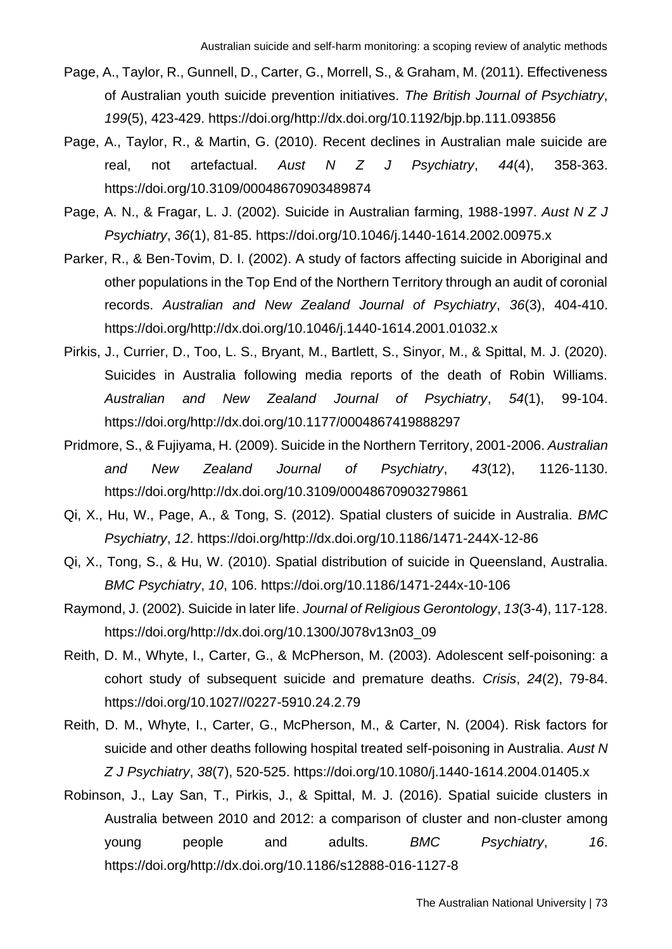- Page, A., Taylor, R., Gunnell, D., Carter, G., Morrell, S., & Graham, M. (2011). Effectiveness of Australian youth suicide prevention initiatives. *The British Journal of Psychiatry*, *199*(5), 423-429. https://doi.org/http://dx.doi.org/10.1192/bjp.bp.111.093856
- Page, A., Taylor, R., & Martin, G. (2010). Recent declines in Australian male suicide are real, not artefactual. *Aust N Z J Psychiatry*, *44*(4), 358-363. https://doi.org/10.3109/00048670903489874
- Page, A. N., & Fragar, L. J. (2002). Suicide in Australian farming, 1988-1997. *Aust N Z J Psychiatry*, *36*(1), 81-85. https://doi.org/10.1046/j.1440-1614.2002.00975.x
- Parker, R., & Ben-Tovim, D. I. (2002). A study of factors affecting suicide in Aboriginal and other populations in the Top End of the Northern Territory through an audit of coronial records. *Australian and New Zealand Journal of Psychiatry*, *36*(3), 404-410. https://doi.org/http://dx.doi.org/10.1046/j.1440-1614.2001.01032.x
- Pirkis, J., Currier, D., Too, L. S., Bryant, M., Bartlett, S., Sinyor, M., & Spittal, M. J. (2020). Suicides in Australia following media reports of the death of Robin Williams. *Australian and New Zealand Journal of Psychiatry*, *54*(1), 99-104. https://doi.org/http://dx.doi.org/10.1177/0004867419888297
- Pridmore, S., & Fujiyama, H. (2009). Suicide in the Northern Territory, 2001-2006. *Australian and New Zealand Journal of Psychiatry*, *43*(12), 1126-1130. https://doi.org/http://dx.doi.org/10.3109/00048670903279861
- Qi, X., Hu, W., Page, A., & Tong, S. (2012). Spatial clusters of suicide in Australia. *BMC Psychiatry*, *12*. https://doi.org/http://dx.doi.org/10.1186/1471-244X-12-86
- Qi, X., Tong, S., & Hu, W. (2010). Spatial distribution of suicide in Queensland, Australia. *BMC Psychiatry*, *10*, 106. https://doi.org/10.1186/1471-244x-10-106
- Raymond, J. (2002). Suicide in later life. *Journal of Religious Gerontology*, *13*(3-4), 117-128. https://doi.org/http://dx.doi.org/10.1300/J078v13n03\_09
- Reith, D. M., Whyte, I., Carter, G., & McPherson, M. (2003). Adolescent self-poisoning: a cohort study of subsequent suicide and premature deaths. *Crisis*, *24*(2), 79-84. https://doi.org/10.1027//0227-5910.24.2.79
- Reith, D. M., Whyte, I., Carter, G., McPherson, M., & Carter, N. (2004). Risk factors for suicide and other deaths following hospital treated self-poisoning in Australia. *Aust N Z J Psychiatry*, *38*(7), 520-525. https://doi.org/10.1080/j.1440-1614.2004.01405.x
- Robinson, J., Lay San, T., Pirkis, J., & Spittal, M. J. (2016). Spatial suicide clusters in Australia between 2010 and 2012: a comparison of cluster and non-cluster among young people and adults. *BMC Psychiatry*, *16*. https://doi.org/http://dx.doi.org/10.1186/s12888-016-1127-8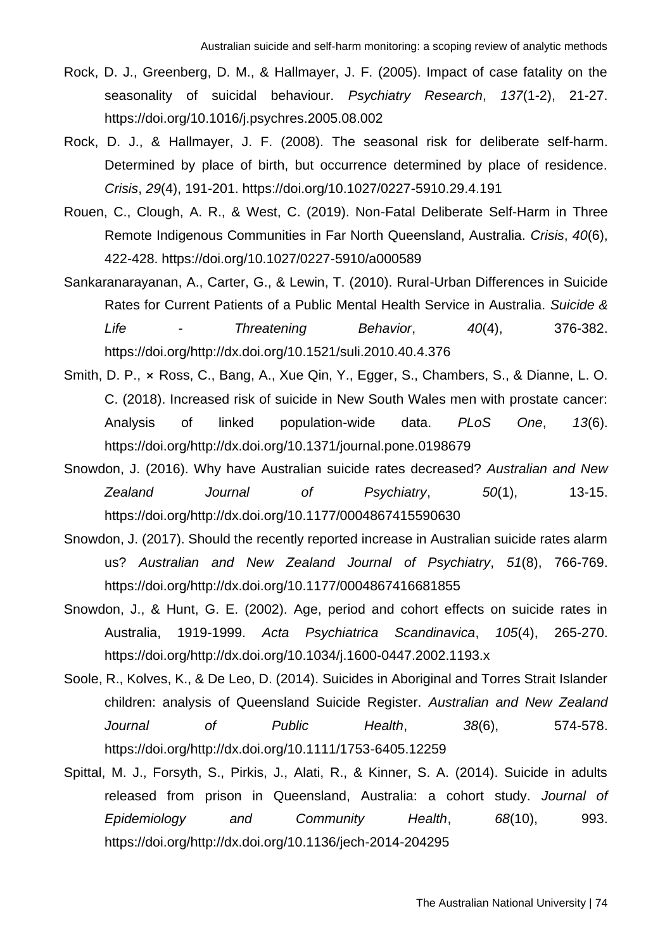- Rock, D. J., Greenberg, D. M., & Hallmayer, J. F. (2005). Impact of case fatality on the seasonality of suicidal behaviour. *Psychiatry Research*, *137*(1-2), 21-27. https://doi.org/10.1016/j.psychres.2005.08.002
- Rock, D. J., & Hallmayer, J. F. (2008). The seasonal risk for deliberate self-harm. Determined by place of birth, but occurrence determined by place of residence. *Crisis*, *29*(4), 191-201. https://doi.org/10.1027/0227-5910.29.4.191
- Rouen, C., Clough, A. R., & West, C. (2019). Non-Fatal Deliberate Self-Harm in Three Remote Indigenous Communities in Far North Queensland, Australia. *Crisis*, *40*(6), 422-428. https://doi.org/10.1027/0227-5910/a000589
- Sankaranarayanan, A., Carter, G., & Lewin, T. (2010). Rural-Urban Differences in Suicide Rates for Current Patients of a Public Mental Health Service in Australia. *Suicide & Life - Threatening Behavior*, *40*(4), 376-382. https://doi.org/http://dx.doi.org/10.1521/suli.2010.40.4.376
- Smith, D. P., ⨯ Ross, C., Bang, A., Xue Qin, Y., Egger, S., Chambers, S., & Dianne, L. O. C. (2018). Increased risk of suicide in New South Wales men with prostate cancer: Analysis of linked population-wide data. *PLoS One*, *13*(6). https://doi.org/http://dx.doi.org/10.1371/journal.pone.0198679
- Snowdon, J. (2016). Why have Australian suicide rates decreased? *Australian and New Zealand Journal of Psychiatry*, *50*(1), 13-15. https://doi.org/http://dx.doi.org/10.1177/0004867415590630
- Snowdon, J. (2017). Should the recently reported increase in Australian suicide rates alarm us? *Australian and New Zealand Journal of Psychiatry*, *51*(8), 766-769. https://doi.org/http://dx.doi.org/10.1177/0004867416681855
- Snowdon, J., & Hunt, G. E. (2002). Age, period and cohort effects on suicide rates in Australia, 1919-1999. *Acta Psychiatrica Scandinavica*, *105*(4), 265-270. https://doi.org/http://dx.doi.org/10.1034/j.1600-0447.2002.1193.x
- Soole, R., Kolves, K., & De Leo, D. (2014). Suicides in Aboriginal and Torres Strait Islander children: analysis of Queensland Suicide Register. *Australian and New Zealand Journal of Public Health*, *38*(6), 574-578. https://doi.org/http://dx.doi.org/10.1111/1753-6405.12259
- Spittal, M. J., Forsyth, S., Pirkis, J., Alati, R., & Kinner, S. A. (2014). Suicide in adults released from prison in Queensland, Australia: a cohort study. *Journal of Epidemiology and Community Health*, *68*(10), 993. https://doi.org/http://dx.doi.org/10.1136/jech-2014-204295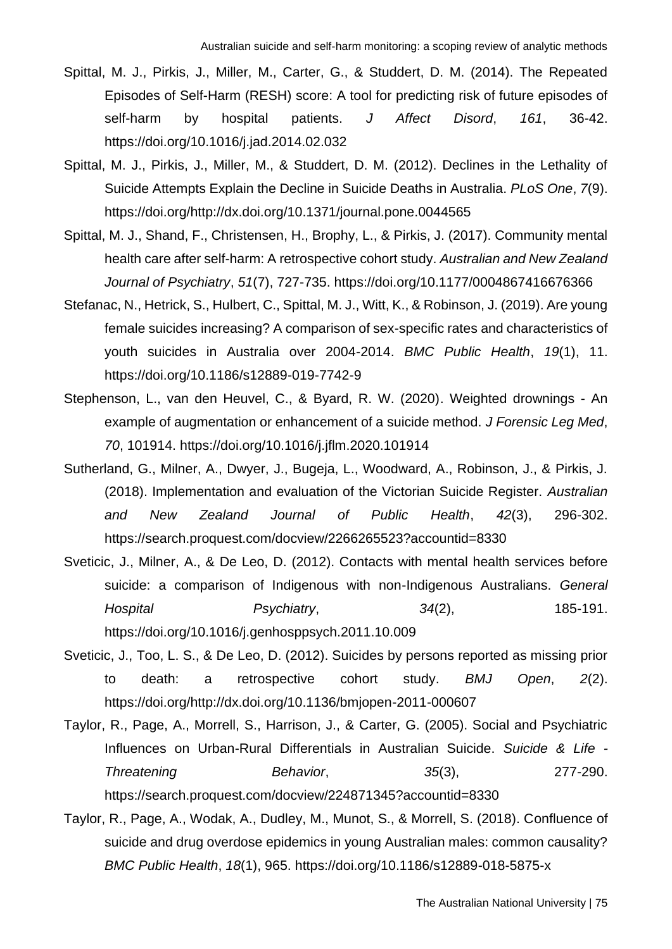- Spittal, M. J., Pirkis, J., Miller, M., Carter, G., & Studdert, D. M. (2014). The Repeated Episodes of Self-Harm (RESH) score: A tool for predicting risk of future episodes of self-harm by hospital patients. *J Affect Disord*, *161*, 36-42. https://doi.org/10.1016/j.jad.2014.02.032
- Spittal, M. J., Pirkis, J., Miller, M., & Studdert, D. M. (2012). Declines in the Lethality of Suicide Attempts Explain the Decline in Suicide Deaths in Australia. *PLoS One*, *7*(9). https://doi.org/http://dx.doi.org/10.1371/journal.pone.0044565
- Spittal, M. J., Shand, F., Christensen, H., Brophy, L., & Pirkis, J. (2017). Community mental health care after self-harm: A retrospective cohort study. *Australian and New Zealand Journal of Psychiatry*, *51*(7), 727-735. https://doi.org/10.1177/0004867416676366
- Stefanac, N., Hetrick, S., Hulbert, C., Spittal, M. J., Witt, K., & Robinson, J. (2019). Are young female suicides increasing? A comparison of sex-specific rates and characteristics of youth suicides in Australia over 2004-2014. *BMC Public Health*, *19*(1), 11. https://doi.org/10.1186/s12889-019-7742-9
- Stephenson, L., van den Heuvel, C., & Byard, R. W. (2020). Weighted drownings An example of augmentation or enhancement of a suicide method. *J Forensic Leg Med*, *70*, 101914. https://doi.org/10.1016/j.jflm.2020.101914
- Sutherland, G., Milner, A., Dwyer, J., Bugeja, L., Woodward, A., Robinson, J., & Pirkis, J. (2018). Implementation and evaluation of the Victorian Suicide Register. *Australian and New Zealand Journal of Public Health*, *42*(3), 296-302. https://search.proquest.com/docview/2266265523?accountid=8330
- Sveticic, J., Milner, A., & De Leo, D. (2012). Contacts with mental health services before suicide: a comparison of Indigenous with non-Indigenous Australians. *General Hospital Psychiatry*, *34*(2), 185-191. https://doi.org/10.1016/j.genhosppsych.2011.10.009
- Sveticic, J., Too, L. S., & De Leo, D. (2012). Suicides by persons reported as missing prior to death: a retrospective cohort study. *BMJ Open*, *2*(2). https://doi.org/http://dx.doi.org/10.1136/bmjopen-2011-000607
- Taylor, R., Page, A., Morrell, S., Harrison, J., & Carter, G. (2005). Social and Psychiatric Influences on Urban-Rural Differentials in Australian Suicide. *Suicide & Life - Threatening Behavior*, *35*(3), 277-290. https://search.proquest.com/docview/224871345?accountid=8330
- Taylor, R., Page, A., Wodak, A., Dudley, M., Munot, S., & Morrell, S. (2018). Confluence of suicide and drug overdose epidemics in young Australian males: common causality? *BMC Public Health*, *18*(1), 965. https://doi.org/10.1186/s12889-018-5875-x